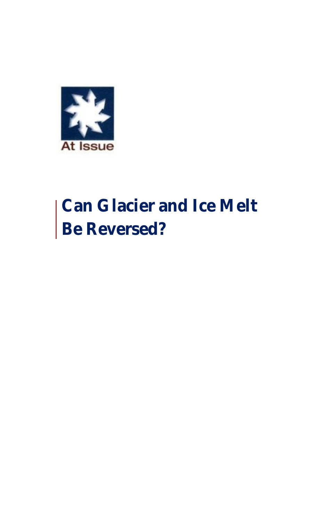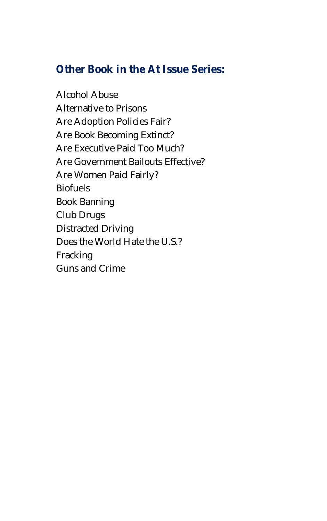### **Other Book in the At Issue Series:**

Alcohol Abuse Alternative to Prisons Are Adoption Policies Fair? Are Book Becoming Extinct? Are Executive Paid Too Much? Are Government Bailouts Effective? Are Women Paid Fairly? **Biofuels** Book Banning Club Drugs Distracted Driving Does the World Hate the U.S.? Fracking Guns and Crime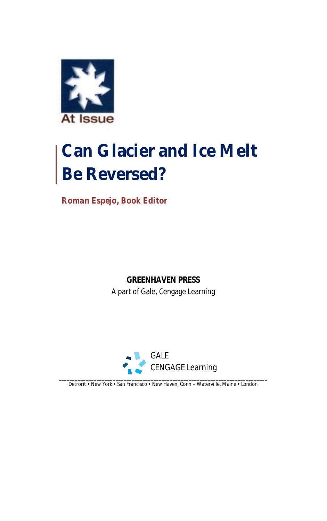

*Roman Espejo, Book Editor*

#### **GREENHAVEN PRESS**

A part of Gale, Cengage Learning



Detrorit • New York • San Francisco • New Haven, Conn - Waterville, Maine • London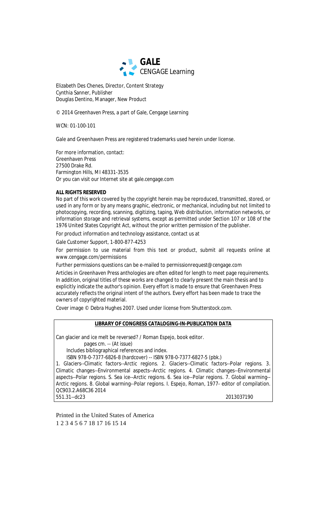

Elizabeth Des Chenes, Director, Content Strategy Cynthia Sanner, Publisher Douglas Dentino, Manager, New Product

© 2014 Greenhaven Press, a part of Gale, Cengage Learning

WCN: 01-100-101

Gale and Greenhaven Press are registered trademarks used herein under license.

For more information, contact: Greenhaven Press 27500 Drake Rd. Farmington Hills, MI 48331-3535 Or you can visit our Internet site at gale.cengage.com

#### **ALL RIGHTS RESERVED**

No part of this work covered by the copyright herein may be reproduced, transmitted, stored, or used in any form or by any means graphic, electronic, or mechanical, including but not limited to photocopying, recording, scanning, digitizing, taping, Web distribution, information networks, or information storage and retrieval systems, except as permitted under Section 107 or 108 of the 1976 United States Copyright Act, without the prior written permission of the publisher.

For product information and technology assistance, contact us at

Gale Customer Support, 1-800-877-4253

For permission to use material from this text or product, submit all requests online at www.cengage.com/permissions

Further permissions questions can be e-mailed to permissionrequest@cengage.com

Articles in Greenhaven Press anthologies are often edited for length to meet page requirements. In addition, original titles of these works are changed to clearly present the main thesis and to explicitly indicate the author's opinion. Every effort is made to ensure that Greenhaven Press accurately reflects the original intent of the authors. Every effort has been made to trace the owners of copyrighted material.

Cover image © Debra Hughes 2007. Used under license from Shutterstock.com.

#### **LIBRARY OF CONGRESS CATALOGING-IN-PUBLICATION DATA**

Can glacier and ice melt be reversed? / Roman Espejo, book editor.

pages cm. -- (At issue)

Includes bibliographical references and index.

ISBN 978-0-7377-6826-8 (hardcover) -- ISBN 978-0-7377-6827-5 (pbk.)

1. Glaciers--Climatic factors--Arctic regions. 2. Glaciers--Climatic factors--Polar regions. 3. Climatic changes--Environmental aspects--Arctic regions. 4. Climatic changes--Environmental aspects--Polar regions. S. Sea ice--Arctic regions. 6. Sea ice--Polar regions. 7. Global warming-- Arctic regions. 8. Global warming--Polar regions. I. Espejo, Roman, 1977- editor of compilation. QC903.2.A68C36 2014 551.31--dc23 2013037190

Printed in the United States of America 1 2 3 4 5 6 7 18 17 16 15 14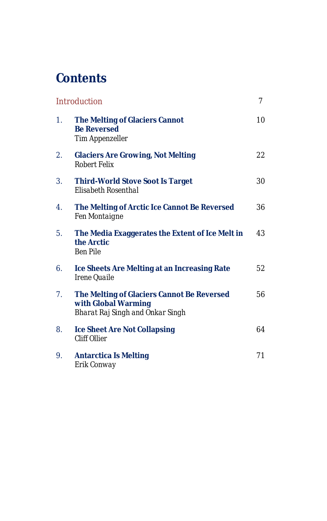## **Contents**

| Introduction |                                                                                                       | 7  |
|--------------|-------------------------------------------------------------------------------------------------------|----|
| 1.           | <b>The Melting of Glaciers Cannot</b><br><b>Be Reversed</b><br>Tim Appenzeller                        | 10 |
| 2.           | <b>Glaciers Are Growing, Not Melting</b><br><b>Robert Felix</b>                                       | 22 |
| 3.           | <b>Third-World Stove Soot Is Target</b><br>Elisabeth Rosenthal                                        | 30 |
| 4.           | The Melting of Arctic Ice Cannot Be Reversed<br>Fen Montaigne                                         | 36 |
| 5.           | The Media Exaggerates the Extent of Ice Melt in<br>the Arctic<br><b>Ben Pile</b>                      | 43 |
| 6.           | Ice Sheets Are Melting at an Increasing Rate<br>Irene Quaile                                          | 52 |
| 7.           | The Melting of Glaciers Cannot Be Reversed<br>with Global Warming<br>Bharat Raj Singh and Onkar Singh | 56 |
| 8.           | <b>Ice Sheet Are Not Collapsing</b><br>Cliff Ollier                                                   | 64 |
| 9.           | <b>Antarctica Is Melting</b><br>Erik Conway                                                           | 71 |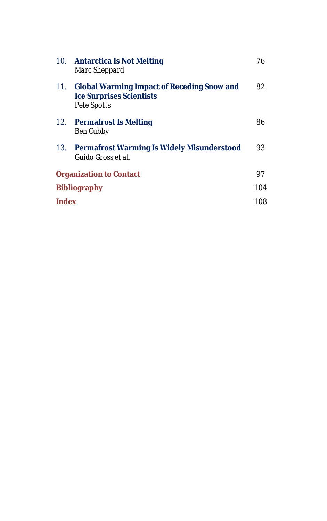| 10 <sub>1</sub>                | <b>Antarctica Is Not Melting</b><br>Marc Sheppard                                                   | 76  |
|--------------------------------|-----------------------------------------------------------------------------------------------------|-----|
| 11.                            | <b>Global Warming Impact of Receding Snow and</b><br><b>Ice Surprises Scientists</b><br>Pete Spotts | 82  |
| 12.                            | <b>Permafrost Is Melting</b><br><b>Ben Cubby</b>                                                    | 86  |
| 13.                            | <b>Permafrost Warming Is Widely Misunderstood</b><br>Guido Gross et al.                             | 93  |
| <b>Organization to Contact</b> |                                                                                                     | 97  |
| <b>Bibliography</b>            |                                                                                                     | 104 |
| <b>Index</b>                   |                                                                                                     | 108 |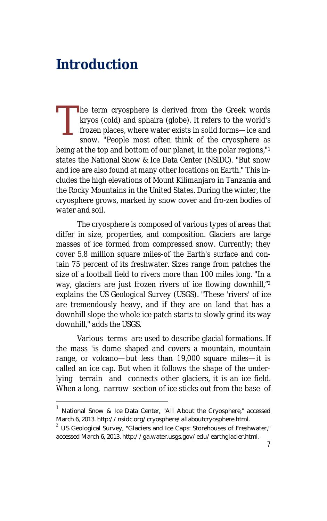## **Introduction**

 $\overline{\phantom{a}}$ 

he term cryosphere is derived from the Greek words kryos (cold) and sphaira (globe). It refers to the world's frozen places, where water exists in solid forms—ice and snow. "People most often think of the cryosphere as being at the top and bottom of our planet, in the polar regions,"<sup>1</sup> states the National Snow & Ice Data Center (NSIDC). "But snow and ice are also found at many other locations on Earth." This includes the high elevations of Mount Kilimanjaro in Tanzania and the Rocky Mountains in the United States. During the winter, the cryosphere grows, marked by snow cover and fro-zen bodies of water and soil. T

The cryosphere is composed of various types of areas that differ in size, properties, and composition. Glaciers are large masses of ice formed from compressed snow. Currently; they cover 5.8 million square miles-of the Earth's surface and contain 75 percent of its freshwater. Sizes range from patches the size of a football field to rivers more than 100 miles long. "In a way, glaciers are just frozen rivers of ice flowing downhill,"<sup>2</sup> explains the US Geological Survey (USGS). "These 'rivers' of ice are tremendously heavy, and if they are on land that has a downhill slope the whole ice patch starts to slowly grind its way downhill," adds the USGS.

Various terms are used to describe glacial formations. If the mass 'is dome shaped and covers a mountain, mountain range, or volcano—but less than 19,000 square miles—it is called an ice cap. But when it follows the shape of the underlying terrain and connects other glaciers, it is an ice field. When a long, narrow section of ice sticks out from the base of

<sup>1</sup> National Snow & Ice Data Center, "All About the Cryosphere," accessed March 6, 2013. http://nsidc.org/cryosphere/allaboutcryosphere.html.

 $2$  US Geological Survey, "Glaciers and Ice Caps: Storehouses of Freshwater," accessed March 6, 2013. http://ga.water.usgs.gov/edu/earthglacier.html.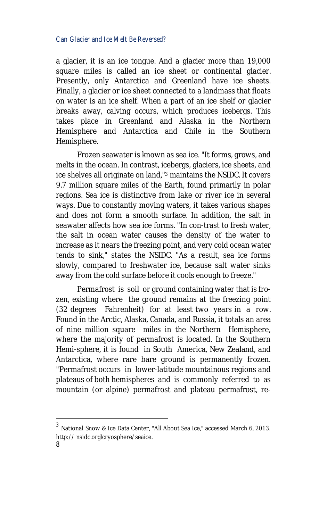a glacier, it is an ice tongue. And a glacier more than 19,000 square miles is called an ice sheet or continental glacier. Presently, only Antarctica and Greenland have ice sheets. Finally, a glacier or ice sheet connected to a landmass that floats on water is an ice shelf. When a part of an ice shelf or glacier breaks away, calving occurs, which produces icebergs. This takes place in Greenland and Alaska in the Northern Hemisphere and Antarctica and Chile in the Southern Hemisphere.

Frozen seawater is known as sea ice. "It forms, grows, and melts in the ocean. In contrast, icebergs, glaciers, ice sheets, and ice shelves all originate on land,"<sup>3</sup> maintains the NSIDC. It covers 9.7 million square miles of the Earth, found primarily in polar regions. Sea ice is distinctive from lake or river ice in several ways. Due to constantly moving waters, it takes various shapes and does not form a smooth surface. In addition, the salt in seawater affects how sea ice forms. "In con-trast to fresh water, the salt in ocean water causes the density of the water to increase as it nears the freezing point, and very cold ocean water tends to sink," states the NSIDC. "As a result, sea ice forms slowly, compared to freshwater ice, because salt water sinks away from the cold surface before it cools enough to freeze."

Permafrost is soil or ground containing water that is frozen, existing where the ground remains at the freezing point (32 degrees Fahrenheit) for at least two years in a row. Found in the Arctic, Alaska, Canada, and Russia, it totals an area of nine million square miles in the Northern Hemisphere, where the majority of permafrost is located. In the Southern Hemi-sphere, it is found in South America, New Zealand, and Antarctica, where rare bare ground is permanently frozen. "Permafrost occurs in lower-latitude mountainous regions and plateaus of both hemispheres and is commonly referred to as mountain (or alpine) permafrost and plateau permafrost, re-

 $\overline{\phantom{a}}$ 

 $^3$  National Snow & Ice Data Center, "All About Sea Ice," accessed March 6, 2013. http:// nsidc.orglcryosphere/seaice.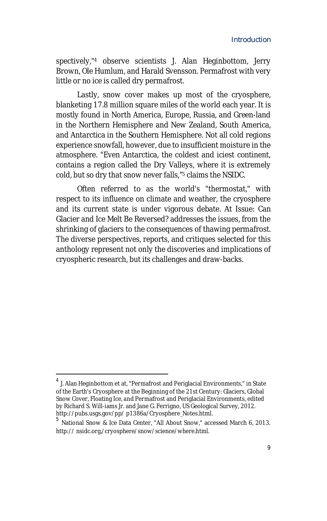#### **Introduction**

spectively,"<sup>4</sup> observe scientists J. Alan Heginbottom, Jerry Brown, Ole Humlum, and Harald Svensson. Permafrost with very little or no ice is called dry permafrost.

Lastly, snow cover makes up most of the cryosphere, blanketing 17.8 million square miles of the world each year. It is mostly found in North America, Europe, Russia, and Green-land in the Northern Hemisphere and New Zealand, South America, and Antarctica in the Southern Hemisphere. Not all cold regions experience snowfall, however, due to insufficient moisture in the atmosphere. "Even Antarctica, the coldest and iciest continent, contains a region called the Dry Valleys, where it is extremely cold, but so dry that snow never falls,"<sup>5</sup> claims the NSIDC.

Often referred to as the world's "thermostat," with respect to its influence on climate and weather, the cryosphere and its current state is under vigorous debate. At Issue: Can Glacier and Ice Melt Be Reversed? addresses the issues, from the shrinking of glaciers to the consequences of thawing permafrost. The diverse perspectives, reports, and critiques selected for this anthology represent not only the discoveries and implications of cryospheric research, but its challenges and draw-backs.

**.** 

 $^{\rm 4}$  J. Alan Heginbottom et at, "Permafrost and Periglacial Environments," in State of the Earth's Cryosphere at the Beginning of the 21st Century: Glaciers, Global Snow Cover, Floating Ice, and Permafrost and Periglacial Environments, edited by Richard S. Will-iams Jr. and Jane G. Ferrigno, US Geological Survey, 2012. http://pubs.usgs.gov/pp/ p1386a/Cryosphere\_Notes.html.

<sup>5</sup> National Snow & Ice Data Center, "All About Snow," accessed March 6, 2013. http:// nsidc.org,/cryosphere/snow/science/where.html.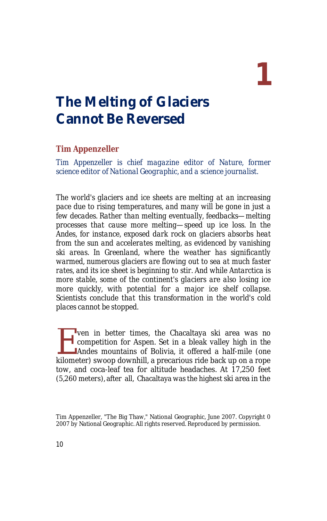**1**

## **The Melting of Glaciers Cannot Be Reversed**

#### *Tim Appenzeller*

*Tim Appenzeller is chief magazine editor of Nature, former science editor of National Geographic, and a science journalist.* 

*The world's glaciers and ice sheets are melting at an increasing pace due to rising temperatures, and many will be gone in just a few decades. Rather than melting eventually, feedbacks—melting processes that cause more melting—speed up ice loss. In the Andes, for instance, exposed dark rock on glaciers absorbs heat from the sun and accelerates melting, as evidenced by vanishing ski areas. In Greenland, where the weather has significantly warmed, numerous glaciers are flowing out to sea at much faster rates, and its ice sheet is beginning to stir. And while Antarctica is more stable, some of the continent's glaciers are also losing ice more quickly, with potential for a major ice shelf collapse. Scientists conclude that this transformation in the world's cold places cannot be stopped.* 

ven in better times, the Chacaltaya ski area was no competition for Aspen. Set in a bleak valley high in the Andes mountains of Bolivia, it offered a half-mile (one ven in better times, the Chacaltaya ski area was no<br>competition for Aspen. Set in a bleak valley high in the<br>Andes mountains of Bolivia, it offered a half-mile (one<br>kilometer) swoop downhill, a precarious ride back up on a tow, and coca-leaf tea for altitude headaches. At 17,250 feet (5,260 meters), after all, Chacaltaya was the highest ski area in the

Tim Appenzeller, "The Big Thaw," National Geographic, June 2007. Copyright 0 2007 by National Geographic. All rights reserved. Reproduced by permission.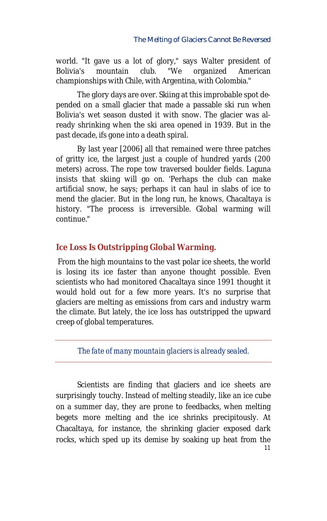world. "It gave us a lot of glory," says Walter president of Bolivia's mountain club. "We organized American championships with Chile, with Argentina, with Colombia."

The glory days are over. Skiing at this improbable spot depended on a small glacier that made a passable ski run when Bolivia's wet season dusted it with snow. The glacier was already shrinking when the ski area opened in 1939. But in the past decade, ifs gone into a death spiral.

By last year [2006] all that remained were three patches of gritty ice, the largest just a couple of hundred yards (200 meters) across. The rope tow traversed boulder fields. Laguna insists that skiing will go on. 'Perhaps the club can make artificial snow, he says; perhaps it can haul in slabs of ice to mend the glacier. But in the long run, he knows, Chacaltaya is history. "The process is irreversible. Global warming will continue."

#### **Ice Loss Is Outstripping Global Warming.**

From the high mountains to the vast polar ice sheets, the world is losing its ice faster than anyone thought possible. Even scientists who had monitored Chacaltaya since 1991 thought it would hold out for a few more years. It's no surprise that glaciers are melting as emissions from cars and industry warm the climate. But lately, the ice loss has outstripped the upward creep of global temperatures.

*The fate of many mountain glaciers is already sealed.*

11 Scientists are finding that glaciers and ice sheets are surprisingly touchy. Instead of melting steadily, like an ice cube on a summer day, they are prone to feedbacks, when melting begets more melting and the ice shrinks precipitously. At Chacaltaya, for instance, the shrinking glacier exposed dark rocks, which sped up its demise by soaking up heat from the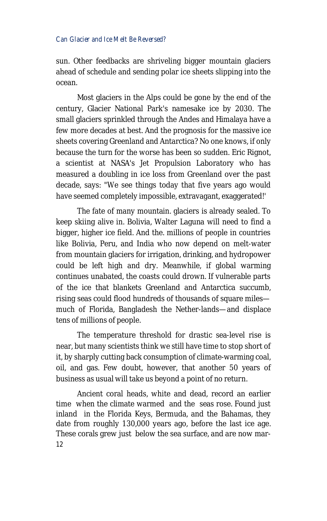sun. Other feedbacks are shriveling bigger mountain glaciers ahead of schedule and sending polar ice sheets slipping into the ocean.

Most glaciers in the Alps could be gone by the end of the century, Glacier National Park's namesake ice by 2030. The small glaciers sprinkled through the Andes and Himalaya have a few more decades at best. And the prognosis for the massive ice sheets covering Greenland and Antarctica? No one knows, if only because the turn for the worse has been so sudden. Eric Rignot, a scientist at NASA's Jet Propulsion Laboratory who has measured a doubling in ice loss from Greenland over the past decade, says: "We see things today that five years ago would have seemed completely impossible, extravagant, exaggerated!'

The fate of many mountain. glaciers is already sealed. To keep skiing alive in. Bolivia, Walter Laguna will need to find a bigger, higher ice field. And the. millions of people in countries like Bolivia, Peru, and India who now depend on melt-water from mountain glaciers for irrigation, drinking, and hydropower could be left high and dry. Meanwhile, if global warming continues unabated, the coasts could drown. If vulnerable parts of the ice that blankets Greenland and Antarctica succumb, rising seas could flood hundreds of thousands of square miles much of Florida, Bangladesh the Nether-lands—and displace tens of millions of people.

The temperature threshold for drastic sea-level rise is near, but many scientists think we still have time to stop short of it, by sharply cutting back consumption of climate-warming coal, oil, and gas. Few doubt, however, that another 50 years of business as usual will take us beyond a point of no return.

12 Ancient coral heads, white and dead, record an earlier time when the climate warmed and the seas rose. Found just inland in the Florida Keys, Bermuda, and the Bahamas, they date from roughly 130,000 years ago, before the last ice age. These corals grew just below the sea surface, and are now mar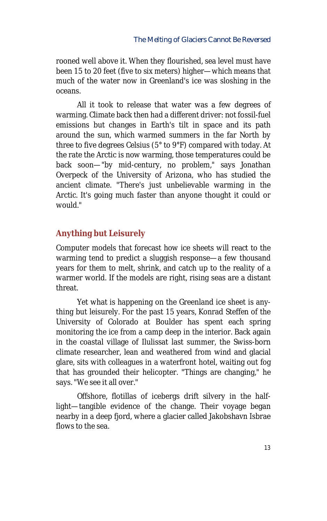rooned well above it. When they flourished, sea level must have been 15 to 20 feet (five to six meters) higher—which means that much of the water now in Greenland's ice was sloshing in the oceans.

All it took to release that water was a few degrees of warming. Climate back then had a different driver: not fossil-fuel emissions but changes in Earth's tilt in space and its path around the sun, which warmed summers in the far North by three to five degrees Celsius (5° to 9°F) compared with today. At the rate the Arctic is now warming, those temperatures could be back soon—"by mid-century, no problem," says Jonathan Overpeck of the University of Arizona, who has studied the ancient climate. "There's just unbelievable warming in the Arctic. It's going much faster than anyone thought it could or would."

#### **Anything but Leisurely**

Computer models that forecast how ice sheets will react to the warming tend to predict a sluggish response—a few thousand years for them to melt, shrink, and catch up to the reality of a warmer world. If the models are right, rising seas are a distant threat.

Yet what is happening on the Greenland ice sheet is anything but leisurely. For the past 15 years, Konrad Steffen of the University of Colorado at Boulder has spent each spring monitoring the ice from a camp deep in the interior. Back again in the coastal village of Ilulissat last summer, the Swiss-born climate researcher, lean and weathered from wind and glacial glare, sits with colleagues in a waterfront hotel, waiting out fog that has grounded their helicopter. "Things are changing," he says. "We see it all over."

Offshore, flotillas of icebergs drift silvery in the halflight—tangible evidence of the change. Their voyage began nearby in a deep fjord, where a glacier called Jakobshavn Isbrae flows to the sea.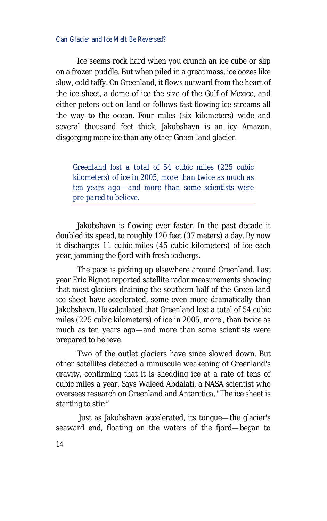Ice seems rock hard when you crunch an ice cube or slip on a frozen puddle. But when piled in a great mass, ice oozes like slow, cold taffy. On Greenland, it flows outward from the heart of the ice sheet, a dome of ice the size of the Gulf of Mexico, and either peters out on land or follows fast-flowing ice streams all the way to the ocean. Four miles (six kilometers) wide and several thousand feet thick, Jakobshavn is an icy Amazon, disgorging more ice than any other Green-land glacier.

*Greenland lost a total of 54 cubic miles (225 cubic kilometers) of ice in 2005, more than twice as much as ten years ago—and more than some scientists were pre-pared to believe.* 

Jakobshavn is flowing ever faster. In the past decade it doubled its speed, to roughly 120 feet (37 meters) a day. By now it discharges 11 cubic miles (45 cubic kilometers) of ice each year, jamming the fjord with fresh icebergs.

The pace is picking up elsewhere around Greenland. Last year Eric Rignot reported satellite radar measurements showing that most glaciers draining the southern half of the Green-land ice sheet have accelerated, some even more dramatically than Jakobshavn. He calculated that Greenland lost a total of 54 cubic miles (225 cubic kilometers) of ice in 2005, more , than twice as much as ten years ago—and more than some scientists were prepared to believe.

Two of the outlet glaciers have since slowed down. But other satellites detected a minuscule weakening of Greenland's gravity, confirming that it is shedding ice at a rate of tens of cubic miles a year. Says Waleed Abdalati, a NASA scientist who oversees research on Greenland and Antarctica, "The ice sheet is starting to stir:"

Just as Jakobshavn accelerated, its tongue—the glacier's seaward end, floating on the waters of the fjord—began to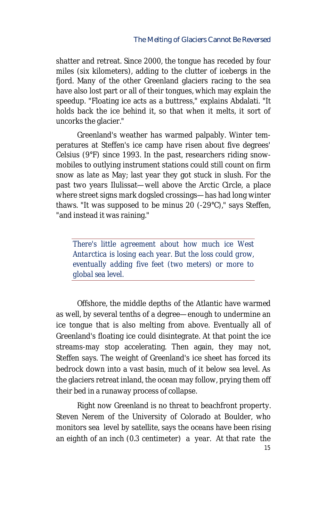shatter and retreat. Since 2000, the tongue has receded by four miles (six kilometers), adding to the clutter of icebergs in the fiord. Many of the other Greenland glaciers racing to the sea have also lost part or all of their tongues, which may explain the speedup. "Floating ice acts as a buttress," explains Abdalati. "It holds back the ice behind it, so that when it melts, it sort of uncorks the glacier."

Greenland's weather has warmed palpably. Winter temperatures at Steffen's ice camp have risen about five degrees' Celsius (9°F) since 1993. In the past, researchers riding snowmobiles to outlying instrument stations could still count on firm snow as late as May; last year they got stuck in slush. For the past two years Ilulissat—well above the Arctic Circle, a place where street signs mark dogsled crossings—has had long winter thaws. "It was supposed to be minus 20 (-29°C)," says Steffen, "and instead it was raining."

*There's little agreement about how much ice West Antarctica is losing each year. But the loss could grow, eventually adding five feet (two meters) or more to global sea level.* 

Offshore, the middle depths of the Atlantic have warmed as well, by several tenths of a degree—enough to undermine an ice tongue that is also melting from above. Eventually all of Greenland's floating ice could disintegrate. At that point the ice streams-may stop accelerating. Then again, they may not, Steffen says. The weight of Greenland's ice sheet has forced its bedrock down into a vast basin, much of it below sea level. As the glaciers retreat inland, the ocean may follow, prying them off their bed in a runaway process of collapse.

15 Right now Greenland is no threat to beachfront property. Steven Nerem of the University of Colorado at Boulder, who monitors sea level by satellite, says the oceans have been rising an eighth of an inch (0.3 centimeter) a year. At that rate the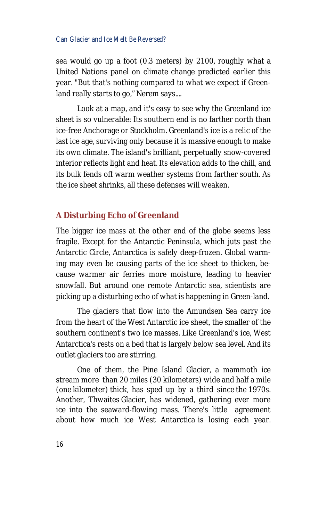sea would go up a foot (0.3 meters) by 2100, roughly what a United Nations panel on climate change predicted earlier this year. "But that's nothing compared to what we expect if Greenland really starts to go." Nerem says....

Look at a map, and it's easy to see why the Greenland ice sheet is so vulnerable: Its southern end is no farther north than ice-free Anchorage or Stockholm. Greenland's ice is a relic of the last ice age, surviving only because it is massive enough to make its own climate. The island's brilliant, perpetually snow-covered interior reflects light and heat. Its elevation adds to the chill, and its bulk fends off warm weather systems from farther south. As the ice sheet shrinks, all these defenses will weaken.

#### **A Disturbing Echo of Greenland**

The bigger ice mass at the other end of the globe seems less fragile. Except for the Antarctic Peninsula, which juts past the Antarctic Circle, Antarctica is safely deep-frozen. Global warming may even be causing parts of the ice sheet to thicken, because warmer air ferries more moisture, leading to heavier snowfall. But around one remote Antarctic sea, scientists are picking up a disturbing echo of what is happening in Green-land.

The glaciers that flow into the Amundsen Sea carry ice from the heart of the West Antarctic ice sheet, the smaller of the southern continent's two ice masses. Like Greenland's ice, West Antarctica's rests on a bed that is largely below sea level. And its outlet glaciers too are stirring.

One of them, the Pine Island Glacier, a mammoth ice stream more than 20 miles (30 kilometers) wide and half a mile (one kilometer) thick, has sped up by a third since the 1970s. Another, Thwaites Glacier, has widened, gathering ever more ice into the seaward-flowing mass. There's little agreement about how much ice West Antarctica is losing each year.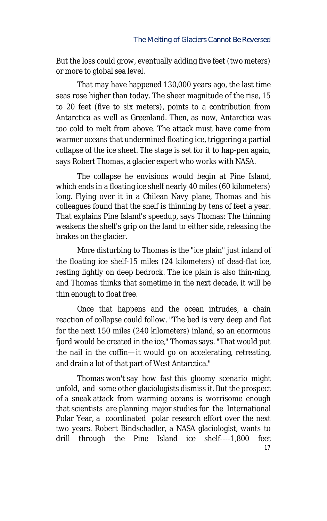But the loss could grow, eventually adding five feet (two meters) or more to global sea level.

That may have happened 130,000 years ago, the last time seas rose higher than today. The sheer magnitude of the rise, 15 to 20 feet (five to six meters), points to a contribution from Antarctica as well as Greenland. Then, as now, Antarctica was too cold to melt from above. The attack must have come from warmer oceans that undermined floating ice, triggering a partial collapse of the ice sheet. The stage is set for it to hap-pen again, says Robert Thomas, a glacier expert who works with NASA.

The collapse he envisions would begin at Pine Island, which ends in a floating ice shelf nearly 40 miles (60 kilometers) long. Flying over it in a Chilean Navy plane, Thomas and his colleagues found that the shelf is thinning by tens of feet a year. That explains Pine Island's speedup, says Thomas: The thinning weakens the shelf's grip on the land to either side, releasing the brakes on the glacier.

More disturbing to Thomas is the "ice plain" just inland of the floating ice shelf-15 miles (24 kilometers) of dead-flat ice, resting lightly on deep bedrock. The ice plain is also thin-ning, and Thomas thinks that sometime in the next decade, it will be thin enough to float free.

Once that happens and the ocean intrudes, a chain reaction of collapse could follow. "The bed is very deep and flat for the next 150 miles (240 kilometers) inland, so an enormous fjord would be created in the ice," Thomas says. "That would put the nail in the coffin—it would go on accelerating, retreating, and drain a lot of that part of West Antarctica."

17 Thomas won't say how fast this gloomy scenario might unfold, and some other glaciologists dismiss it. But the prospect of a sneak attack from warming oceans is worrisome enough that scientists are planning major studies for the International Polar Year, a coordinated polar research effort over the next two years. Robert Bindschadler, a NASA glaciologist, wants to drill through the Pine Island ice shelf----1,800 feet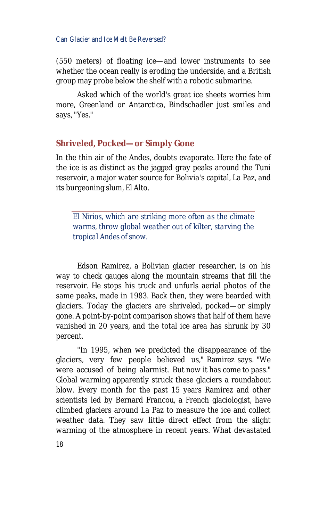(550 meters) of floating ice—and lower instruments to see whether the ocean really is eroding the underside, and a British group may probe below the shelf with a robotic submarine.

Asked which of the world's great ice sheets worries him more, Greenland or Antarctica, Bindschadler just smiles and says, "Yes."

#### **Shriveled, Pocked—or Simply Gone**

In the thin air of the Andes, doubts evaporate. Here the fate of the ice is as distinct as the jagged gray peaks around the Tuni reservoir, a major water source for Bolivia's capital, La Paz, and its burgeoning slum, El Alto.

*El Nirios, which are striking more often as the climate warms, throw global weather out of kilter, starving the tropical Andes of snow.* 

Edson Ramirez, a Bolivian glacier researcher, is on his way to check gauges along the mountain streams that fill the reservoir. He stops his truck and unfurls aerial photos of the same peaks, made in 1983. Back then, they were bearded with glaciers. Today the glaciers are shriveled, pocked—or simply gone. A point-by-point comparison shows that half of them have vanished in 20 years, and the total ice area has shrunk by 30 percent.

"In 1995, when we predicted the disappearance of the glaciers, very few people believed us," Ramirez says. "We were accused of being alarmist. But now it has come to pass." Global warming apparently struck these glaciers a roundabout blow. Every month for the past 15 years Ramirez and other scientists led by Bernard Francou, a French glaciologist, have climbed glaciers around La Paz to measure the ice and collect weather data. They saw little direct effect from the slight warming of the atmosphere in recent years. What devastated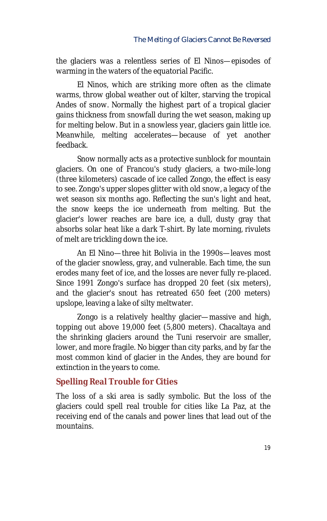the glaciers was a relentless series of El Ninos—episodes of warming in the waters of the equatorial Pacific.

El Ninos, which are striking more often as the climate warms, throw global weather out of kilter, starving the tropical Andes of snow. Normally the highest part of a tropical glacier gains thickness from snowfall during the wet season, making up for melting below. But in a snowless year, glaciers gain little ice. Meanwhile, melting accelerates—because of yet another feedback.

Snow normally acts as a protective sunblock for mountain glaciers. On one of Francou's study glaciers, a two-mile-long (three kilometers) cascade of ice called Zongo, the effect is easy to see. Zongo's upper slopes glitter with old snow, a legacy of the wet season six months ago. Reflecting the sun's light and heat, the snow keeps the ice underneath from melting. But the glacier's lower reaches are bare ice, a dull, dusty gray that absorbs solar heat like a dark T-shirt. By late morning, rivulets of melt are trickling down the ice.

An El Nino—three hit Bolivia in the 1990s—leaves most of the glacier snowless, gray, and vulnerable. Each time, the sun erodes many feet of ice, and the losses are never fully re-placed. Since 1991 Zongo's surface has dropped 20 feet (six meters), and the glacier's snout has retreated 650 feet (200 meters) upslope, leaving a lake of silty meltwater.

Zongo is a relatively healthy glacier—massive and high, topping out above 19,000 feet (5,800 meters). Chacaltaya and the shrinking glaciers around the Tuni reservoir are smaller, lower, and more fragile. No bigger than city parks, and by far the most common kind of glacier in the Andes, they are bound for extinction in the years to come.

#### **Spelling Real Trouble for Cities**

The loss of a ski area is sadly symbolic. But the loss of the glaciers could spell real trouble for cities like La Paz, at the receiving end of the canals and power lines that lead out of the mountains.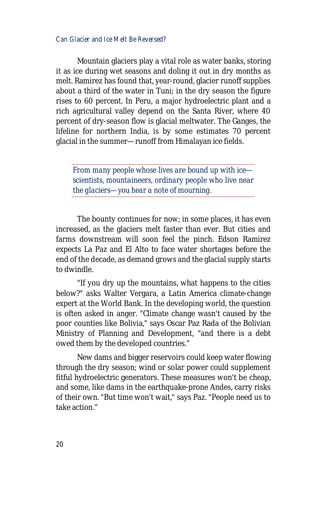Mountain glaciers play a vital role as water banks, storing it as ice during wet seasons and doling it out in dry months as melt. Ramirez has found that, year-round, glacier runoff supplies about a third of the water in Tuni; in the dry season the figure rises to 60 percent. In Peru, a major hydroelectric plant and a rich agricultural valley depend on the Santa River, where 40 percent of dry-season flow is glacial meltwater. The Ganges, the lifeline for northern India, is by some estimates 70 percent glacial in the summer—runoff from Himalayan ice fields.

*From many people whose lives are bound up with ice scientists, mountaineers, ordinary people who live near the glaciers—you hear a note of mourning.* 

The bounty continues for now; in some places, it has even increased, as the glaciers melt faster than ever. But cities and farms downstream will soon feel the pinch. Edson Ramirez expects La Paz and El Alto to face water shortages before the end of the decade, as demand grows and the glacial supply starts to dwindle.

"If you dry up the mountains, what happens to the cities below?" asks Walter Vergara, a Latin America climate-change expert at the World Bank. In the developing world, the question is often asked in anger. "Climate change wasn't caused by the poor counties like Bolivia," says Oscar Paz Rada of the Bolivian Ministry of Planning and Development, "and there is a debt owed them by the developed countries."

New dams and bigger reservoirs could keep water flowing through the dry season; wind or solar power could supplement fitful hydroelectric generators. These measures won't be cheap, and some, like dams in the earthquake-prone Andes, carry risks of their own. "But time won't wait," says Paz. "People need us to take action."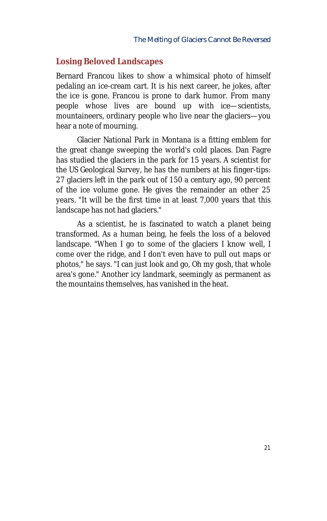#### **Losing Beloved Landscapes**

Bernard Francou likes to show a whimsical photo of himself pedaling an ice-cream cart. It is his next career, he jokes, after the ice is gone. Francou is prone to dark humor. From many people whose lives are bound up with ice—scientists, mountaineers, ordinary people who live near the glaciers—you hear a note of mourning.

Glacier National Park in Montana is a fitting emblem for the great change sweeping the world's cold places. Dan Fagre has studied the glaciers in the park for 15 years. A scientist for the US Geological Survey, he has the numbers at his finger-tips: 27 glaciers left in the park out of 150 a century ago, 90 percent of the ice volume gone. He gives the remainder an other 25 years. "It will be the first time in at least 7,000 years that this landscape has not had glaciers."

As a scientist, he is fascinated to watch a planet being transformed. As a human being, he feels the loss of a beloved landscape. "When I go to some of the glaciers I know well, I come over the ridge, and I don't even have to pull out maps or photos," he says. "I can just look and go, Oh my gosh, that whole area's gone." Another icy landmark, seemingly as permanent as the mountains themselves, has vanished in the heat.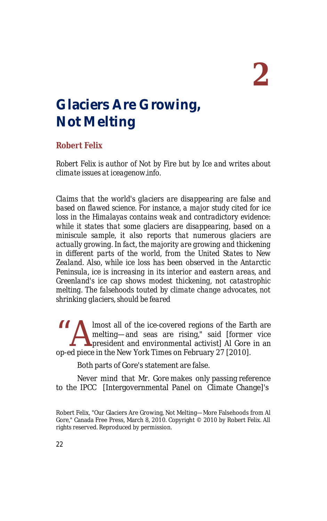**2**

## **Glaciers Are Growing, Not Melting**

#### *Robert Felix*

*Robert Felix is author of Not by Fire but by Ice and writes about climate issues at iceagenow.info.* 

*Claims that the world's glaciers are disappearing are false and based on flawed science. For instance, a major study cited for ice loss in the Himalayas contains weak and contradictory evidence: while it states that some glaciers are disappearing, based on a miniscule sample, it also reports that numerous glaciers are actually growing. In fact, the majority are growing and thickening in different parts of the world, from the United States to New Zealand. Also, while ice loss has been observed in the Antarctic Peninsula, ice is increasing in its interior and eastern areas, and Greenland's ice cap shows modest thickening, not catastrophic melting. The falsehoods touted by climate change advocates, not shrinking glaciers, should be feared*

lmost all of the ice-covered regions of the Earth are melting—and seas are rising," said [former vice president and environmental activist] Al Gore in an II Moost all of the ice-covered regions of the Eart<br>melting—and seas are rising," said [former<br>op-ed piece in the New York Times on February 27 [2010].

Both parts of Gore's statement are false.

Never mind that Mr. Gore makes only passing reference to the IPCC [Intergovernmental Panel on Climate Change]'s

Robert Felix, "Our Glaciers Are Growing, Not Melting—More Falsehoods from Al Gore," Canada Free Press, March 8, 2010. Copyright © 2010 by Robert Felix. All rights reserved. Reproduced by permission.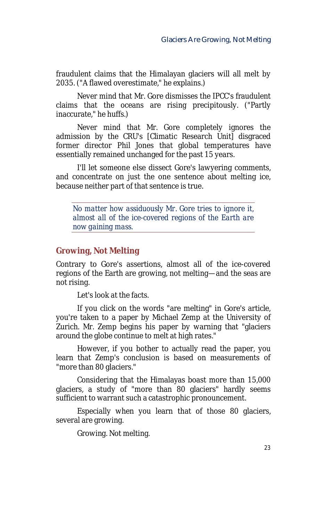fraudulent claims that the Himalayan glaciers will all melt by 2035. ("A flawed overestimate," he explains.)

Never mind that Mr. Gore dismisses the IPCC's fraudulent claims that the oceans are rising precipitously. ("Partly inaccurate," he huffs.)

Never mind that Mr. Gore completely ignores the admission by the CRU's [Climatic Research Unit] disgraced former director Phil Jones that global temperatures have essentially remained unchanged for the past 15 years.

I'll let someone else dissect Gore's lawyering comments, and concentrate on just the one sentence about melting ice, because neither part of that sentence is true.

*No matter how assiduously Mr. Gore tries to ignore it, almost all of the ice-covered regions of the Earth are now gaining mass.*

#### **Growing, Not Melting**

Contrary to Gore's assertions, almost all of the ice-covered regions of the Earth are growing, not melting—and the seas are not rising.

Let's look at the facts.

If you click on the words "are melting" in Gore's article, you're taken to a paper by Michael Zemp at the University of Zurich. Mr. Zemp begins his paper by warning that "glaciers around the globe continue to melt at high rates."

However, if you bother to actually read the paper, you learn that Zemp's conclusion is based on measurements of "more than 80 glaciers."

Considering that the Himalayas boast more than 15,000 glaciers, a study of "more than 80 glaciers" hardly seems sufficient to warrant such a catastrophic pronouncement.

Especially when you learn that of those 80 glaciers, several are growing.

Growing. Not melting.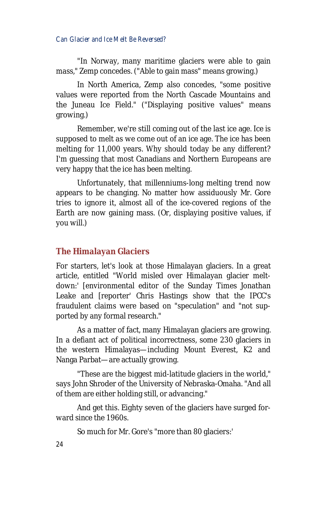"In Norway, many maritime glaciers were able to gain mass," Zemp concedes. ("Able to gain mass" means growing.)

In North America, Zemp also concedes, "some positive values were reported from the North Cascade Mountains and the Juneau Ice Field." ("Displaying positive values" means growing.)

Remember, we're still coming out of the last ice age. Ice is supposed to melt as we come out of an ice age. The ice has been melting for 11,000 years. Why should today be any different? I'm guessing that most Canadians and Northern Europeans are very happy that the ice has been melting.

Unfortunately, that millenniums-long melting trend now appears to be changing. No matter how assiduously Mr. Gore tries to ignore it, almost all of the ice-covered regions of the Earth are now gaining mass. (Or, displaying positive values, if you will.)

#### **The Himalayan Glaciers**

For starters, let's look at those Himalayan glaciers. In a great article, entitled "World misled over Himalayan glacier meltdown:' [environmental editor of the Sunday Times Jonathan Leake and [reporter' Chris Hastings show that the IPCC's fraudulent claims were based on "speculation" and "not supported by any formal research."

As a matter of fact, many Himalayan glaciers are growing. In a defiant act of political incorrectness, some 230 glaciers in the western Himalayas—including Mount Everest, K2 and Nanga Parbat—are actually growing.

"These are the biggest mid-latitude glaciers in the world," says John Shroder of the University of Nebraska-Omaha. "And all of them are either holding still, or advancing."

And get this. Eighty seven of the glaciers have surged forward since the 1960s.

So much for Mr. Gore's "more than 80 glaciers:'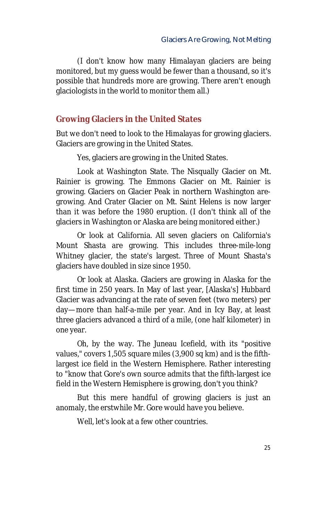(I don't know how many Himalayan glaciers are being monitored, but my guess would be fewer than a thousand, so it's possible that hundreds more are growing. There aren't enough glaciologists in the world to monitor them all.)

#### **Growing Glaciers in the United States**

But we don't need to look to the Himalayas for growing glaciers. Glaciers are growing in the United States.

Yes, glaciers are growing in the United States.

Look at Washington State. The Nisqually Glacier on Mt. Rainier is growing. The Emmons Glacier on Mt. Rainier is growing. Glaciers on Glacier Peak in northern Washington aregrowing. And Crater Glacier on Mt. Saint Helens is now larger than it was before the 1980 eruption. (I don't think all of the glaciers in Washington or Alaska are being monitored either.)

Or look at California. All seven glaciers on California's Mount Shasta are growing. This includes three-mile-long Whitney glacier, the state's largest. Three of Mount Shasta's glaciers have doubled in size since 1950.

Or look at Alaska. Glaciers are growing in Alaska for the first time in 250 years. In May of last year, [Alaska's] Hubbard Glacier was advancing at the rate of seven feet (two meters) per day—more than half-a-mile per year. And in Icy Bay, at least three glaciers advanced a third of a mile, (one half kilometer) in one year.

Oh, by the way. The Juneau Icefield, with its "positive values," covers 1,505 square miles (3,900 sq km) and is the fifthlargest ice field in the Western Hemisphere. Rather interesting to "know that Gore's own source admits that the fifth-largest ice field in the Western Hemisphere is growing, don't you think?

But this mere handful of growing glaciers is just an anomaly, the erstwhile Mr. Gore would have you believe.

Well, let's look at a few other countries.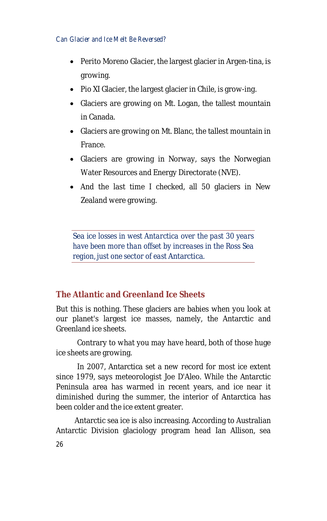- Perito Moreno Glacier, the largest glacier in Argen-tina, is growing.
- Pio XI Glacier, the largest glacier in Chile, is grow-ing.
- Glaciers are growing on Mt. Logan, the tallest mountain in Canada.
- Glaciers are growing on Mt. Blanc, the tallest mountain in France.
- Glaciers are growing in Norway, says the Norwegian Water Resources and Energy Directorate (NVE).
- And the last time I checked, all 50 glaciers in New Zealand were growing.

Sea ice *losses in west Antarctica over the past 30 years have been more than offset by increases in the Ross Sea region, just one sector of east* Antarctica.

#### **The Atlantic and Greenland Ice Sheets**

But this is nothing. These glaciers are babies when you look at our planet's largest ice masses, namely, the Antarctic and Greenland ice sheets.

Contrary to what you may have heard, both of those huge ice sheets are growing.

In 2007, Antarctica set a new record for most ice extent since 1979, says meteorologist Joe D'Aleo. While the Antarctic Peninsula area has warmed in recent years, and ice near it diminished during the summer, the interior of Antarctica has been colder and the ice extent greater.

 Antarctic sea ice is also increasing. According to Australian Antarctic Division glaciology program head Ian Allison, sea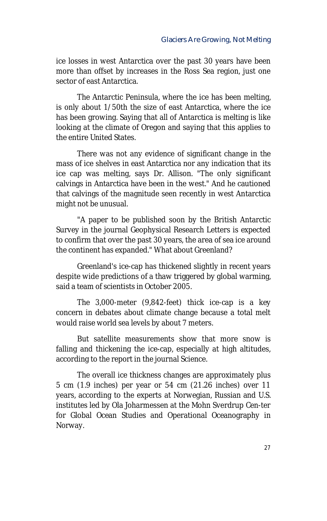ice losses in west Antarctica over the past 30 years have been more than offset by increases in the Ross Sea region, just one sector of east Antarctica.

The Antarctic Peninsula, where the ice has been melting, is only about 1/50th the size of east Antarctica, where the ice has been growing. Saying that all of Antarctica is melting is like looking at the climate of Oregon and saying that this applies to the entire United States.

There was not any evidence of significant change in the mass of ice shelves in east Antarctica nor any indication that its ice cap was melting, says Dr. Allison. "The only significant calvings in Antarctica have been in the west." And he cautioned that calvings of the magnitude seen recently in west Antarctica might not be unusual.

"A paper to be published soon by the British Antarctic Survey in the journal Geophysical Research Letters is expected to confirm that over the past 30 years, the area of sea ice around the continent has expanded." What about Greenland?

Greenland's ice-cap has thickened slightly in recent years despite wide predictions of a thaw triggered by global warming, said a team of scientists in October 2005.

The 3,000-meter (9,842-feet) thick ice-cap is a key concern in debates about climate change because a total melt would raise world sea levels by about 7 meters.

But satellite measurements show that more snow is falling and thickening the ice-cap, especially at high altitudes, according to the report in the journal Science.

The overall ice thickness changes are approximately plus 5 cm (1.9 inches) per year or 54 cm (21.26 inches) over 11 years, according to the experts at Norwegian, Russian and U.S. institutes led by Ola Joharmessen at the Mohn Sverdrup Cen-ter for Global Ocean Studies and Operational Oceanography in Norway.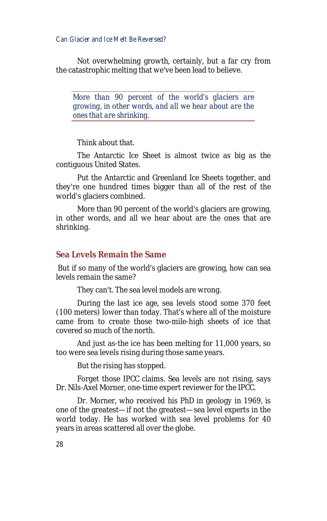Not overwhelming growth, certainly, but a far cry from the catastrophic melting that we've been lead to believe.

*More than 90 percent of the world's glaciers are growing, in other words, and all we hear about are the ones that are shrinking.* 

Think about that.

The Antarctic Ice Sheet is almost twice as big as the contiguous United States.

Put the Antarctic and Greenland Ice Sheets together, and they're one hundred times bigger than all of the rest of the world's glaciers combined.

More than 90 percent of the world's glaciers are growing, in other words, and all we hear about are the ones that are shrinking.

#### **Sea Levels Remain the Same**

But if so many of the world's glaciers are growing, how can sea levels remain the same?

They can't. The sea level models are wrong.

During the last ice age, sea levels stood some 370 feet (100 meters) lower than today. That's where all of the moisture came from to create those two-mile-high sheets of ice that covered so much of the north.

And just as-the ice has been melting for 11,000 years, so too were sea levels rising during those same years.

But the rising has stopped.

Forget those IPCC claims. Sea levels are not rising, says Dr. Nils-Axel Morner, one-time expert reviewer for the IPCC.

Dr. Morner, who received his PhD in geology in 1969, is one of the greatest—if not the greatest—sea level experts in the world today. He has worked with sea level problems for 40 years in areas scattered all over the globe.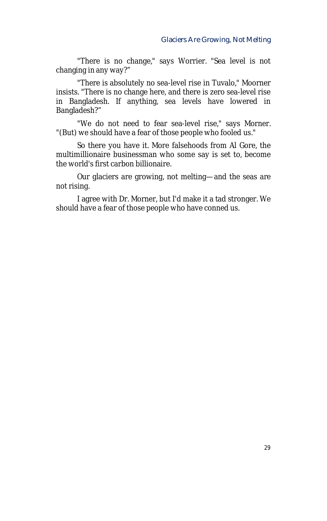"There is no change," says Worrier. "Sea level is not changing in any way?"

"There is absolutely no sea-level rise in Tuvalo," Moorner insists. "There is no change here, and there is zero sea-level rise in Bangladesh. If anything, sea levels have lowered in Bangladesh?"

"We do not need to fear sea-level rise," says Morner. "(But) we should have a fear of those people who fooled us."

So there you have it. More falsehoods from Al Gore, the multimillionaire businessman who some say is set to, become the world's first carbon billionaire.

Our glaciers are growing, not melting—and the seas are not rising.

I agree with Dr. Morner, but I'd make it a tad stronger. We should have a fear of those people who have conned us.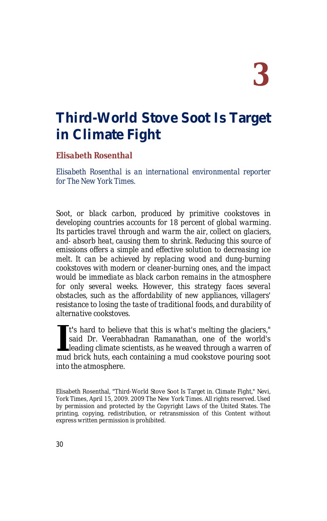## **Third-World Stove Soot Is Target in Climate Fight**

*Elisabeth Rosenthal* 

*Elisabeth Rosenthal is an international environmental reporter for The New York Times.* 

*Soot, or black carbon, produced by primitive cookstoves in developing countries accounts for 18 percent of global warming. Its particles travel through and warm the air, collect on glaciers, and- absorb heat, causing them to shrink. Reducing this source of emissions offers a simple and effective solution to decreasing ice melt. It can be achieved by replacing wood and dung-burning cookstoves with modern or cleaner-burning ones, and the impact would be immediate as black carbon remains in the atmosphere for only several weeks. However, this strategy faces several obstacles, such as the affordability of new appliances, villagers' resistance to losing the taste of traditional foods, and durability of alternative cookstoves.* 

t**'**s hard to believe that this is what's melting the glaciers," said Dr. Veerabhadran Ramanathan, one of the world's leading climate scientists, as he weaved through a warren of It's hard to believe that this is what's melting the glaciers,"<br>said Dr. Veerabhadran Ramanathan, one of the world's<br>leading climate scientists, as he weaved through a warren of<br>mud brick huts, each containing a mud cookst into the atmosphere.

Elisabeth Rosenthal, "Third-World Stove Soot Is Target in. Climate Fight," Nevi, York Times, April 15, 2009. 2009 The New York Times. All rights reserved. Used by permission and protected by the Copyright Laws of the United States. The printing, copying, redistribution, or retransmission of this Content without express written permission is prohibited.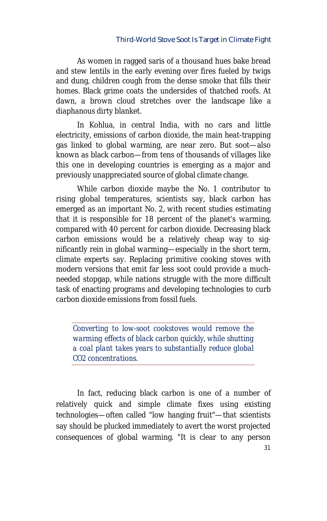As women in ragged saris of a thousand hues bake bread and stew lentils in the early evening over fires fueled by twigs and dung, children cough from the dense smoke that fills their homes. Black grime coats the undersides of thatched roofs. At dawn, a brown cloud stretches over the landscape like a diaphanous dirty blanket.

In Kohlua, in central India, with no cars and little electricity, emissions of carbon dioxide, the main heat-trapping gas linked to global warming, are near zero. But soot—also known as black carbon—from tens of thousands of villages like this one in developing countries is emerging as a major and previously unappreciated source of global climate change.

While carbon dioxide maybe the No. 1 contributor to rising global temperatures, scientists say, black carbon has emerged as an important No. 2, with recent studies estimating that it is responsible for 18 percent of the planet's warming, compared with 40 percent for carbon dioxide. Decreasing black carbon emissions would be a relatively cheap way to significantly rein in global warming—especially in the short term, climate experts say. Replacing primitive cooking stoves with modern versions that emit far less soot could provide a muchneeded stopgap, while nations struggle with the more difficult task of enacting programs and developing technologies to curb carbon dioxide emissions from fossil fuels.

*Converting to low-soot cookstoves would remove the warming effects of black carbon quickly, while shutting a coal plant takes years to substantially reduce global CO2 concentrations.* 

31 In fact, reducing black carbon is one of a number of relatively quick and simple climate fixes using existing technologies—often called "low hanging fruit"—that scientists say should be plucked immediately to avert the worst projected consequences of global warming. "It is clear to any person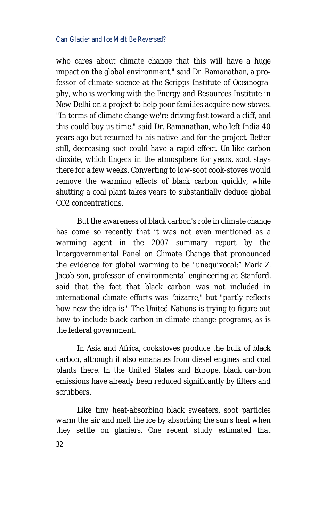who cares about climate change that this will have a huge impact on the global environment," said Dr. Ramanathan, a professor of climate science at the Scripps Institute of Oceanography, who is working with the Energy and Resources Institute in New Delhi on a project to help poor families acquire new stoves. "In terms of climate change we're driving fast toward a cliff, and this could buy us time," said Dr. Ramanathan, who left India 40 years ago but returned to his native land for the project. Better still, decreasing soot could have a rapid effect. Un-like carbon dioxide, which lingers in the atmosphere for years, soot stays there for a few weeks. Converting to low-soot cook-stoves would remove the warming effects of black carbon quickly, while shutting a coal plant takes years to substantially deduce global CO2 concentrations.

But the awareness of black carbon's role in climate change has come so recently that it was not even mentioned as a warming agent in the 2007 summary report by the Intergovernmental Panel on Climate Change that pronounced the evidence for global warming to be "unequivocal:" Mark Z. Jacob-son, professor of environmental engineering at Stanford, said that the fact that black carbon was not included in international climate efforts was "bizarre," but "partly reflects how new the idea is." The United Nations is trying to figure out how to include black carbon in climate change programs, as is the federal government.

In Asia and Africa, cookstoves produce the bulk of black carbon, although it also emanates from diesel engines and coal plants there. In the United States and Europe, black car-bon emissions have already been reduced significantly by filters and scrubbers.

Like tiny heat-absorbing black sweaters, soot particles warm the air and melt the ice by absorbing the sun's heat when they settle on glaciers. One recent study estimated that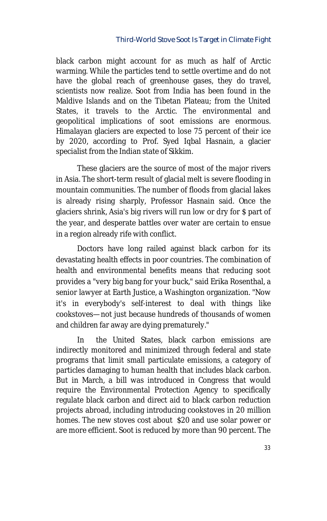#### Third-World Stove Soot Is Target in Climate Fight

black carbon might account for as much as half of Arctic warming. While the particles tend to settle overtime and do not have the global reach of greenhouse gases, they do travel, scientists now realize. Soot from India has been found in the Maldive Islands and on the Tibetan Plateau; from the United States, it travels to the Arctic. The environmental and geopolitical implications of soot emissions are enormous. Himalayan glaciers are expected to lose 75 percent of their ice by 2020, according to Prof. Syed Iqbal Hasnain, a glacier specialist from the Indian state of Sikkim.

These glaciers are the source of most of the major rivers in Asia. The short-term result of glacial melt is severe flooding in mountain communities. The number of floods from glacial lakes is already rising sharply, Professor Hasnain said. Once the glaciers shrink, Asia's big rivers will run low or dry for \$ part of the year, and desperate battles over water are certain to ensue in a region already rife with conflict.

Doctors have long railed against black carbon for its devastating health effects in poor countries. The combination of health and environmental benefits means that reducing soot provides a "very big bang for your buck," said Erika Rosenthal, a senior lawyer at Earth Justice, a Washington organization. "Now it's in everybody's self-interest to deal with things like cookstoves—not just because hundreds of thousands of women and children far away are dying prematurely."

In the United States, black carbon emissions are indirectly monitored and minimized through federal and state programs that limit small particulate emissions, a category of particles damaging to human health that includes black carbon. But in March, a bill was introduced in Congress that would require the Environmental Protection Agency to specifically regulate black carbon and direct aid to black carbon reduction projects abroad, including introducing cookstoves in 20 million homes. The new stoves cost about \$20 and use solar power or are more efficient. Soot is reduced by more than 90 percent. The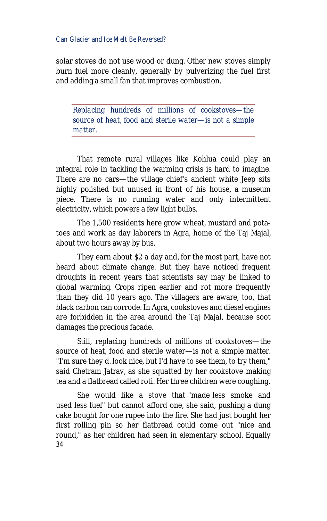solar stoves do not use wood or dung. Other new stoves simply burn fuel more cleanly, generally by pulverizing the fuel first and adding a small fan that improves combustion.

*Replacing hundreds of millions of cookstoves—the source of heat, food and sterile water—is not a simple matter.* 

That remote rural villages like Kohlua could play an integral role in tackling the warming crisis is hard to imagine. There are no cars—the village chief's ancient white Jeep sits highly polished but unused in front of his house, a museum piece. There is no running water and only intermittent electricity, which powers a few light bulbs.

The 1,500 residents here grow wheat, mustard and potatoes and work as day laborers in Agra, home of the Taj Majal, about two hours away by bus.

They earn about \$2 a day and, for the most part, have not heard about climate change. But they have noticed frequent droughts in recent years that scientists say may be linked to global warming. Crops ripen earlier and rot more frequently than they did 10 years ago. The villagers are aware, too, that black carbon can corrode. In Agra, cookstoves and diesel engines are forbidden in the area around the Taj Majal, because soot damages the precious facade.

Still, replacing hundreds of millions of cookstoves—the source of heat, food and sterile water—is not a simple matter. "I'm sure they d. look nice, but I'd have to see them, to try them," said Chetram Jatray, as she squatted by her cookstove making tea and a flatbread called roti. Her three children were coughing.

34 She would like a stove that "made less smoke and used less fuel" but cannot afford one, she said, pushing a dung cake bought for one rupee into the fire. She had just bought her first rolling pin so her flatbread could come out "nice and round," as her children had seen in elementary school. Equally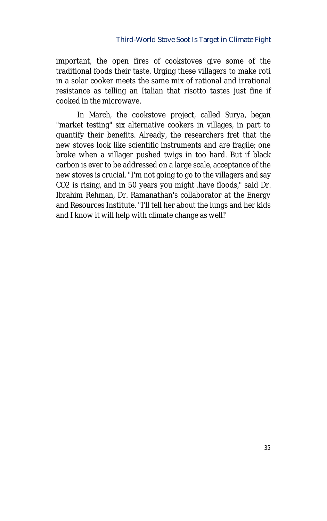important, the open fires of cookstoves give some of the traditional foods their taste. Urging these villagers to make roti in a solar cooker meets the same mix of rational and irrational resistance as telling an Italian that risotto tastes just fine if cooked in the microwave.

In March, the cookstove project, called Surya, began "market testing" six alternative cookers in villages, in part to quantify their benefits. Already, the researchers fret that the new stoves look like scientific instruments and are fragile; one broke when a villager pushed twigs in too hard. But if black carbon is ever to be addressed on a large scale, acceptance of the new stoves is crucial. "I'm not going to go to the villagers and say CO2 is rising, and in 50 years you might .have floods," said Dr. Ibrahim Rehman, Dr. Ramanathan's collaborator at the Energy and Resources Institute. "I'll tell her about the lungs and her kids and I know it will help with climate change as well!'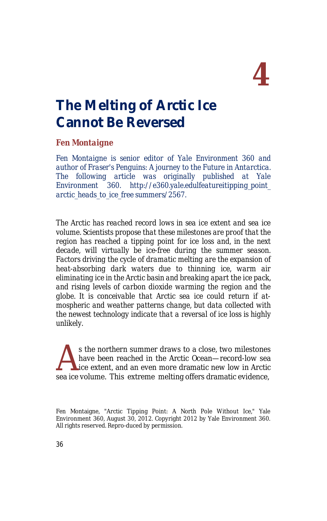# **4**

## **The Melting of Arctic Ice Cannot Be Reversed**

#### *Fen Montaigne*

*Fen Montaigne is senior editor of Yale Environment 360 and author of Fraser's Penguins: A journey to the Future in Antarctica. The following article was originally published at Yale Environment 360. http://e360.yale.edulfeatureitipping\_point\_ arctic\_heads\_to\_ice\_free summers/2567.* 

*The Arctic has reached record lows in sea ice extent and sea ice volume. Scientists propose that these milestones are proof that the region has reached a tipping point for ice loss and, in the next decade, will virtually be ice-free during the summer season. Factors driving the cycle of dramatic melting are the expansion of heat-absorbing dark waters due to thinning ice, warm air eliminating ice in the Arctic basin and breaking apart the ice pack, and rising levels of carbon dioxide warming the region and the globe. It is conceivable that Arctic sea ice could return if atmospheric and weather patterns change, but data collected with the newest technology indicate that a reversal of ice loss is highly unlikely.* 

s the northern summer draws to a close, two milestones have been reached in the Arctic Ocean—record-low sea lice extent, and an even more dramatic new low in Arctic s the northern summer draws to a close, two milestones<br>have been reached in the Arctic Ocean—record-low sea<br>ice volume. This extreme melting offers dramatic evidence,

Fen Montaigne, "Arctic Tipping Point: A North Pole Without Ice," Yale Environment 360, August 30, 2012. Copyright 2012 by Yale Environment 360. All rights reserved. Repro-duced by permission.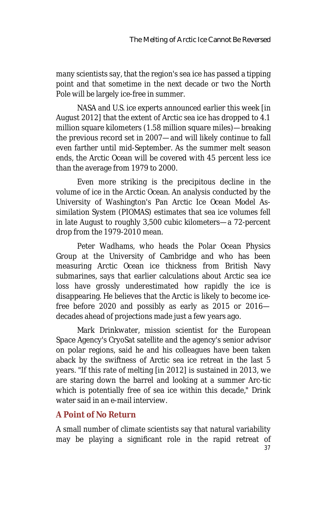many scientists say, that the region's sea ice has passed a tipping point and that sometime in the next decade or two the North Pole will be largely ice-free in summer.

NASA and U.S. ice experts announced earlier this week [in August 2012] that the extent of Arctic sea ice has dropped to 4.1 million square kilometers (1.58 million square miles)—breaking the previous record set in 2007—and will likely continue to fall even farther until mid-September. As the summer melt season ends, the Arctic Ocean will be covered with 45 percent less ice than the average from 1979 to 2000.

Even more striking is the precipitous decline in the volume of ice in the Arctic Ocean. An analysis conducted by the University of Washington's Pan Arctic Ice Ocean Model Assimilation System (PIOMAS) estimates that sea ice volumes fell in late August to roughly 3,500 cubic kilometers—a 72-percent drop from the 1979-2010 mean.

Peter Wadhams, who heads the Polar Ocean Physics Group at the University of Cambridge and who has been measuring Arctic Ocean ice thickness from British Navy submarines, says that earlier calculations about Arctic sea ice loss have grossly underestimated how rapidly the ice is disappearing. He believes that the Arctic is likely to become icefree before 2020 and possibly as early as 2015 or 2016 decades ahead of projections made just a few years ago.

Mark Drinkwater, mission scientist for the European Space Agency's CryoSat satellite and the agency's senior advisor on polar regions, said he and his colleagues have been taken aback by the swiftness of Arctic sea ice retreat in the last 5 years. "If this rate of melting [in 2012] is sustained in 2013, we are staring down the barrel and looking at a summer Arc-tic which is potentially free of sea ice within this decade," Drink water said in an e-mail interview.

## **A Point of No Return**

37 A small number of climate scientists say that natural variability may be playing a significant role in the rapid retreat of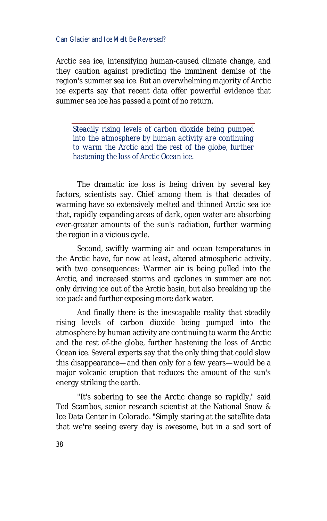Arctic sea ice, intensifying human-caused climate change, and they caution against predicting the imminent demise of the region's summer sea ice. But an overwhelming majority of Arctic ice experts say that recent data offer powerful evidence that summer sea ice has passed a point of no return.

*Steadily rising levels of carbon dioxide being pumped into the atmosphere by human activity are continuing to warm the Arctic and the rest of the globe, further hastening the loss of Arctic Ocean ice.* 

The dramatic ice loss is being driven by several key factors, scientists say. Chief among them is that decades of warming have so extensively melted and thinned Arctic sea ice that, rapidly expanding areas of dark, open water are absorbing ever-greater amounts of the sun's radiation, further warming the region in a vicious cycle.

Second, swiftly warming air and ocean temperatures in the Arctic have, for now at least, altered atmospheric activity, with two consequences: Warmer air is being pulled into the Arctic, and increased storms and cyclones in summer are not only driving ice out of the Arctic basin, but also breaking up the ice pack and further exposing more dark water.

And finally there is the inescapable reality that steadily rising levels of carbon dioxide being pumped into the atmosphere by human activity are continuing to warm the Arctic and the rest of-the globe, further hastening the loss of Arctic Ocean ice. Several experts say that the only thing that could slow this disappearance—and then only for a few years—would be a major volcanic eruption that reduces the amount of the sun's energy striking the earth.

"It's sobering to see the Arctic change so rapidly," said Ted Scambos, senior research scientist at the National Snow & Ice Data Center in Colorado. "Simply staring at the satellite data that we're seeing every day is awesome, but in a sad sort of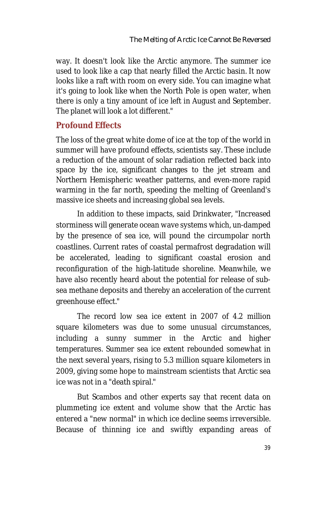way. It doesn't look like the Arctic anymore. The summer ice used to look like a cap that nearly filled the Arctic basin. It now looks like a raft with room on every side. You can imagine what it's going to look like when the North Pole is open water, when there is only a tiny amount of ice left in August and September. The planet will look a lot different."

## **Profound Effects**

The loss of the great white dome of ice at the top of the world in summer will have profound effects, scientists say. These include a reduction of the amount of solar radiation reflected back into space by the ice, significant changes to the jet stream and Northern Hemispheric weather patterns, and even-more rapid warming in the far north, speeding the melting of Greenland's massive ice sheets and increasing global sea levels.

In addition to these impacts, said Drinkwater, "Increased storminess will generate ocean wave systems which, un-damped by the presence of sea ice, will pound the circumpolar north coastlines. Current rates of coastal permafrost degradation will be accelerated, leading to significant coastal erosion and reconfiguration of the high-latitude shoreline. Meanwhile, we have also recently heard about the potential for release of subsea methane deposits and thereby an acceleration of the current greenhouse effect."

The record low sea ice extent in 2007 of 4.2 million square kilometers was due to some unusual circumstances, including a sunny summer in the Arctic and higher temperatures. Summer sea ice extent rebounded somewhat in the next several years, rising to 5.3 million square kilometers in 2009, giving some hope to mainstream scientists that Arctic sea ice was not in a "death spiral."

But Scambos and other experts say that recent data on plummeting ice extent and volume show that the Arctic has entered a "new normal" in which ice decline seems irreversible. Because of thinning ice and swiftly expanding areas of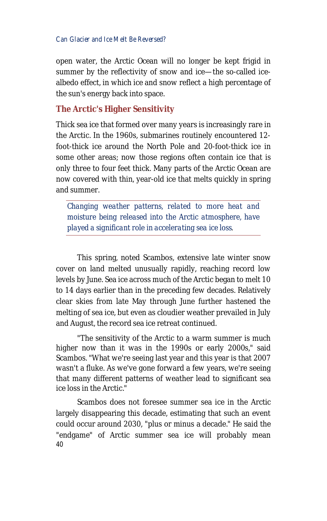open water, the Arctic Ocean will no longer be kept frigid in summer by the reflectivity of snow and ice—the so-called icealbedo effect, in which ice and snow reflect a high percentage of the sun's energy back into space.

## **The Arctic's Higher Sensitivity**

Thick sea ice that formed over many years is increasingly rare in the Arctic. In the 1960s, submarines routinely encountered 12 foot-thick ice around the North Pole and 20-foot-thick ice in some other areas; now those regions often contain ice that is only three to four feet thick. Many parts of the Arctic Ocean are now covered with thin, year-old ice that melts quickly in spring and summer.

*Changing weather patterns, related to more heat and moisture being released into the Arctic atmosphere, have played a significant role in accelerating sea ice loss.* 

This spring, noted Scambos, extensive late winter snow cover on land melted unusually rapidly, reaching record low levels by June. Sea ice across much of the Arctic began to melt 10 to 14 days earlier than in the preceding few decades. Relatively clear skies from late May through June further hastened the melting of sea ice, but even as cloudier weather prevailed in July and August, the record sea ice retreat continued.

"The sensitivity of the Arctic to a warm summer is much higher now than it was in the 1990s or early 2000s," said Scambos. "What we're seeing last year and this year is that 2007 wasn't a fluke. As we've gone forward a few years, we're seeing that many different patterns of weather lead to significant sea ice loss in the Arctic."

40 Scambos does not foresee summer sea ice in the Arctic largely disappearing this decade, estimating that such an event could occur around 2030, "plus or minus a decade." He said the "endgame" of Arctic summer sea ice will probably mean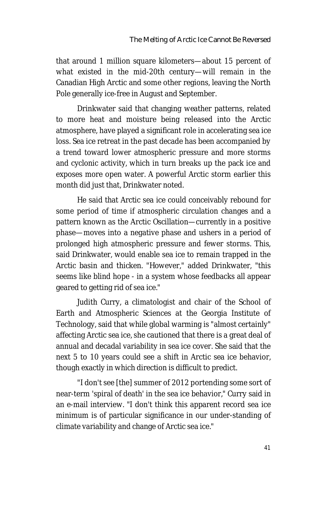that around 1 million square kilometers—about 15 percent of what existed in the mid-20th century—will remain in the Canadian High Arctic and some other regions, leaving the North Pole generally ice-free in August and September.

Drinkwater said that changing weather patterns, related to more heat and moisture being released into the Arctic atmosphere, have played a significant role in accelerating sea ice loss. Sea ice retreat in the past decade has been accompanied by a trend toward lower atmospheric pressure and more storms and cyclonic activity, which in turn breaks up the pack ice and exposes more open water. A powerful Arctic storm earlier this month did just that, Drinkwater noted.

He said that Arctic sea ice could conceivably rebound for some period of time if atmospheric circulation changes and a pattern known as the Arctic Oscillation—currently in a positive phase—moves into a negative phase and ushers in a period of prolonged high atmospheric pressure and fewer storms. This, said Drinkwater, would enable sea ice to remain trapped in the Arctic basin and thicken. "However," added Drinkwater, "this seems like blind hope - in a system whose feedbacks all appear geared to getting rid of sea ice."

Judith Curry, a climatologist and chair of the School of Earth and Atmospheric Sciences at the Georgia Institute of Technology, said that while global warming is "almost certainly" affecting Arctic sea ice, she cautioned that there is a great deal of annual and decadal variability in sea ice cover. She said that the next 5 to 10 years could see a shift in Arctic sea ice behavior, though exactly in which direction is difficult to predict.

"I don't see [the] summer of 2012 portending some sort of near-term 'spiral of death' in the sea ice behavior," Curry said in an e-mail interview. "I don't think this apparent record sea ice minimum is of particular significance in our under-standing of climate variability and change of Arctic sea ice."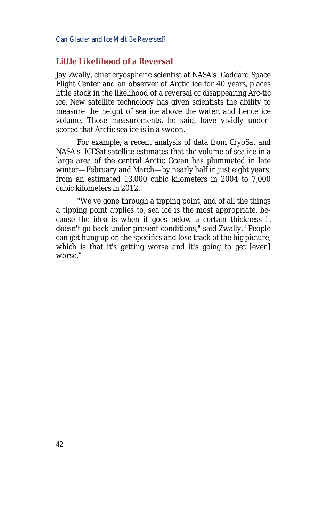### **Little Likelihood of a Reversal**

Jay Zwally, chief cryospheric scientist at NASA's Goddard Space Flight Center and an observer of Arctic ice for 40 years, places little stock in the likelihood of a reversal of disappearing Arc-tic ice. New satellite technology has given scientists the ability to measure the height of sea ice above the water, and hence ice volume. Those measurements, he said, have vividly underscored that Arctic sea ice is in a swoon.

For example, a recent analysis of data from CryoSat and NASA's ICESat satellite estimates that the volume of sea ice in a large area of the central Arctic Ocean has plummeted in late winter—February and March—by nearly half in just eight years, from an estimated 13,000 cubic kilometers in 2004 to 7,000 cubic kilometers in 2012.

"We've gone through a tipping point, and of all the things a tipping point applies to, sea ice is the most appropriate, because the idea is when it goes below a certain thickness it doesn't go back under present conditions," said Zwally. "People can get hung up on the specifics and lose track of the big picture, which is that it's getting worse and it's going to get [even] worse."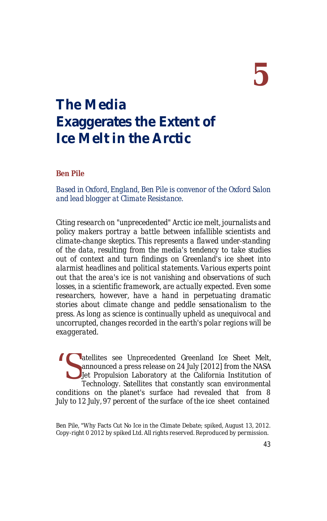**5**

# **The Media Exaggerates the Extent of Ice Melt in the Arctic**

### *Ben Pile*

*Based in Oxford, England, Ben Pile is convenor of the Oxford Salon and lead blogger at Climate Resistance.* 

*Citing research on "unprecedented" Arctic ice melt, journalists and policy makers portray a battle between infallible scientists and climate-change skeptics. This represents a flawed under-standing of the data, resulting from the media's tendency to take studies out of context and turn findings on Greenland's ice sheet into alarmist headlines and political statements. Various experts point out that the area's ice is not vanishing and observations of such losses, in a scientific framework, are actually expected. Even some researchers, however, have a hand in perpetuating dramatic stories about climate change and peddle sensationalism to the press. As long as science is continually upheld as unequivocal and uncorrupted, changes recorded in the earth's polar regions will be exaggerated.* 

Internative see Unprecedented Greenland Ice Sheet Melt, announced a press release on 24 July [2012] from the NASA Jet Propulsion Laboratory at the California Institution of Technology. Satellites that constantly scan envir announced a press release on 24 July [2012] from the NASA Jet Propulsion Laboratory at the California Institution of Technology. Satellites that constantly scan environmental conditions on the planet's surface had revealed that from 8 July to 12 July, 97 percent of the surface of the ice sheet contained

Ben Pile, "Why Facts Cut No Ice in the Climate Debate; spiked, August 13, 2012. Copy-right 0 2012 by spiked Ltd. All rights reserved. Reproduced by permission.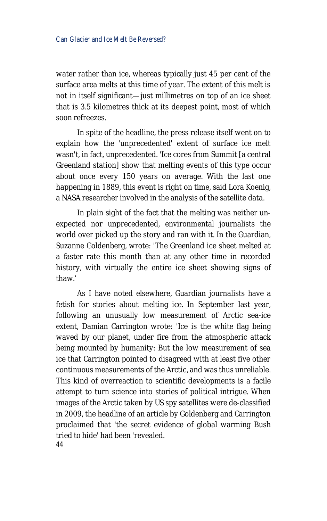water rather than ice, whereas typically just 45 per cent of the surface area melts at this time of year. The extent of this melt is not in itself significant—just millimetres on top of an ice sheet that is 3.5 kilometres thick at its deepest point, most of which soon refreezes.

In spite of the headline, the press release itself went on to explain how the 'unprecedented' extent of surface ice melt wasn't, in fact, unprecedented. 'Ice cores from Summit [a central Greenland station] show that melting events of this type occur about once every 150 years on average. With the last one happening in 1889, this event is right on time, said Lora Koenig, a NASA researcher involved in the analysis of the satellite data.

In plain sight of the fact that the melting was neither unexpected nor unprecedented, environmental journalists the world over picked up the story and ran with it. In the Guardian, Suzanne Goldenberg, wrote: 'The Greenland ice sheet melted at a faster rate this month than at any other time in recorded history, with virtually the entire ice sheet showing signs of thaw.'

44 As I have noted elsewhere, Guardian journalists have a fetish for stories about melting ice. In September last year, following an unusually low measurement of Arctic sea-ice extent, Damian Carrington wrote: 'Ice is the white flag being waved by our planet, under fire from the atmospheric attack being mounted by humanity: But the low measurement of sea ice that Carrington pointed to disagreed with at least five other continuous measurements of the Arctic, and was thus unreliable. This kind of overreaction to scientific developments is a facile attempt to turn science into stories of political intrigue. When images of the Arctic taken by US spy satellites were de-classified in 2009, the headline of an article by Goldenberg and Carrington proclaimed that 'the secret evidence of global warming Bush tried to hide' had been 'revealed.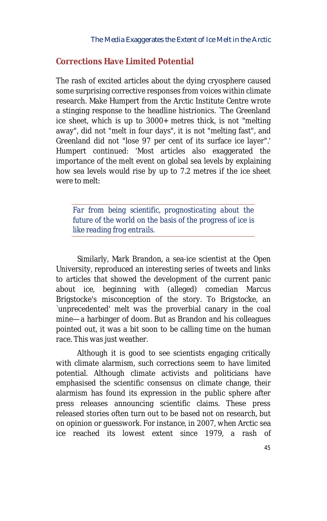## **Corrections Have Limited Potential**

The rash of excited articles about the dying cryosphere caused some surprising corrective responses from voices within climate research. Make Humpert from the Arctic Institute Centre wrote a stinging response to the headline histrionics. `The Greenland ice sheet, which is up to 3000+ metres thick, is not "melting away", did not "melt in four days", it is not "melting fast", and Greenland did not "lose 97 per cent of its surface ice layer".' Humpert continued: 'Most articles also exaggerated the importance of the melt event on global sea levels by explaining how sea levels would rise by up to 7.2 metres if the ice sheet were to melt:

*Far from being scientific, prognosticating about the future of the world on the basis of the progress of ice is like reading frog entrails.* 

Similarly, Mark Brandon, a sea-ice scientist at the Open University, reproduced an interesting series of tweets and links to articles that showed the development of the current panic about ice, beginning with (alleged) comedian Marcus Brigstocke's misconception of the story. To Brigstocke, an `unprecedented' melt was the proverbial canary in the coal mine—a harbinger of doom. But as Brandon and his colleagues pointed out, it was a bit soon to be calling time on the human race. This was just weather.

Although it is good to see scientists engaging critically with climate alarmism, such corrections seem to have limited potential. Although climate activists and politicians have emphasised the scientific consensus on climate change, their alarmism has found its expression in the public sphere after press releases announcing scientific claims. These press released stories often turn out to be based not on research, but on opinion or guesswork. For instance, in 2007, when Arctic sea ice reached its lowest extent since 1979, a rash of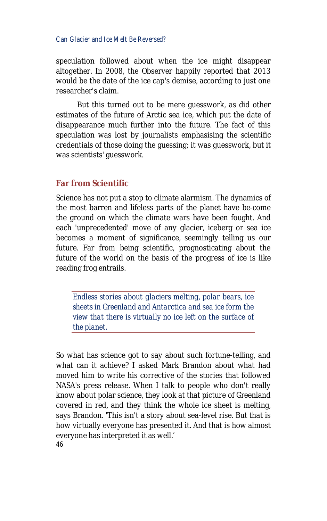speculation followed about when the ice might disappear altogether. In 2008, the Observer happily reported that 2013 would be the date of the ice cap's demise, according to just one researcher's claim.

But this turned out to be mere guesswork, as did other estimates of the future of Arctic sea ice, which put the date of disappearance much further into the future. The fact of this speculation was lost by journalists emphasising the scientific credentials of those doing the guessing; it was guesswork, but it was scientists' guesswork.

## **Far from Scientific**

Science has not put a stop to climate alarmism. The dynamics of the most barren and lifeless parts of the planet have be-come the ground on which the climate wars have been fought. And each 'unprecedented' move of any glacier, iceberg or sea ice becomes a moment of significance, seemingly telling us our future. Far from being scientific, prognosticating about the future of the world on the basis of the progress of ice is like reading frog entrails.

*Endless stories about glaciers melting, polar bears, ice sheets in Greenland and Antarctica and sea ice form the view that there is virtually no ice left on the surface of the planet.* 

46 So what has science got to say about such fortune-telling, and what can it achieve? I asked Mark Brandon about what had moved him to write his corrective of the stories that followed NASA's press release. When I talk to people who don't really know about polar science, they look at that picture of Greenland covered in red, and they think the whole ice sheet is melting, says Brandon. 'This isn't a story about sea-level rise. But that is how virtually everyone has presented it. And that is how almost everyone has interpreted it as well.'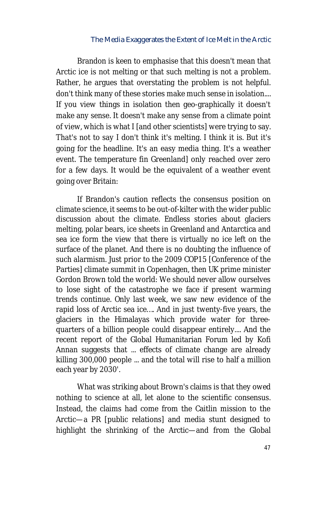### The Media Exaggerates the Extent of Ice Melt in the Arctic

Brandon is keen to emphasise that this doesn't mean that Arctic ice is not melting or that such melting is not a problem. Rather, he argues that overstating the problem is not helpful. don't think many of these stories make much sense in isolation.... If you view things in isolation then geo-graphically it doesn't make any sense. It doesn't make any sense from a climate point of view, which is what I [and other scientists] were trying to say. That's not to say I don't think it's melting. I think it is. But it's going for the headline. It's an easy media thing. It's a weather event. The temperature fin Greenland] only reached over zero for a few days. It would be the equivalent of a weather event going over Britain:

If Brandon's caution reflects the consensus position on climate science, it seems to be out-of-kilter with the wider public discussion about the climate. Endless stories about glaciers melting, polar bears, ice sheets in Greenland and Antarctica and sea ice form the view that there is virtually no ice left on the surface of the planet. And there is no doubting the influence of such alarmism. Just prior to the 2009 COP15 [Conference of the Parties] climate summit in Copenhagen, then UK prime minister Gordon Brown told the world: We should never allow ourselves to lose sight of the catastrophe we face if present warming trends continue. Only last week, we saw new evidence of the rapid loss of Arctic sea ice…. And in just twenty-five years, the glaciers in the Himalayas which provide water for threequarters of a billion people could disappear entirely.... And the recent report of the Global Humanitarian Forum led by Kofi Annan suggests that ... effects of climate change are already killing 300,000 people ... and the total will rise to half a million each year by 2030'.

What was striking about Brown's claims is that they owed nothing to science at all, let alone to the scientific consensus. Instead, the claims had come from the Caitlin mission to the Arctic—a PR [public relations] and media stunt designed to highlight the shrinking of the Arctic—and from the Global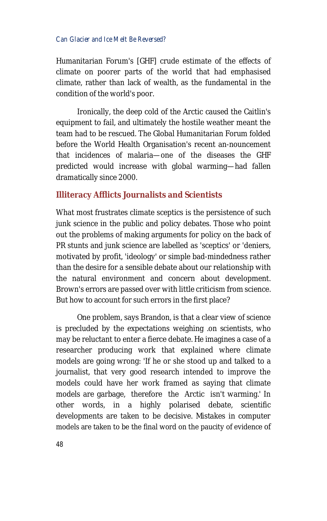Humanitarian Forum's [GHF] crude estimate of the effects of climate on poorer parts of the world that had emphasised climate, rather than lack of wealth, as the fundamental in the condition of the world's poor.

Ironically, the deep cold of the Arctic caused the Caitlin's equipment to fail, and ultimately the hostile weather meant the team had to be rescued. The Global Humanitarian Forum folded before the World Health Organisation's recent an-nouncement that incidences of malaria—one of the diseases the GHF predicted would increase with global warming—had fallen dramatically since 2000.

### **Illiteracy Afflicts Journalists and Scientists**

What most frustrates climate sceptics is the persistence of such junk science in the public and policy debates. Those who point out the problems of making arguments for policy on the back of PR stunts and junk science are labelled as 'sceptics' or 'deniers, motivated by profit, 'ideology' or simple bad-mindedness rather than the desire for a sensible debate about our relationship with the natural environment and concern about development. Brown's errors are passed over with little criticism from science. But how to account for such errors in the first place?

One problem, says Brandon, is that a clear view of science is precluded by the expectations weighing .on scientists, who may be reluctant to enter a fierce debate. He imagines a case of a researcher producing work that explained where climate models are going wrong: 'If he or she stood up and talked to a journalist, that very good research intended to improve the models could have her work framed as saying that climate models are garbage, therefore the Arctic isn't warming.' In other words, in a highly polarised debate, scientific developments are taken to be decisive. Mistakes in computer models are taken to be the final word on the paucity of evidence of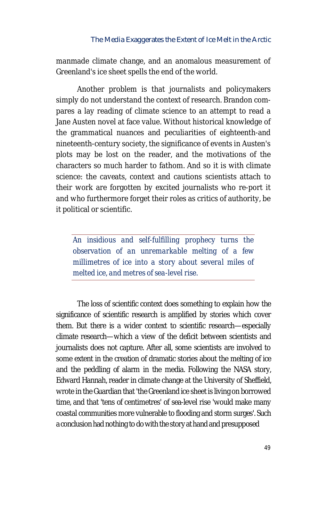#### The Media Exaggerates the Extent of Ice Melt in the Arctic

manmade climate change, and an anomalous measurement of Greenland's ice sheet spells the end of the world.

Another problem is that journalists and policymakers simply do not understand the context of research. Brandon compares a lay reading of climate science to an attempt to read a Jane Austen novel at face value. Without historical knowledge of the grammatical nuances and peculiarities of eighteenth-and nineteenth-century society, the significance of events in Austen's plots may be lost on the reader, and the motivations of the characters so much harder to fathom. And so it is with climate science: the caveats, context and cautions scientists attach to their work are forgotten by excited journalists who re-port it and who furthermore forget their roles as critics of authority, be it political or scientific.

*An insidious and self-fulfilling prophecy turns the observation of an unremarkable melting of a few millimetres of ice into a story about several miles of melted ice, and metres of sea-level rise.* 

The loss of scientific context does something to explain how the significance of scientific research is amplified by stories which cover them. But there is a wider context to scientific research—especially climate research—which a view of the deficit between scientists and journalists does not capture. After all, some scientists are involved to some extent in the creation of dramatic stories about the melting of ice and the peddling of alarm in the media. Following the NASA story, Edward Hannah, reader in climate change at the University of Sheffield, wrote in the Guardian that 'the Greenland ice sheet is living on borrowed time, and that 'tens of centimetres' of sea-level rise 'would make many coastal communities more vulnerable to flooding and storm surges'. Such a conclusion had nothing to do with the story at hand and presupposed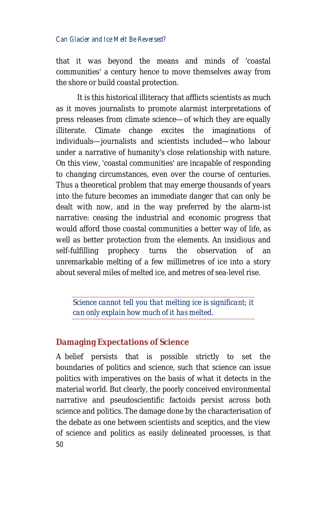that it was beyond the means and minds of 'coastal communities' a century hence to move themselves away from the shore or build coastal protection.

It is this historical illiteracy that afflicts scientists as much as it moves journalists to promote alarmist interpretations of press releases from climate science—of which they are equally illiterate. Climate change excites the imaginations of individuals—journalists and scientists included—who labour under a narrative of humanity's close relationship with nature. On this view, 'coastal communities' are incapable of responding to changing circumstances, even over the course of centuries. Thus a theoretical problem that may emerge thousands of years into the future becomes an immediate danger that can only be dealt with now, and in the way preferred by the alarm-ist narrative: ceasing the industrial and economic progress that would afford those coastal communities a better way of life, as well as better protection from the elements. An insidious and self-fulfilling prophecy turns the observation of an unremarkable melting of a few millimetres of ice into a story about several miles of melted ice, and metres of sea-level rise.

*Science cannot tell you that melting ice is significant; it can only explain how much of it has melted.* 

## **Damaging Expectations of Science**

50 A belief persists that is possible strictly to set the boundaries of politics and science, such that science can issue politics with imperatives on the basis of what it detects in the material world. But clearly, the poorly conceived environmental narrative and pseudoscientific factoids persist across both science and politics. The damage done by the characterisation of the debate as one between scientists and sceptics, and the view of science and politics as easily delineated processes, is that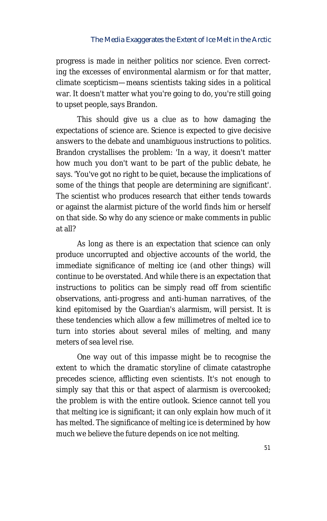### The Media Exaggerates the Extent of Ice Melt in the Arctic

progress is made in neither politics nor science. Even correcting the excesses of environmental alarmism or for that matter, climate scepticism—means scientists taking sides in a political war. It doesn't matter what you're going to do, you're still going to upset people, says Brandon.

This should give us a clue as to how damaging the expectations of science are. Science is expected to give decisive answers to the debate and unambiguous instructions to politics. Brandon crystallises the problem: 'In a way, it doesn't matter how much you don't want to be part of the public debate, he says. 'You've got no right to be quiet, because the implications of some of the things that people are determining are significant'. The scientist who produces research that either tends towards or against the alarmist picture of the world finds him or herself on that side. So why do any science or make comments in public at all?

As long as there is an expectation that science can only produce uncorrupted and objective accounts of the world, the immediate significance of melting ice (and other things) will continue to be overstated. And while there is an expectation that instructions to politics can be simply read off from scientific observations, anti-progress and anti-human narratives, of the kind epitomised by the Guardian's alarmism, will persist. It is these tendencies which allow a few millimetres of melted ice to turn into stories about several miles of melting, and many meters of sea level rise.

One way out of this impasse might be to recognise the extent to which the dramatic storyline of climate catastrophe precedes science, afflicting even scientists. It's not enough to simply say that this or that aspect of alarmism is overcooked; the problem is with the entire outlook. Science cannot tell you that melting ice is significant; it can only explain how much of it has melted. The significance of melting ice is determined by how much we believe the future depends on ice not melting.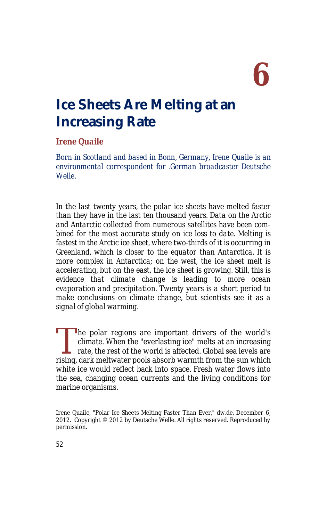## **Ice Sheets Are Melting at an Increasing Rate**

### *Irene Quaile*

*Born in Scotland and based in Bonn, Germany, Irene Quaile is an environmental correspondent for .German broadcaster Deutsche Welle.*

*In the last twenty years, the polar ice sheets have melted faster than they have in the last ten thousand years. Data on the Arctic and Antarctic collected from numerous satellites have been combined for the most accurate study on ice loss to date. Melting is*  fastest in the Arctic ice sheet, where two-thirds of it is occurring in *Greenland, which is closer to the equator than Antarctica. It is more complex in Antarctica; on the west, the ice sheet melt is accelerating, but on the east, the ice sheet is growing. Still, this is evidence that climate change is leading to more ocean evaporation and precipitation. Twenty years is a short period to make conclusions on climate change, but scientists see it as a signal of global warming.* 

he polar regions are important drivers of the world's climate. When the "everlasting ice" melts at an increasing rate, the rest of the world is affected. Global sea levels are The polar regions are important drivers of the world's climate. When the "everlasting ice" melts at an increasing rate, the rest of the world is affected. Global sea levels are rising, dark meltwater pools absorb warmth fr white ice would reflect back into space. Fresh water flows into the sea, changing ocean currents and the living conditions for marine organisms.

Irene Quaile, "Polar Ice Sheets Melting Faster Than Ever," dw.de, December 6, 2012. Copyright © 2012 by Deutsche Welle. All rights reserved. Reproduced by permission.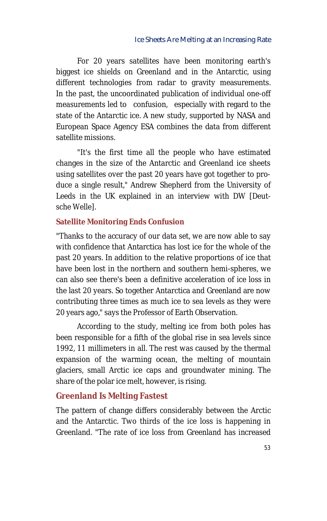For 20 years satellites have been monitoring earth's biggest ice shields on Greenland and in the Antarctic, using different technologies from radar to gravity measurements. In the past, the uncoordinated publication of individual one-off measurements led to confusion, especially with regard to the state of the Antarctic ice. A new study, supported by NASA and European Space Agency ESA combines the data from different satellite missions.

"It's the first time all the people who have estimated changes in the size of the Antarctic and Greenland ice sheets using satellites over the past 20 years have got together to produce a single result," Andrew Shepherd from the University of Leeds in the UK explained in an interview with DW [Deutsche Welle].

## **Satellite Monitoring Ends Confusion**

"Thanks to the accuracy of our data set, we are now able to say with confidence that Antarctica has lost ice for the whole of the past 20 years. In addition to the relative proportions of ice that have been lost in the northern and southern hemi-spheres, we can also see there's been a definitive acceleration of ice loss in the last 20 years. So together Antarctica and Greenland are now contributing three times as much ice to sea levels as they were 20 years ago," says the Professor of Earth Observation.

According to the study, melting ice from both poles has been responsible for a fifth of the global rise in sea levels since 1992, 11 millimeters in all. The rest was caused by the thermal expansion of the warming ocean, the melting of mountain glaciers, small Arctic ice caps and groundwater mining. The share of the polar ice melt, however, is rising.

## **Greenland Is Melting Fastest**

The pattern of change differs considerably between the Arctic and the Antarctic. Two thirds of the ice loss is happening in Greenland. "The rate of ice loss from Greenland has increased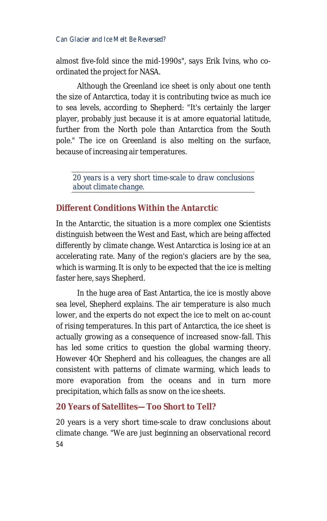almost five-fold since the mid-1990s", says Erik Ivins, who coordinated the project for NASA.

Although the Greenland ice sheet is only about one tenth the size of Antarctica, today it is contributing twice as much ice to sea levels, according to Shepherd: "It's certainly the larger player, probably just because it is at amore equatorial latitude, further from the North pole than Antarctica from the South pole." The ice on Greenland is also melting on the surface, because of increasing air temperatures.

*20 years is a very short time-scale to draw conclusions about climate change.* 

## **Different Conditions Within the Antarctic**

In the Antarctic, the situation is a more complex one Scientists distinguish between the West and East, which are being affected differently by climate change. West Antarctica is losing ice at an accelerating rate. Many of the region's glaciers are by the sea, which is warming. It is only to be expected that the ice is melting faster here, says Shepherd.

In the huge area of East Antartica, the ice is mostly above sea level, Shepherd explains. The air temperature is also much lower, and the experts do not expect the ice to melt on ac-count of rising temperatures. In this part of Antarctica, the ice sheet is actually growing as a consequence of increased snow-fall. This has led some critics to question the global warming theory. However 4Or Shepherd and his colleagues, the changes are all consistent with patterns of climate warming, which leads to more evaporation from the oceans and in turn more precipitation, which falls as snow on the ice sheets.

## **20 Years of Satellites—Too Short to Tell?**

54 20 years is a very short time-scale to draw conclusions about climate change. "We are just beginning an observational record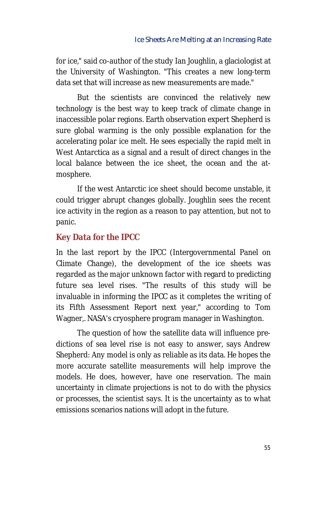for ice," said co-author of the study Ian Joughlin, a glaciologist at the University of Washington. "This creates a new long-term data set that will increase as new measurements are made."

But the scientists are convinced the relatively new technology is the best way to keep track of climate change in inaccessible polar regions. Earth observation expert Shepherd is sure global warming is the only possible explanation for the accelerating polar ice melt. He sees especially the rapid melt in West Antarctica as a signal and a result of direct changes in the local balance between the ice sheet, the ocean and the atmosphere.

If the west Antarctic ice sheet should become unstable, it could trigger abrupt changes globally. Joughlin sees the recent ice activity in the region as a reason to pay attention, but not to panic.

## **Key Data for the IPCC**

In the last report by the IPCC (Intergovernmental Panel on Climate Change), the development of the ice sheets was regarded as the major unknown factor with regard to predicting future sea level rises. "The results of this study will be invaluable in informing the IPCC as it completes the writing of its Fifth Assessment Report next year," according to Tom Wagner,. NASA's cryosphere program manager in Washington.

The question of how the satellite data will influence predictions of sea level rise is not easy to answer, says Andrew Shepherd: Any model is only as reliable as its data. He hopes the more accurate satellite measurements will help improve the models. He does, however, have one reservation. The main uncertainty in climate projections is not to do with the physics or processes, the scientist says. It is the uncertainty as to what emissions scenarios nations will adopt in the future.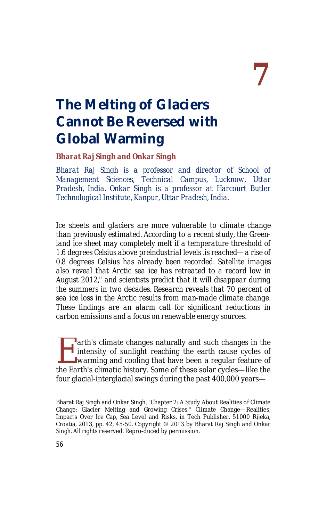**7** 

# **The Melting of Glaciers Cannot Be Reversed with Global Warming**

### *Bharat Raj Singh and Onkar Singh*

*Bharat Raj Singh is a professor and director of School of Management Sciences, Technical Campus, Lucknow, Uttar Pradesh, India. Onkar Singh is a professor at Harcourt Butler Technological Institute, Kanpur, Uttar Pradesh, India.* 

*Ice sheets and glaciers are more vulnerable to climate change than previously estimated. According to a recent study, the Green*land ice sheet may completely melt if a temperature threshold of *1.6 degrees Celsius above preindustrial levels .is reached—a rise of 0.8 degrees Celsius has already been recorded. Satellite images also reveal that Arctic sea ice has retreated to a record low in August 2012," and scientists predict that it will disappear during the summers in two decades. Research reveals that 70 percent of sea ice loss in the Arctic results from man-made climate change. These findings are an alarm call for significant reductions in carbon emissions and a focus on renewable energy sources.* 

arth's climate changes naturally and such changes in the intensity of sunlight reaching the earth cause cycles of warming and cooling that have been a regular feature of the Earth's climatic history. Some of these solar cycles—like the four glacial-interglacial swings during the past 400,000 years—  $\begin{array}{c} \boxed{\phantom{0}} \\ \phantom{0} \\ \phantom{0} \\ \phantom{0} \\ \phantom{0} \\ \phantom{0} \\ \phantom{0} \\ \phantom{0} \\ \phantom{0} \\ \phantom{0} \\ \phantom{0} \\ \phantom{0} \\ \phantom{0} \\ \phantom{0} \\ \phantom{0} \\ \phantom{0} \\ \phantom{0} \\ \phantom{0} \\ \phantom{0} \\ \phantom{0} \\ \phantom{0} \\ \phantom{0} \\ \phantom{0} \\ \phantom{0} \\ \phantom{0} \\ \phantom{0} \\ \phantom{0} \\ \phantom{0} \\ \phantom{0} \\ \phantom{0} \\ \$ 

Bharat Raj Singh and Onkar Singh, "Chapter 2: A Study About Realities of Climate Change: Glacier Melting and Growing Crises," Climate Change—Realities, Impacts Over Ice Cap, Sea Level and Risks, in Tech Publisher, 51000 Rijeka, Croatia, 2013, pp. 42, 45-50. Copyright © 2013 by Bharat Raj Singh and Onkar Singh. All rights reserved. Repro-duced by permission.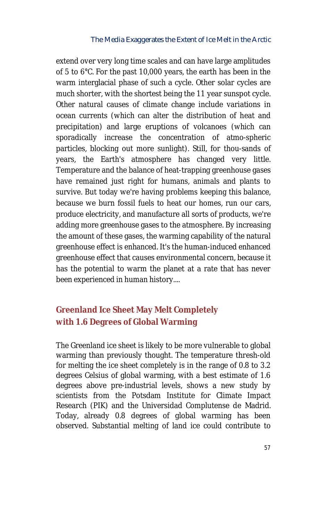### The Media Exaggerates the Extent of Ice Melt in the Arctic

extend over very long time scales and can have large amplitudes of 5 to 6°C. For the past 10,000 years, the earth has been in the warm interglacial phase of such a cycle. Other solar cycles are much shorter, with the shortest being the 11 year sunspot cycle. Other natural causes of climate change include variations in ocean currents (which can alter the distribution of heat and precipitation) and large eruptions of volcanoes (which can sporadically increase the concentration of atmo-spheric particles, blocking out more sunlight). Still, for thou-sands of years, the Earth's atmosphere has changed very little. Temperature and the balance of heat-trapping greenhouse gases have remained just right for humans, animals and plants to survive. But today we're having problems keeping this balance, because we burn fossil fuels to heat our homes, run our cars, produce electricity, and manufacture all sorts of products, we're adding more greenhouse gases to the atmosphere. By increasing the amount of these gases, the warming capability of the natural greenhouse effect is enhanced. It's the human-induced enhanced greenhouse effect that causes environmental concern, because it has the potential to warm the planet at a rate that has never been experienced in human history....

## **Greenland Ice Sheet May Melt Completely with 1.6 Degrees of Global Warming**

The Greenland ice sheet is likely to be more vulnerable to global warming than previously thought. The temperature thresh-old for melting the ice sheet completely is in the range of 0.8 to 3.2 degrees Celsius of global warming, with a best estimate of 1.6 degrees above pre-industrial levels, shows a new study by scientists from the Potsdam Institute for Climate Impact Research (PIK) and the Universidad Complutense de Madrid. Today, already 0.8 degrees of global warming has been observed. Substantial melting of land ice could contribute to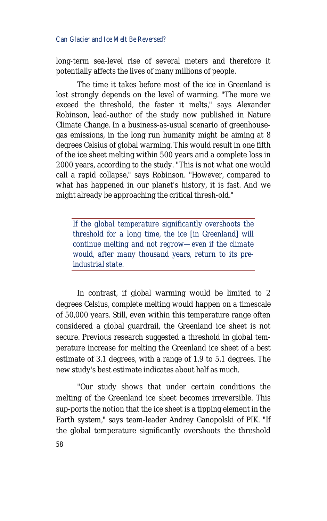long-term sea-level rise of several meters and therefore it potentially affects the lives of many millions of people.

The time it takes before most of the ice in Greenland is lost strongly depends on the level of warming. "The more we exceed the threshold, the faster it melts," says Alexander Robinson, lead-author of the study now published in Nature Climate Change. In a business-as-usual scenario of greenhousegas emissions, in the long run humanity might be aiming at 8 degrees Celsius of global warming. This would result in one fifth of the ice sheet melting within 500 years arid a complete loss in 2000 years, according to the study. "This is not what one would call a rapid collapse," says Robinson. "However, compared to what has happened in our planet's history, it is fast. And we might already be approaching the critical thresh-old."

*If the global temperature significantly overshoots the threshold for a long time, the ice [in Greenland] will continue melting and not regrow—even if the climate would, after many thousand years, return to its preindustrial state.* 

In contrast, if global warming would be limited to 2 degrees Celsius, complete melting would happen on a timescale of 50,000 years. Still, even within this temperature range often considered a global guardrail, the Greenland ice sheet is not secure. Previous research suggested a threshold in global temperature increase for melting the Greenland ice sheet of a best estimate of 3.1 degrees, with a range of 1.9 to 5.1 degrees. The new study's best estimate indicates about half as much.

"Our study shows that under certain conditions the melting of the Greenland ice sheet becomes irreversible. This sup-ports the notion that the ice sheet is a tipping element in the Earth system," says team-leader Andrey Ganopolski of PIK. "If the global temperature significantly overshoots the threshold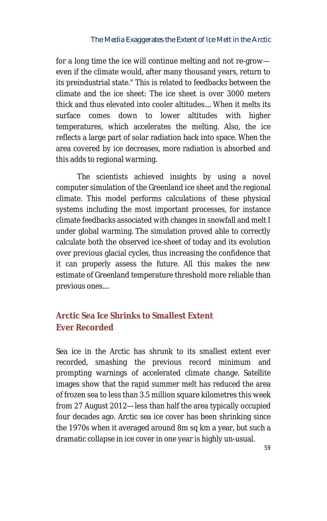for a long time the ice will continue melting and not re-grow even if the climate would, after many thousand years, return to its preindustrial state." This is related to feedbacks between the climate and the ice sheet: The ice sheet is over 3000 meters thick and thus elevated into cooler altitudes.... When it melts its surface comes down to lower altitudes with higher temperatures, which accelerates the melting. Also, the ice reflects a large part of solar radiation back into space. When the area covered by ice decreases, more radiation is absorbed and this adds to regional warming.

The scientists achieved insights by using a novel computer simulation of the Greenland ice sheet and the regional climate. This model performs calculations of these physical systems including the most important processes, for instance climate feedbacks associated with changes in snowfall and melt I under global warming. The simulation proved able to correctly calculate both the observed ice-sheet of today and its evolution over previous glacial cycles, thus increasing the confidence that it can properly assess the future. All this makes the new estimate of Greenland temperature threshold more reliable than previous ones....

## **Arctic Sea Ice Shrinks to Smallest Extent Ever Recorded**

Sea ice in the Arctic has shrunk to its smallest extent ever recorded, smashing the previous record minimum and prompting warnings of accelerated climate change. Satellite images show that the rapid summer melt has reduced the area of frozen sea to less than 3.5 million square kilometres this week from 27 August 2012—less than half the area typically occupied four decades ago. Arctic sea ice cover has been shrinking since the 1970s when it averaged around 8m sq km a year, but such a dramatic collapse in ice cover in one year is highly un-usual.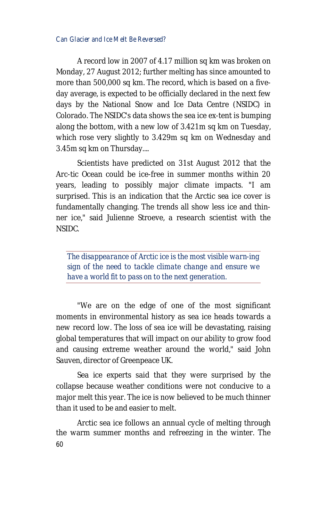A record low in 2007 of 4.17 million sq km was broken on Monday, 27 August 2012; further melting has since amounted to more than 500,000 sq km. The record, which is based on a fiveday average, is expected to be officially declared in the next few days by the National Snow and Ice Data Centre (NSIDC) in Colorado. The NSIDC's data shows the sea ice ex-tent is bumping along the bottom, with a new low of 3.421m sq km on Tuesday, which rose very slightly to 3.429m sq km on Wednesday and 3.45m sq km on Thursday....

Scientists have predicted on 31st August 2012 that the Arc-tic Ocean could be ice-free in summer months within 20 years, leading to possibly major climate impacts. "I am surprised. This is an indication that the Arctic sea ice cover is fundamentally changing. The trends all show less ice and thinner ice," said Julienne Stroeve, a research scientist with the NSIDC.

*The disappearance of Arctic ice is the most visible warn-ing sign of the need to tackle climate change and ensure we have a world fit to pass on to the next generation.* 

"We are on the edge of one of the most significant moments in environmental history as sea ice heads towards a new record low. The loss of sea ice will be devastating, raising global temperatures that will impact on our ability to grow food and causing extreme weather around the world," said John Sauven, director of Greenpeace UK.

Sea ice experts said that they were surprised by the collapse because weather conditions were not conducive to a major melt this year. The ice is now believed to be much thinner than it used to be and easier to melt.

60 Arctic sea ice follows an annual cycle of melting through the warm summer months and refreezing in the winter. The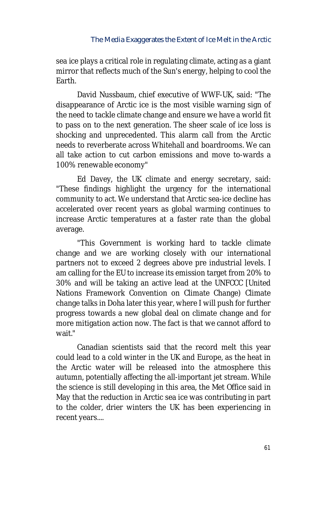sea ice plays a critical role in regulating climate, acting as a giant mirror that reflects much of the Sun's energy, helping to cool the Earth.

David Nussbaum, chief executive of WWF-UK, said: "The disappearance of Arctic ice is the most visible warning sign of the need to tackle climate change and ensure we have a world fit to pass on to the next generation. The sheer scale of ice loss is shocking and unprecedented. This alarm call from the Arctic needs to reverberate across Whitehall and boardrooms. We can all take action to cut carbon emissions and move to-wards a 100% renewable economy"

Ed Davey, the UK climate and energy secretary, said: "These findings highlight the urgency for the international community to act. We understand that Arctic sea-ice decline has accelerated over recent years as global warming continues to increase Arctic temperatures at a faster rate than the global average.

"This Government is working hard to tackle climate change and we are working closely with our international partners not to exceed 2 degrees above pre industrial levels. I am calling for the EU to increase its emission target from 20% to 30% and will be taking an active lead at the UNFCCC [United Nations Framework Convention on Climate Change) Climate change talks in Doha later this year, where I will push for further progress towards a new global deal on climate change and for more mitigation action now. The fact is that we cannot afford to wait."

Canadian scientists said that the record melt this year could lead to a cold winter in the UK and Europe, as the heat in the Arctic water will be released into the atmosphere this autumn, potentially affecting the all-important jet stream. While the science is still developing in this area, the Met Office said in May that the reduction in Arctic sea ice was contributing in part to the colder, drier winters the UK has been experiencing in recent years....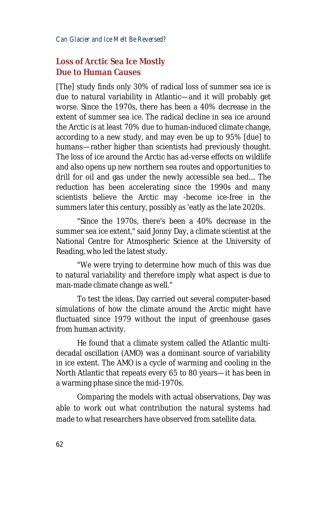## **Loss of Arctic Sea Ice Mostly Due to Human Causes**

[The] study finds only 30% of radical loss of summer sea ice is due to natural variability in Atlantic—and it will probably get worse. Since the 1970s, there has been a 40% decrease in the extent of summer sea ice. The radical decline in sea ice around the Arctic is at least 70% due to human-induced climate change, according to a new study, and may even be up to 95% [due] to humans—rather higher than scientists had previously thought. The loss of ice around the Arctic has ad-verse effects on wildlife and also opens up new northern sea routes and opportunities to drill for oil and gas under the newly accessible sea bed.... The reduction has been accelerating since the 1990s and many scientists believe the Arctic may -become ice-free in the summers later this century, possibly as 'eatly as the late 2020s.

"Since the 1970s, there's been a 40% decrease in the summer sea ice extent," said Jonny Day, a climate scientist at the National Centre for Atmospheric Science at the University of Reading, who led the latest study.

"We were trying to determine how much of this was due to natural variability and therefore imply what aspect is due to man-made climate change as well."

To test the ideas, Day carried out several computer-based simulations of how the climate around the Arctic might have fluctuated since 1979 without the input of greenhouse gases from human activity.

He found that a climate system called the Atlantic multidecadal oscillation (AMO) was a dominant source of variability in ice extent. The AMO is a cycle of warming and cooling in the North Atlantic that repeats every 65 to 80 years—it has been in a warming phase since the mid-1970s.

Comparing the models with actual observations, Day was able to work out what contribution the natural systems had made to what researchers have observed from satellite data.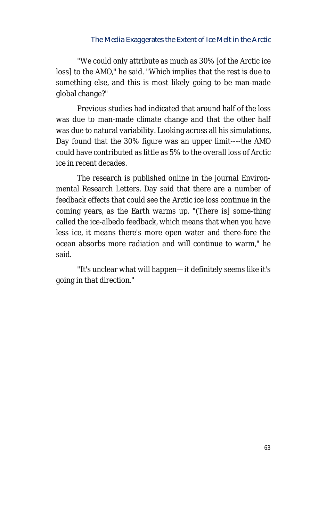### The Media Exaggerates the Extent of Ice Melt in the Arctic

"We could only attribute as much as 30% [of the Arctic ice loss] to the AMO," he said. "Which implies that the rest is due to something else, and this is most likely going to be man-made global change?"

Previous studies had indicated that around half of the loss was due to man-made climate change and that the other half was due to natural variability. Looking across all his simulations, Day found that the 30% figure was an upper limit----the AMO could have contributed as little as 5% to the overall loss of Arctic ice in recent decades.

The research is published online in the journal Environmental Research Letters. Day said that there are a number of feedback effects that could see the Arctic ice loss continue in the coming years, as the Earth warms up. "(There is] some-thing called the ice-albedo feedback, which means that when you have less ice, it means there's more open water and there-fore the ocean absorbs more radiation and will continue to warm," he said.

"It's unclear what will happen—it definitely seems like it's going in that direction."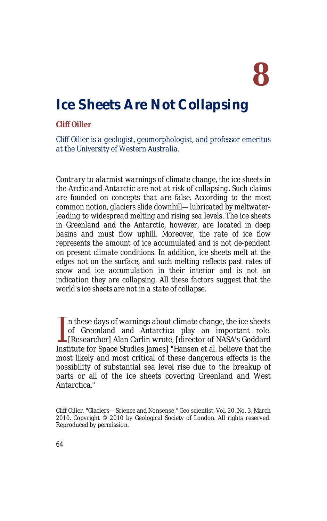## **Ice Sheets Are Not Collapsing**

### *Cliff Oilier*

*Cliff Oilier is a geologist, geomorphologist, and professor emeritus at the University of Western Australia.* 

*Contrary to alarmist warnings of climate change, the ice sheets in the Arctic and Antarctic are not at risk of collapsing. Such claims are founded on concepts that are false. According to the most common notion, glaciers slide downhill—lubricated by meltwaterleading to widespread melting and rising sea levels. The ice sheets in Greenland and the Antarctic, however, are located in deep basins and must flow uphill. Moreover, the rate of ice flow represents the amount of ice accumulated and is not de-pendent on present climate conditions. In addition, ice sheets melt at the edges not on the surface, and such melting reflects past rates of snow and ice accumulation in their interior and is not an indication they are collapsing. All these factors suggest that the world's ice sheets are not in a state of collapse.* 

n these days of warnings about climate change, the ice sheets of Greenland and Antarctica play an important role. [Researcher] Alan Carlin wrote, [director of NASA's Goddard In these days of warnings about climate change, the ice sheets of Greenland and Antarctica play an important role.<br>[Researcher] Alan Carlin wrote, [director of NASA's Goddard Institute for Space Studies James] "Hansen et a most likely and most critical of these dangerous effects is the possibility of substantial sea level rise due to the breakup of parts or all of the ice sheets covering Greenland and West Antarctica."

Cliff Oilier, "Glaciers—Science and Nonsense," Geo scientist, Vol. 20, No. 3, March 2010. Copyright © 2010 by Geological Society of London. All rights reserved. Reproduced by permission.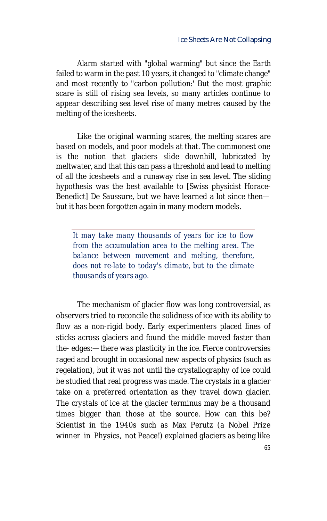Alarm started with "global warming" but since the Earth failed to warm in the past 10 years, it changed to "climate change" and most recently to "carbon pollution:' But the most graphic scare is still of rising sea levels, so many articles continue to appear describing sea level rise of many metres caused by the melting of the icesheets.

Like the original warming scares, the melting scares are based on models, and poor models at that. The commonest one is the notion that glaciers slide downhill, lubricated by meltwater, and that this can pass a threshold and lead to melting of all the icesheets and a runaway rise in sea level. The sliding hypothesis was the best available to [Swiss physicist Horace-Benedict] De Saussure, but we have learned a lot since then but it has been forgotten again in many modern models.

*It may take many thousands of years for ice to flow from the accumulation area to the melting area. The balance between movement and melting, therefore, does not re-late to today's climate, but to the climate thousands of years ago.* 

The mechanism of glacier flow was long controversial, as observers tried to reconcile the solidness of ice with its ability to flow as a non-rigid body. Early experimenters placed lines of sticks across glaciers and found the middle moved faster than the- edges:—there was plasticity in the ice. Fierce controversies raged and brought in occasional new aspects of physics (such as regelation), but it was not until the crystallography of ice could be studied that real progress was made. The crystals in a glacier take on a preferred orientation as they travel down glacier. The crystals of ice at the glacier terminus may be a thousand times bigger than those at the source. How can this be? Scientist in the 1940s such as Max Perutz (a Nobel Prize winner in Physics, not Peace!) explained glaciers as being like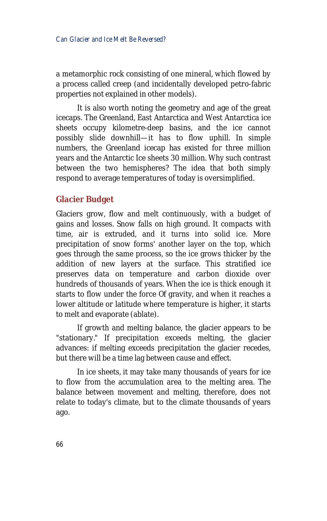a metamorphic rock consisting of one mineral, which flowed by a process called creep (and incidentally developed petro-fabric properties not explained in other models).

It is also worth noting the geometry and age of the great icecaps. The Greenland, East Antarctica and West Antarctica ice sheets occupy kilometre-deep basins, and the ice cannot possibly slide downhill—it has to flow uphill. In simple numbers, the Greenland icecap has existed for three million years and the Antarctic Ice sheets 30 million. Why such contrast between the two hemispheres? The idea that both simply respond to average temperatures of today is oversimplified.

## **Glacier Budget**

Glaciers grow, flow and melt continuously, with a budget of gains and losses. Snow falls on high ground. It compacts with time, air is extruded, and it turns into solid ice. More precipitation of snow forms' another layer on the top, which goes through the same process, so the ice grows thicker by the addition of new layers at the surface. This stratified ice preserves data on temperature and carbon dioxide over hundreds of thousands of years. When the ice is thick enough it starts to flow under the force Of gravity, and when it reaches a lower altitude or latitude where temperature is higher, it starts to melt and evaporate (ablate).

If growth and melting balance, the glacier appears to be "stationary." If precipitation exceeds melting, the glacier advances: if melting exceeds precipitation the glacier recedes, but there will be a time lag between cause and effect.

In ice sheets, it may take many thousands of years for ice to flow from the accumulation area to the melting area. The balance between movement and melting, therefore, does not relate to today's climate, but to the climate thousands of years ago.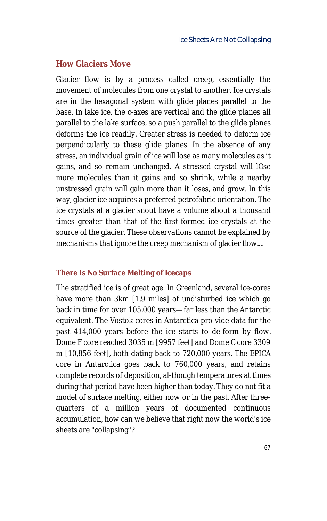### **How Glaciers Move**

Glacier flow is by a process called creep, essentially the movement of molecules from one crystal to another. Ice crystals are in the hexagonal system with glide planes parallel to the base. In lake ice, the c-axes are vertical and the glide planes all parallel to the lake surface, so a push parallel to the glide planes deforms the ice readily. Greater stress is needed to deform ice perpendicularly to these glide planes. In the absence of any stress, an individual grain of ice will lose as many molecules as it gains, and so remain unchanged. A stressed crystal will lOse more molecules than it gains and so shrink, while a nearby unstressed grain will gain more than it loses, and grow. In this way, glacier ice acquires a preferred petrofabric orientation. The ice crystals at a glacier snout have a volume about a thousand times greater than that of the first-formed ice crystals at the source of the glacier. These observations cannot be explained by mechanisms that ignore the creep mechanism of glacier flow....

### **There Is No Surface Melting of Icecaps**

The stratified ice is of great age. In Greenland, several ice-cores have more than 3km [1.9 miles] of undisturbed ice which go back in time for over 105,000 years—far less than the Antarctic equivalent. The Vostok cores in Antarctica pro-vide data for the past 414,000 years before the ice starts to de-form by flow. Dome F core reached 3035 m [9957 feet] and Dome C core 3309 m [10,856 feet], both dating back to 720,000 years. The EPICA core in Antarctica goes back to 760,000 years, and retains complete records of deposition, al-though temperatures at times during that period have been higher than today. They do not fit a model of surface melting, either now or in the past. After threequarters of a million years of documented continuous accumulation, how can we believe that right now the world's ice sheets are "collapsing"?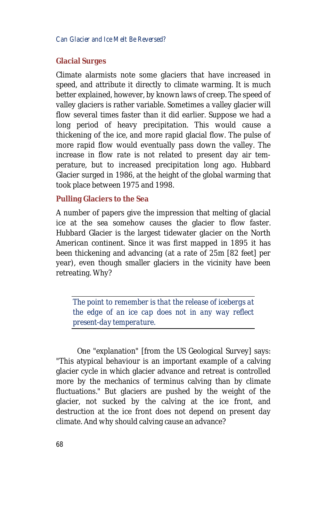### **Glacial Surges**

Climate alarmists note some glaciers that have increased in speed, and attribute it directly to climate warming. It is much better explained, however, by known laws of creep. The speed of valley glaciers is rather variable. Sometimes a valley glacier will flow several times faster than it did earlier. Suppose we had a long period of heavy precipitation. This would cause a thickening of the ice, and more rapid glacial flow. The pulse of more rapid flow would eventually pass down the valley. The increase in flow rate is not related to present day air temperature, but to increased precipitation long ago. Hubbard Glacier surged in 1986, at the height of the global warming that took place between 1975 and 1998.

### **Pulling Glaciers to the Sea**

A number of papers give the impression that melting of glacial ice at the sea somehow causes the glacier to flow faster. Hubbard Glacier is the largest tidewater glacier on the North American continent. Since it was first mapped in 1895 it has been thickening and advancing (at a rate of 25m [82 feet] per year), even though smaller glaciers in the vicinity have been retreating. Why?

*The point to remember is that the release of icebergs at the edge of an ice cap does not in any way reflect present-day temperature.* 

One "explanation" [from the US Geological Survey] says: "This atypical behaviour is an important example of a calving glacier cycle in which glacier advance and retreat is controlled more by the mechanics of terminus calving than by climate fluctuations." But glaciers are pushed by the weight of the glacier, not sucked by the calving at the ice front, and destruction at the ice front does not depend on present day climate. And why should calving cause an advance?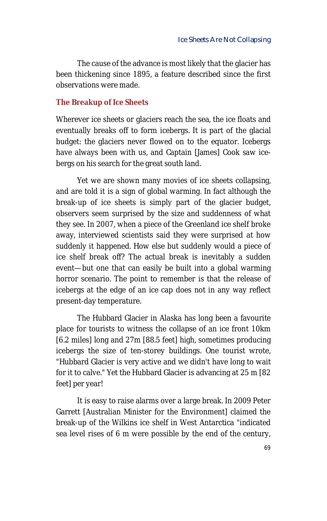The cause of the advance is most likely that the glacier has been thickening since 1895, a feature described since the first observations were made.

### **The Breakup of Ice Sheets**

Wherever ice sheets or glaciers reach the sea, the ice floats and eventually breaks off to form icebergs. It is part of the glacial budget: the glaciers never flowed on to the equator. Icebergs have always been with us, and Captain [James] Cook saw icebergs on his search for the great south land.

Yet we are shown many movies of ice sheets collapsing, and are told it is a sign of global warming. In fact although the break-up of ice sheets is simply part of the glacier budget, observers seem surprised by the size and suddenness of what they see. In 2007, when a piece of the Greenland ice shelf broke away, interviewed scientists said they were surprised at how suddenly it happened. How else but suddenly would a piece of ice shelf break off? The actual break is inevitably a sudden event—but one that can easily be built into a global warming horror scenario. The point to remember is that the release of icebergs at the edge of an ice cap does not in any way reflect present-day temperature.

The Hubbard Glacier in Alaska has long been a favourite place for tourists to witness the collapse of an ice front 10km [6.2 miles] long and 27m [88.5 feet] high, sometimes producing icebergs the size of ten-storey buildings. One tourist wrote, "Hubbard Glacier is very active and we didn't have long to wait for it to calve." Yet the Hubbard Glacier is advancing at 25 m [82 feet] per year!

It is easy to raise alarms over a large break. In 2009 Peter Garrett [Australian Minister for the Environment] claimed the break-up of the Wilkins ice shelf in West Antarctica "indicated sea level rises of 6 m were possible by the end of the century,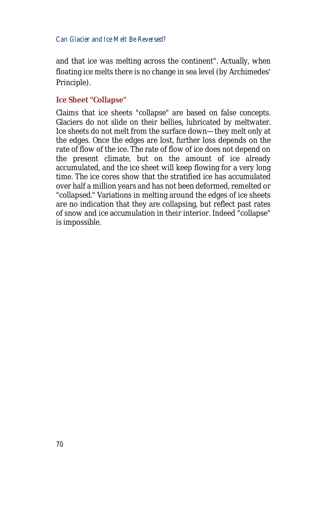and that ice was melting across the continent". Actually, when floating ice melts there is no change in sea level (by Archimedes' Principle).

### **Ice Sheet "Collapse"**

Claims that ice sheets "collapse" are based on false concepts. Glaciers do not slide on their bellies, lubricated by meltwater. Ice sheets do not melt from the surface down—they melt only at the edges. Once the edges are lost, further loss depends on the rate of flow of the ice. The rate of flow of ice does not depend on the present climate, but on the amount of ice already accumulated, and the ice sheet will keep flowing for a very long time. The ice cores show that the stratified ice has accumulated over half a million years and has not been deformed, remelted or "collapsed." Variations in melting around the edges of ice sheets are no indication that they are collapsing, but reflect past rates of snow and ice accumulation in their interior. Indeed "collapse" is impossible.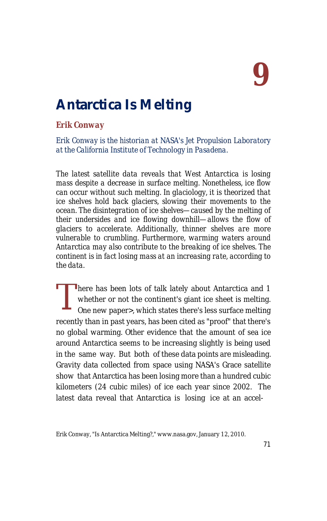## **Antarctica Is Melting**

### *Erik Conway*

*Erik Conway is the historian at NASA's Jet Propulsion Laboratory at the California Institute of Technology in Pasadena.* 

*The latest satellite data reveals that West Antarctica is losing mass despite a decrease in surface melting. Nonetheless, ice flow can occur without such melting. In glaciology, it is theorized that ice shelves hold back glaciers, slowing their movements to the ocean. The disintegration of ice shelves—caused by the melting of their undersides and ice flowing downhill—allows the flow of glaciers to accelerate. Additionally, thinner shelves are more vulnerable to crumbling. Furthermore, warming waters around Antarctica may also contribute to the breaking of ice shelves. The continent is in fact losing mass at an increasing rate, according to the data.* 

here has been lots of talk lately about Antarctica and 1 whether or not the continent's giant ice sheet is melting. One new paper>, which states there's less surface melting recently than in past years, has been cited as "proof" that there's no global warming. Other evidence that the amount of sea ice around Antarctica seems to be increasing slightly is being used in the same way. But both of these data points are misleading. Gravity data collected from space using NASA's Grace satellite show that Antarctica has been losing more than a hundred cubic kilometers (24 cubic miles) of ice each year since 2002. The latest data reveal that Antarctica is losing ice at an accel-T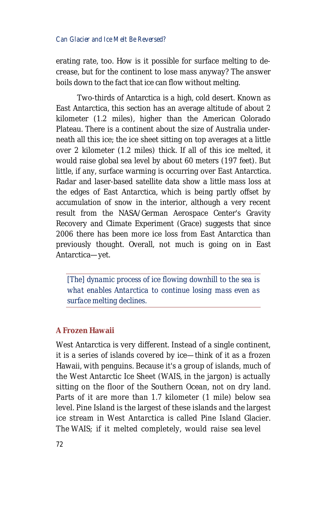erating rate, too. How is it possible for surface melting to decrease, but for the continent to lose mass anyway? The answer boils down to the fact that ice can flow without melting.

Two-thirds of Antarctica is a high, cold desert. Known as East Antarctica, this section has an average altitude of about 2 kilometer (1.2 miles), higher than the American Colorado Plateau. There is a continent about the size of Australia underneath all this ice; the ice sheet sitting on top averages at a little over 2 kilometer (1.2 miles) thick. If all of this ice melted, it would raise global sea level by about 60 meters (197 feet). But little, if any, surface warming is occurring over East Antarctica. Radar and laser-based satellite data show a little mass loss at the edges of East Antarctica, which is being partly offset by accumulation of snow in the interior, although a very recent result from the NASA/German Aerospace Center's Gravity Recovery and Climate Experiment (Grace) suggests that since 2006 there has been more ice loss from East Antarctica than previously thought. Overall, not much is going on in East Antarctica—yet.

*[The] dynamic process of ice flowing downhill to the sea is what enables Antarctica to continue losing mass even as surface melting declines.* 

## **A Frozen Hawaii**

West Antarctica is very different. Instead of a single continent, it is a series of islands covered by ice—think of it as a frozen Hawaii, with penguins. Because it's a group of islands, much of the West Antarctic Ice Sheet (WAIS, in the jargon) is actually sitting on the floor of the Southern Ocean, not on dry land. Parts of it are more than 1.7 kilometer (1 mile) below sea level. Pine Island is the largest of these islands and the largest ice stream in West Antarctica is called Pine Island Glacier. The WAIS; if it melted completely, would raise sea level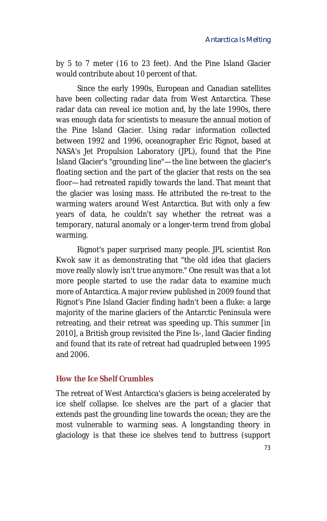by 5 to 7 meter (16 to 23 feet). And the Pine Island Glacier would contribute about 10 percent of that.

Since the early 1990s, European and Canadian satellites have been collecting radar data from West Antarctica. These radar data can reveal ice motion and, by the late 1990s, there was enough data for scientists to measure the annual motion of the Pine Island Glacier. Using radar information collected between 1992 and 1996, oceanographer Eric Rignot, based at NASA's Jet Propulsion Laboratory (JPL), found that the Pine Island Glacier's "grounding line"—the line between the glacier's floating section and the part of the glacier that rests on the sea floor—had retreated rapidly towards the land. That meant that the glacier was losing mass. He attributed the re-treat to the warming waters around West Antarctica. But with only a few years of data, he couldn't say whether the retreat was a temporary, natural anomaly or a longer-term trend from global warming.

Rignot's paper surprised many people. JPL scientist Ron Kwok saw it as demonstrating that "the old idea that glaciers move really slowly isn't true anymore." One result was that a lot more people started to use the radar data to examine much more of Antarctica. A major review published in 2009 found that Rignot's Pine Island Glacier finding hadn't been a fluke: a large majority of the marine glaciers of the Antarctic Peninsula were retreating, and their retreat was speeding up. This summer [in 2010], a British group revisited the Pine Is-, land Glacier finding and found that its rate of retreat had quadrupled between 1995 and 2006.

#### **How the Ice Shelf Crumbles**

The retreat of West Antarctica's glaciers is being accelerated by ice shelf collapse. Ice shelves are the part of a glacier that extends past the grounding line towards the ocean; they are the most vulnerable to warming seas. A longstanding theory in glaciology is that these ice shelves tend to buttress (support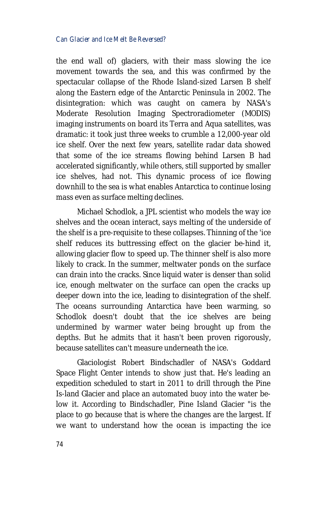the end wall of) glaciers, with their mass slowing the ice movement towards the sea, and this was confirmed by the spectacular collapse of the Rhode Island-sized Larsen B shelf along the Eastern edge of the Antarctic Peninsula in 2002. The disintegration: which was caught on camera by NASA's Moderate Resolution Imaging Spectroradiometer (MODIS) imaging instruments on board its Terra and Aqua satellites, was dramatic: it took just three weeks to crumble a 12,000-year old ice shelf. Over the next few years, satellite radar data showed that some of the ice streams flowing behind Larsen B had accelerated significantly, while others, still supported by smaller ice shelves, had not. This dynamic process of ice flowing downhill to the sea is what enables Antarctica to continue losing mass even as surface melting declines.

Michael Schodlok, a JPL scientist who models the way ice shelves and the ocean interact, says melting of the underside of the shelf is a pre-requisite to these collapses. Thinning of the 'ice shelf reduces its buttressing effect on the glacier be-hind it, allowing glacier flow to speed up. The thinner shelf is also more likely to crack. In the summer, meltwater ponds on the surface can drain into the cracks. Since liquid water is denser than solid ice, enough meltwater on the surface can open the cracks up deeper down into the ice, leading to disintegration of the shelf. The oceans surrounding Antarctica have been warming, so Schodlok doesn't doubt that the ice shelves are being undermined by warmer water being brought up from the depths. But he admits that it hasn't been proven rigorously, because satellites can't measure underneath the ice.

Glaciologist Robert Bindschadler of NASA's Goddard Space Flight Center intends to show just that. He's leading an expedition scheduled to start in 2011 to drill through the Pine Is-land Glacier and place an automated buoy into the water below it. According to Bindschadler, Pine Island Glacier "is the place to go because that is where the changes are the largest. If we want to understand how the ocean is impacting the ice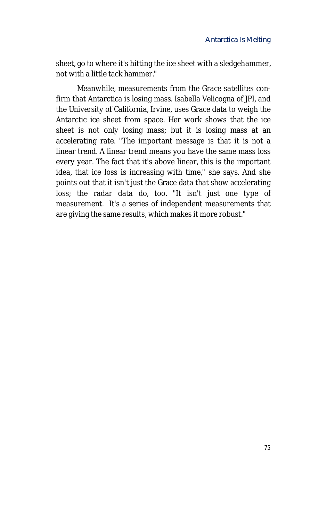sheet, go to where it's hitting the ice sheet with a sledgehammer, not with a little tack hammer."

Meanwhile, measurements from the Grace satellites confirm that Antarctica is losing mass. Isabella Velicogna of JPI, and the University of California, Irvine, uses Grace data to weigh the Antarctic ice sheet from space. Her work shows that the ice sheet is not only losing mass; but it is losing mass at an accelerating rate. "The important message is that it is not a linear trend. A linear trend means you have the same mass loss every year. The fact that it's above linear, this is the important idea, that ice loss is increasing with time," she says. And she points out that it isn't just the Grace data that show accelerating loss; the radar data do, too. "It isn't just one type of measurement. It's a series of independent measurements that are giving the same results, which makes it more robust."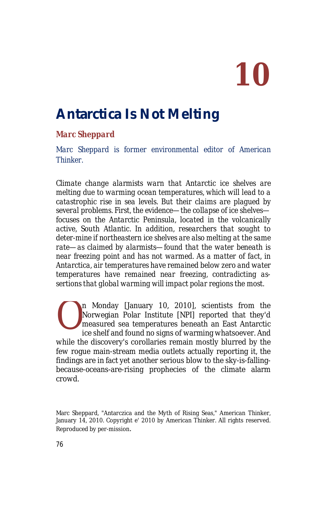# **10**

# **Antarctica Is Not Melting**

### *Marc Sheppard*

*Marc Sheppard is former environmental editor of American Thinker.* 

*Climate change alarmists warn that Antarctic ice shelves are melting due to warming ocean temperatures, which will lead to a catastrophic rise in sea levels. But their claims are plagued by several problems. First, the evidence—the collapse of ice shelves focuses on the Antarctic Peninsula, located in the volcanically active, South Atlantic. In addition, researchers that sought to deter-mine if northeastern ice shelves are also melting at the same rate—as claimed by alarmists—found that the water beneath is near freezing point and has not warmed. As a matter of fact, in Antarctica, air temperatures have remained below zero and water temperatures have remained near freezing, contradicting assertions that global warming will impact polar regions the most.* 

n Monday [January 10, 2010], scientists from the Norwegian Polar Institute [NPI] reported that they'd measured sea temperatures beneath an East Antarctic ice shelf and found no signs of warming whatsoever. And while the discovery's corollaries remain mostly blurred by the few rogue main-stream media outlets actually reporting it, the findings are in fact yet another serious blow to the sky-is-fallingbecause-oceans-are-rising prophecies of the climate alarm crowd. O

Marc Sheppard, "Antarczica and the Myth of Rising Seas," American Thinker, January 14, 2010. Copyright e' 2010 by American Thinker. All rights reserved. Reproduced by per-mission.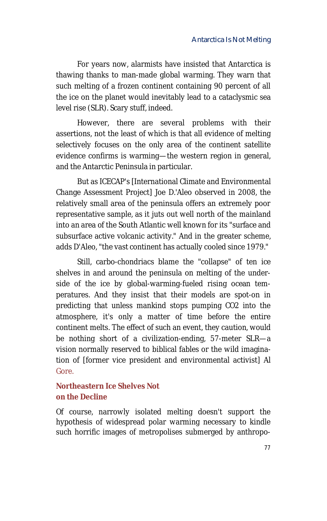For years now, alarmists have insisted that Antarctica is thawing thanks to man-made global warming. They warn that such melting of a frozen continent containing 90 percent of all the ice on the planet would inevitably lead to a cataclysmic sea level rise (SLR). Scary stuff, indeed.

However, there are several problems with their assertions, not the least of which is that all evidence of melting selectively focuses on the only area of the continent satellite evidence confirms is warming—the western region in general, and the Antarctic Peninsula in particular.

But as ICECAP's [International Climate and Environmental Change Assessment Project] Joe D.'Aleo observed in 2008, the relatively small area of the peninsula offers an extremely poor representative sample, as it juts out well north of the mainland into an area of the South Atlantic well known for its "surface and subsurface active volcanic activity." And in the greater scheme, adds D'Aleo, "the vast continent has actually cooled since 1979."

Still, carbo-chondriacs blame the "collapse" of ten ice shelves in and around the peninsula on melting of the underside of the ice by global-warming-fueled rising ocean temperatures. And they insist that their models are spot-on in predicting that unless mankind stops pumping CO2 into the atmosphere, it's only a matter of time before the entire continent melts. The effect of such an event, they caution, would be nothing short of a civilization-ending, 57-meter SLR—a vision normally reserved to biblical fables or the wild imagination of [former vice president and environmental activist] Al Gore.

### **Northeastern Ice Shelves Not on the Decline**

Of course, narrowly isolated melting doesn't support the hypothesis of widespread polar warming necessary to kindle such horrific images of metropolises submerged by anthropo-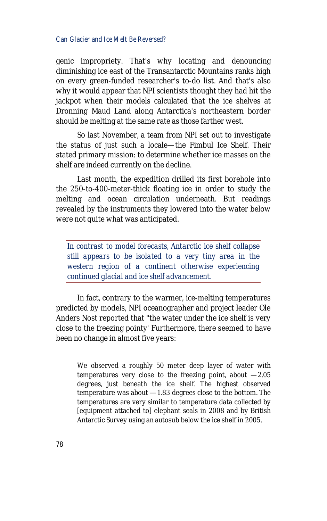genic impropriety. That's why locating and denouncing diminishing ice east of the Transantarctic Mountains ranks high on every green-funded researcher's to-do list. And that's also why it would appear that NPI scientists thought they had hit the jackpot when their models calculated that the ice shelves at Dronning Maud Land along Antarctica's northeastern border should be melting at the same rate as those farther west.

So last November, a team from NPI set out to investigate the status of just such a locale—the Fimbul Ice Shelf. Their stated primary mission: to determine whether ice masses on the shelf are indeed currently on the decline.

Last month, the expedition drilled its first borehole into the 250-to-400-meter-thick floating ice in order to study the melting and ocean circulation underneath. But readings revealed by the instruments they lowered into the water below were not quite what was anticipated.

*In contrast to model forecasts, Antarctic ice shelf collapse still appears to be isolated to a very tiny area in the western region of a continent otherwise experiencing continued glacial and ice shelf advancement.* 

In fact, contrary to the warmer, ice-melting temperatures predicted by models, NPI oceanographer and project leader Ole Anders Nost reported that "the water under the ice shelf is very close to the freezing pointy' Furthermore, there seemed to have been no change in almost five years:

We observed a roughly 50 meter deep layer of water with temperatures very close to the freezing point, about —2.05 degrees, just beneath the ice shelf. The highest observed temperature was about —1.83 degrees close to the bottom. The temperatures are very similar to temperature data collected by [equipment attached to] elephant seals in 2008 and by British Antarctic Survey using an autosub below the ice shelf in 2005.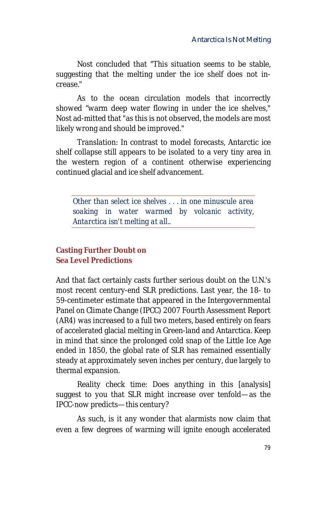Nost concluded that "This situation seems to be stable, suggesting that the melting under the ice shelf does not increase."

As to the ocean circulation models that incorrectly showed "warm deep water flowing in under the ice shelves," Nost ad-mitted that "as this is not observed, the models are most likely wrong and should be improved."

Translation: In contrast to model forecasts, Antarctic ice shelf collapse still appears to be isolated to a very tiny area in the western region of a continent otherwise experiencing continued glacial and ice shelf advancement.

*Other than select ice shelves . . . in one minuscule area soaking in water warmed by volcanic activity, Antarctica isn't melting at all..* 

#### **Casting Further Doubt on Sea Level Predictions**

And that fact certainly casts further serious doubt on the U.N.'s most recent century-end SLR predictions. Last year, the 18- to 59-centimeter estimate that appeared in the Intergovernmental Panel on Climate Change (IPCC) 2007 Fourth Assessment Report (AR4) was increased to a full two meters, based entirely on fears of accelerated glacial melting in Green-land and Antarctica. Keep in mind that since the prolonged cold snap of the Little Ice Age ended in 1850, the global rate of SLR has remained essentially steady at approximately seven inches per century, due largely to thermal expansion.

Reality check time: Does anything in this [analysis] suggest to you that SLR might increase over tenfold—as the IPCC-now predicts—this century?

As such, is it any wonder that alarmists now claim that even a few degrees of warming will ignite enough accelerated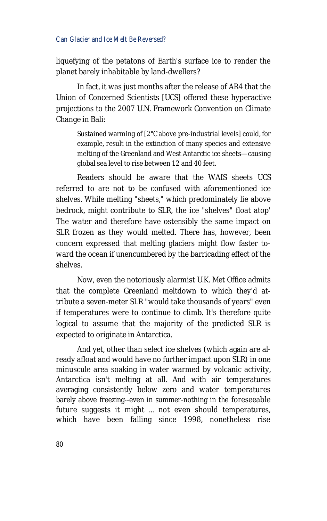liquefying of the petatons of Earth's surface ice to render the planet barely inhabitable by land-dwellers?

In fact, it was just months after the release of AR4 that the Union of Concerned Scientists [UCS] offered these hyperactive projections to the 2007 U.N. Framework Convention on Climate Change in Bali:

Sustained warming of [2°C above pre-industrial levels] could, for example, result in the extinction of many species and extensive melting of the Greenland and West Antarctic ice sheets—causing global sea level to rise between 12 and 40 feet.

Readers should be aware that the WAIS sheets UCS referred to are not to be confused with aforementioned ice shelves. While melting "sheets," which predominately lie above bedrock, might contribute to SLR, the ice "shelves" float atop' The water and therefore have ostensibly the same impact on SLR frozen as they would melted. There has, however, been concern expressed that melting glaciers might flow faster toward the ocean if unencumbered by the barricading effect of the shelves.

Now, even the notoriously alarmist U.K. Met Office admits that the complete Greenland meltdown to which they'd attribute a seven-meter SLR "would take thousands of years" even if temperatures were to continue to climb. It's therefore quite logical to assume that the majority of the predicted SLR is expected to originate in Antarctica.

And yet, other than select ice shelves (which again are already afloat and would have no further impact upon SLR) in one minuscule area soaking in water warmed by volcanic activity, Antarctica isn't melting at all. And with air temperatures averaging consistently below zero and water temperatures barely above freezing--even in summer-nothing in the foreseeable future suggests it might ... not even should temperatures, which have been falling since 1998, nonetheless rise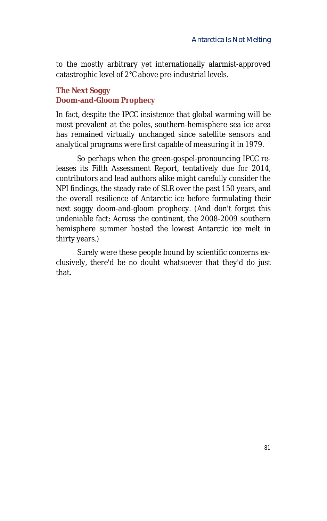to the mostly arbitrary yet internationally alarmist-approved catastrophic level of 2°C above pre-industrial levels.

#### **The Next Soggy Doom-and-Gloom Prophecy**

In fact, despite the IPCC insistence that global warming will be most prevalent at the poles, southern-hemisphere sea ice area has remained virtually unchanged since satellite sensors and analytical programs were first capable of measuring it in 1979.

So perhaps when the green-gospel-pronouncing IPCC releases its Fifth Assessment Report, tentatively due for 2014, contributors and lead authors alike might carefully consider the NPI findings, the steady rate of SLR over the past 150 years, and the overall resilience of Antarctic ice before formulating their next soggy doom-and-gloom prophecy. (And don't forget this undeniable fact: Across the continent, the 2008-2009 southern hemisphere summer hosted the lowest Antarctic ice melt in thirty years.)

Surely were these people bound by scientific concerns exclusively, there'd be no doubt whatsoever that they'd do just that.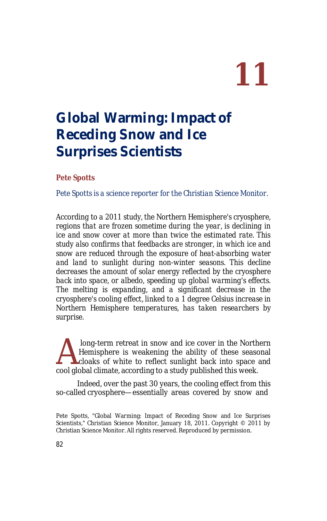# **11**

# **Global Warming: Impact of Receding Snow and Ice Surprises Scientists**

#### *Pete Spotts*

*Pete Spotts is a science reporter for the Christian Science Monitor.* 

*According to a 2011 study, the Northern Hemisphere's cryosphere, regions that are frozen sometime during the year, is declining in ice and snow cover at more than twice the estimated rate. This study also confirms that feedbacks are stronger, in which ice and snow are reduced through the exposure of heat-absorbing water and land to sunlight during non-winter seasons. This decline decreases the amount of solar energy reflected by the cryosphere back into space, or albedo, speeding up global warming's effects. The melting is expanding, and a significant decrease in the cryosphere's cooling effect, linked to a 1 degree Celsius increase in Northern Hemisphere temperatures, has taken researchers by surprise.* 

long-term retreat in snow and ice cover in the Northern Hemisphere is weakening the ability of these seasonal cloaks of white to reflect sunlight back into space and long-term retreat in snow and ice cover in the North<br>Hemisphere is weakening the ability of these sease<br>cool global climate, according to a study published this week.

Indeed, over the past 30 years, the cooling effect from this so-called cryosphere—essentially areas covered by snow and

Pete Spotts, "Global Warming: Impact of Receding Snow and Ice Surprises Scientists," Christian Science Monitor, January 18, 2011. Copyright © 2011 by Christian Science Monitor. All rights reserved. Reproduced by permission.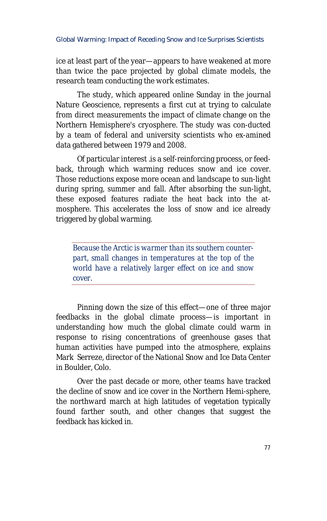ice at least part of the year—appears to have weakened at more than twice the pace projected by global climate models, the research team conducting the work estimates.

The study, which appeared online Sunday in the journal Nature Geoscience, represents a first cut at trying to calculate from direct measurements the impact of climate change on the Northern Hemisphere's cryosphere. The study was con-ducted by a team of federal and university scientists who ex-amined data gathered between 1979 and 2008.

Of particular interest .is a self-reinforcing process, or feedback, through which warming reduces snow and ice cover. Those reductions expose more ocean and landscape to sun-light during spring, summer and fall. After absorbing the sun-light, these exposed features radiate the heat back into the atmosphere. This accelerates the loss of snow and ice already triggered by global warming.

*Because the Arctic is warmer than its southern counterpart, small changes in temperatures at the top of the world have a relatively larger effect on ice and snow cover.* 

Pinning down the size of this effect—one of three major feedbacks in the global climate process—is important in understanding how much the global climate could warm in response to rising concentrations of greenhouse gases that human activities have pumped into the atmosphere, explains Mark Serreze, director of the National Snow and Ice Data Center in Boulder, Colo.

Over the past decade or more, other teams have tracked the decline of snow and ice cover in the Northern Hemi-sphere, the northward march at high latitudes of vegetation typically found farther south, and other changes that suggest the feedback has kicked in.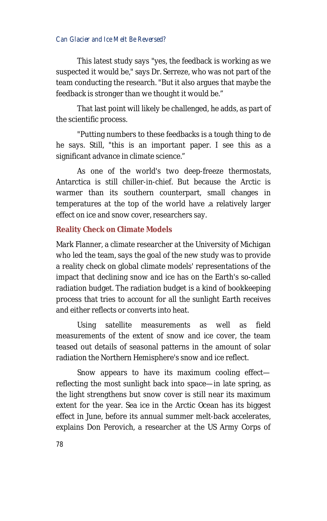This latest study says "yes, the feedback is working as we suspected it would be," says Dr. Serreze, who was not part of the team conducting the research. "But it also argues that maybe the feedback is stronger than we thought it would be."

That last point will likely be challenged, he adds, as part of the scientific process.

"Putting numbers to these feedbacks is a tough thing to de he says. Still, "this is an important paper. I see this as a significant advance in climate science."

As one of the world's two deep-freeze thermostats, Antarctica is still chiller-in-chief. But because the Arctic is warmer than its southern counterpart, small changes in temperatures at the top of the world have .a relatively larger effect on ice and snow cover, researchers say.

#### **Reality Check on Climate Models**

Mark Flanner, a climate researcher at the University of Michigan who led the team, says the goal of the new study was to provide a reality check on global climate models' representations of the impact that declining snow and ice has on the Earth's so-called radiation budget. The radiation budget is a kind of bookkeeping process that tries to account for all the sunlight Earth receives and either reflects or converts into heat.

Using satellite measurements as well as field measurements of the extent of snow and ice cover, the team teased out details of seasonal patterns in the amount of solar radiation the Northern Hemisphere's snow and ice reflect.

Snow appears to have its maximum cooling effect reflecting the most sunlight back into space—in late spring, as the light strengthens but snow cover is still near its maximum extent for the year. Sea ice in the Arctic Ocean has its biggest effect in June, before its annual summer melt-back accelerates, explains Don Perovich, a researcher at the US Army Corps of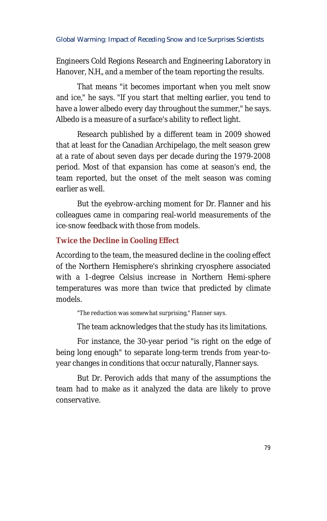Engineers Cold Regions Research and Engineering Laboratory in Hanover, N.H., and a member of the team reporting the results.

That means "it becomes important when you melt snow and ice," he says. "If you start that melting earlier, you tend to have a lower albedo every day throughout the summer," he says. Albedo is a measure of a surface's ability to reflect light.

Research published by a different team in 2009 showed that at least for the Canadian Archipelago, the melt season grew at a rate of about seven days per decade during the 1979-2008 period. Most of that expansion has come at season's end, the team reported, but the onset of the melt season was coming earlier as well.

But the eyebrow-arching moment for Dr. Flanner and his colleagues came in comparing real-world measurements of the ice-snow feedback with those from models.

### **Twice the Decline in Cooling Effect**

According to the team, the measured decline in the cooling effect of the Northern Hemisphere's shrinking cryosphere associated with a 1-degree Celsius increase in Northern Hemi-sphere temperatures was more than twice that predicted by climate models.

"The reduction was somewhat surprising," Flanner says.

The team acknowledges that the study has its limitations.

For instance, the 30-year period "is right on the edge of being long enough" to separate long-term trends from year-toyear changes in conditions that occur naturally, Flanner says.

But Dr. Perovich adds that many of the assumptions the team had to make as it analyzed the data are likely to prove conservative.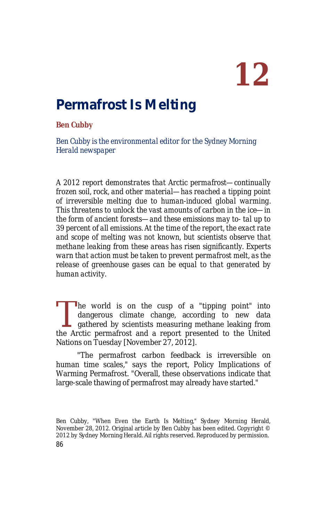**12** 

## **Permafrost Is Melting**

#### *Ben Cubby*

*Ben Cubby is the environmental editor for the Sydney Morning Herald newspaper* 

*A 2012 report demonstrates that Arctic permafrost—continually frozen soil, rock, and other material—has reached a tipping point of irreversible melting due to human-induced global warming. This threatens to unlock the vast amounts of carbon in the ice—in the form of ancient forests—and these emissions may to- tal up to 39 percent of all emissions. At the time of the report, the exact rate and scope of melting was not known, but scientists observe that methane leaking from these areas has risen significantly. Experts warn that action must be taken to prevent permafrost melt, as the release of greenhouse gases can be equal to that generated by human activity.* 

he world is on the cusp of a "tipping point" into dangerous climate change, according to new data gathered by scientists measuring methane leaking from The world is on the cusp of a "tipping point" into dangerous climate change, according to new data gathered by scientists measuring methane leaking from the Arctic permafrost and a report presented to the United Nations on Tuesday [November 27, 2012].

"The permafrost carbon feedback is irreversible on human time scales," says the report, Policy Implications of Warming Permafrost. "Overall, these observations indicate that large-scale thawing of permafrost may already have started."

<sup>86</sup> Ben Cubby, "When Even the Earth Is Melting," Sydney Morning Herald, November 28, 2012. Original article by Ben Cubby has been edited. Copyright © 2012 by Sydney Morning Herald. Ail rights reserved. Reproduced by permission.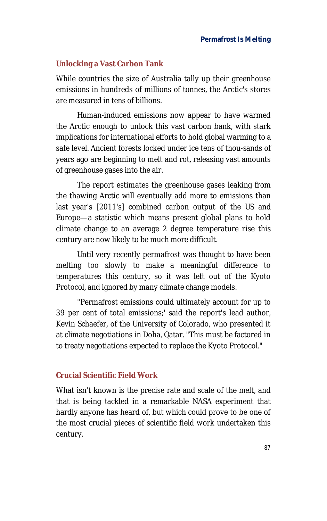#### **Unlocking a Vast Carbon Tank**

While countries the size of Australia tally up their greenhouse emissions in hundreds of millions of tonnes, the Arctic's stores are measured in tens of billions.

Human-induced emissions now appear to have warmed the Arctic enough to unlock this vast carbon bank, with stark implications for international efforts to hold global warming to a safe level. Ancient forests locked under ice tens of thou-sands of years ago are beginning to melt and rot, releasing vast amounts of greenhouse gases into the air.

The report estimates the greenhouse gases leaking from the thawing Arctic will eventually add more to emissions than last year's [2011's] combined carbon output of the US and Europe—a statistic which means present global plans to hold climate change to an average 2 degree temperature rise this century are now likely to be much more difficult.

Until very recently permafrost was thought to have been melting too slowly to make a meaningful difference to temperatures this century, so it was left out of the Kyoto Protocol, and ignored by many climate change models.

"Permafrost emissions could ultimately account for up to 39 per cent of total emissions;' said the report's lead author, Kevin Schaefer, of the University of Colorado, who presented it at climate negotiations in Doha, Qatar. "This must be factored in to treaty negotiations expected to replace the Kyoto Protocol."

#### **Crucial Scientific Field Work**

What isn't known is the precise rate and scale of the melt, and that is being tackled in a remarkable NASA experiment that hardly anyone has heard of, but which could prove to be one of the most crucial pieces of scientific field work undertaken this century.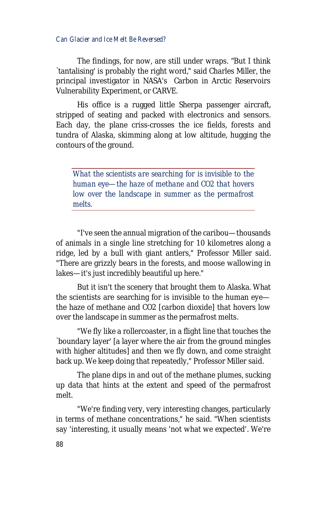The findings, for now, are still under wraps. "But I think `tantalising' is probably the right word," said Charles Miller, the principal investigator in NASA's Carbon in Arctic Reservoirs Vulnerability Experiment, or CARVE.

His office is a rugged little Sherpa passenger aircraft, stripped of seating and packed with electronics and sensors. Each day, the plane criss-crosses the ice fields, forests and tundra of Alaska, skimming along at low altitude, hugging the contours of the ground.

*What the scientists are searching for is invisible to the human eye—the haze of methane and CO2 that hovers low over the landscape in summer as the permafrost melts.* 

"I've seen the annual migration of the caribou—thousands of animals in a single line stretching for 10 kilometres along a ridge, led by a bull with giant antlers," Professor Miller said. "There are grizzly bears in the forests, and moose wallowing in lakes—it's just incredibly beautiful up here."

But it isn't the scenery that brought them to Alaska. What the scientists are searching for is invisible to the human eye the haze of methane and CO2 [carbon dioxide] that hovers low over the landscape in summer as the permafrost melts.

"We fly like a rollercoaster, in a flight line that touches the `boundary layer' [a layer where the air from the ground mingles with higher altitudes] and then we fly down, and come straight back up. We keep doing that repeatedly," Professor Miller said.

The plane dips in and out of the methane plumes, sucking up data that hints at the extent and speed of the permafrost melt.

"We're finding very, very interesting changes, particularly in terms of methane concentrations," he said. "When scientists say 'interesting, it usually means 'not what we expected'. We're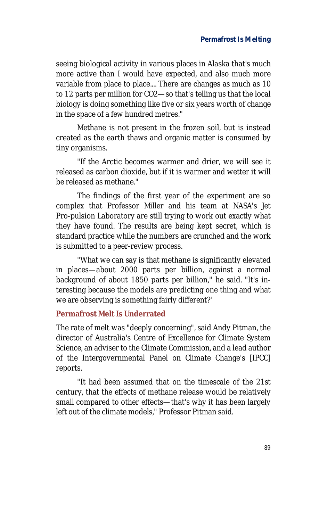seeing biological activity in various places in Alaska that's much more active than I would have expected, and also much more variable from place to place.... There are changes as much as 10 to 12 parts per million for CO2—so that's telling us that the local biology is doing something like five or six years worth of change in the space of a few hundred metres."

Methane is not present in the frozen soil, but is instead created as the earth thaws and organic matter is consumed by tiny organisms.

"If the Arctic becomes warmer and drier, we will see it released as carbon dioxide, but if it is warmer and wetter it will be released as methane."

The findings of the first year of the experiment are so complex that Professor Miller and his team at NASA's Jet Pro-pulsion Laboratory are still trying to work out exactly what they have found. The results are being kept secret, which is standard practice while the numbers are crunched and the work is submitted to a peer-review process.

"What we can say is that methane is significantly elevated in places—about 2000 parts per billion, against a normal background of about 1850 parts per billion," he said. "It's interesting because the models are predicting one thing and what we are observing is something fairly different?'

#### **Permafrost Melt Is Underrated**

The rate of melt was "deeply concerning", said Andy Pitman, the director of Australia's Centre of Excellence for Climate System Science, an adviser to the Climate Commission, and a lead author of the Intergovernmental Panel on Climate Change's [IPCC] reports.

"It had been assumed that on the timescale of the 21st century, that the effects of methane release would be relatively small compared to other effects—that's why it has been largely left out of the climate models," Professor Pitman said.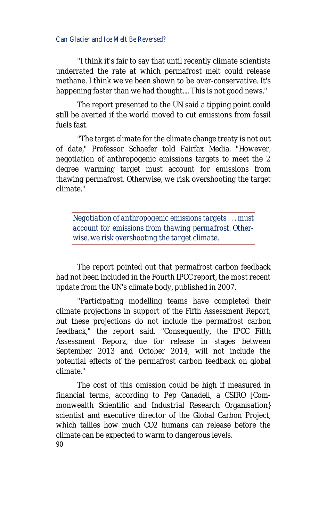"I think it's fair to say that until recently climate scientists underrated the rate at which permafrost melt could release methane. I think we've been shown to be over-conservative. It's happening faster than we had thought.... This is not good news."

The report presented to the UN said a tipping point could still be averted if the world moved to cut emissions from fossil fuels fast.

"The target climate for the climate change treaty is not out of date," Professor Schaefer told Fairfax Media. "However, negotiation of anthropogenic emissions targets to meet the 2 degree warming target must account for emissions from thawing permafrost. Otherwise, we risk overshooting the target climate."

*Negotiation of anthropogenic emissions targets . . . must account for emissions from thawing permafrost. Otherwise, we risk overshooting the target climate.* 

The report pointed out that permafrost carbon feedback had not been included in the Fourth IPCC report, the most recent update from the UN's climate body, published in 2007.

"Participating modelling teams have completed their climate projections in support of the Fifth Assessment Report, but these projections do not include the permafrost carbon feedback," the report said. "Consequently, the IPCC Fifth Assessment Reporz, due for release in stages between September 2013 and October 2014, will not include the potential effects of the permafrost carbon feedback on global climate."

90 The cost of this omission could be high if measured in financial terms, according to Pep Canadell, a CSIRO [Commonwealth Scientific and Industrial Research Organisation} scientist and executive director of the Global Carbon Project, which tallies how much CO2 humans can release before the climate can be expected to warm to dangerous levels.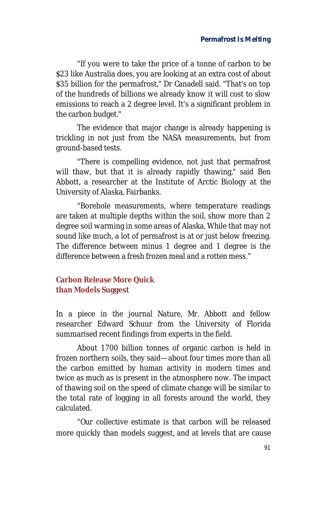"If you were to take the price of a tonne of carbon to be \$23 like Australia does, you are looking at an extra cost of about \$35 billion for the permafrost." Dr Canadell said. "That's on top of the hundreds of billions we already know it will cost to slow emissions to reach a 2 degree level. It's a significant problem in the carbon budget."

The evidence that major change is already happening is trickling in not just from the NASA measurements, but from ground-based tests.

"There is compelling evidence, not just that permafrost will thaw, but that it is already rapidly thawing," said Ben Abbott, a researcher at the Institute of Arctic Biology at the University of Alaska, Fairbanks.

"Borehole measurements, where temperature readings are taken at multiple depths within the soil, show more than 2 degree soil warming in some areas of Alaska. While that may not sound like much, a lot of permafrost is at or just below freezing. The difference between minus 1 degree and 1 degree is the difference between a fresh frozen meal and a rotten mess."

#### **Carbon Release More Quick than Models Suggest**

In a piece in the journal Nature, Mr. Abbott and fellow researcher Edward Schuur from the University of Florida summarised recent findings from experts in the field.

About 1700 billion tonnes of organic carbon is held in frozen northern soils, they said—about four times more than all the carbon emitted by human activity in modern times and twice as much as is present in the atmosphere now. The impact of thawing soil on the speed of climate change will be similar to the total rate of logging in all forests around the world, they calculated.

"Our collective estimate is that carbon will be released more quickly than models suggest, and at levels that are cause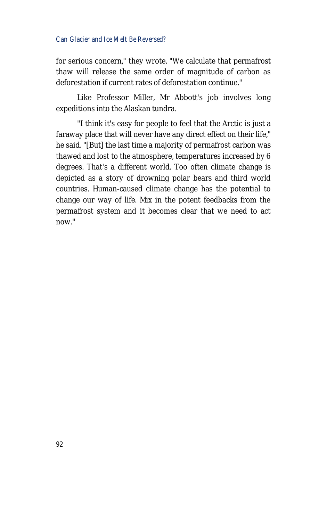for serious concern," they wrote. "We calculate that permafrost thaw will release the same order of magnitude of carbon as deforestation if current rates of deforestation continue."

Like Professor Miller, Mr Abbott's job involves long expeditions into the Alaskan tundra.

"I think it's easy for people to feel that the Arctic is just a faraway place that will never have any direct effect on their life," he said. "[But] the last time a majority of permafrost carbon was thawed and lost to the atmosphere, temperatures increased by 6 degrees. That's a different world. Too often climate change is depicted as a story of drowning polar bears and third world countries. Human-caused climate change has the potential to change our way of life. Mix in the potent feedbacks from the permafrost system and it becomes clear that we need to act now."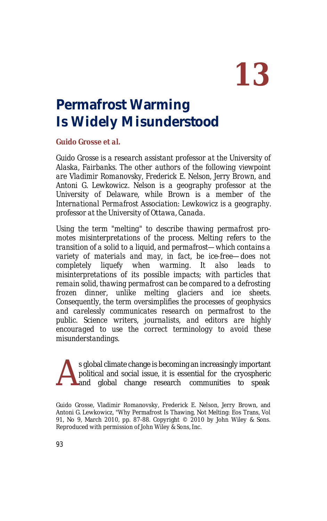# **13**

# **Permafrost Warming Is Widely Misunderstood**

#### *Guido Grosse et al.*

*Guido Grosse is a research assistant professor at the University of Alaska, Fairbanks. The other authors of the following viewpoint are Vladimir Romanovsky, Frederick E. Nelson, Jerry Brown, and Antoni G. Lewkowicz. Nelson is a geography professor at the University of Delaware, while Brown is a member of the International Permafrost Association: Lewkowicz is a geography. professor at the University of Ottawa, Canada.* 

*Using the term "melting" to describe thawing permafrost promotes misinterpretations of the process. Melting refers to the transition of a solid to a liquid, and permafrost—which contains a variety of materials and may, in fact, be ice-free—does not completely liquefy when warming. It also leads to misinterpretations of its possible impacts; with particles that remain solid, thawing permafrost can be compared to a defrosting frozen dinner, unlike melting glaciers and ice sheets. Consequently, the term oversimplifies the processes of geophysics and carelessly communicates research on permafrost to the public. Science writers, journalists, and editors are highly encouraged to use the correct terminology to avoid these misunderstandings.*

s global climate change is becoming an increasingly important political and social issue, it is essential for the cryospheric and global change research communities to speak A

Guido Grosse, Vladimir Romanovsky, Frederick E. Nelson, Jerry Brown, and Antoni G. Lewkowicz, "Why Permafrost Is Thawing, Not Melting: Eos Trans, Vol 91, No 9, March 2010, pp. 87-88. Copyright © 2010 by John Wiley & Sons. Reproduced with permission of John Wiley & Sons, Inc.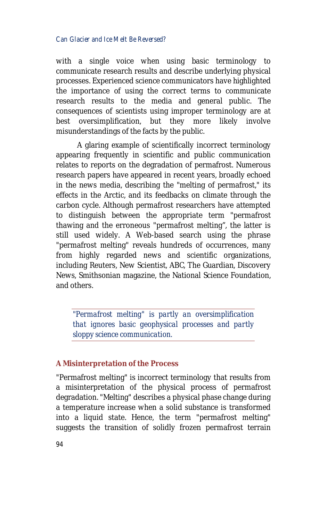with a single voice when using basic terminology to communicate research results and describe underlying physical processes. Experienced science communicators have highlighted the importance of using the correct terms to communicate research results to the media and general public. The consequences of scientists using improper terminology are at best oversimplification, but they more likely involve misunderstandings of the facts by the public.

A glaring example of scientifically incorrect terminology appearing frequently in scientific and public communication relates to reports on the degradation of permafrost. Numerous research papers have appeared in recent years, broadly echoed in the news media, describing the "melting of permafrost," its effects in the Arctic, and its feedbacks on climate through the carbon cycle. Although permafrost researchers have attempted to distinguish between the appropriate term "permafrost thawing and the erroneous "permafrost melting", the latter is still used widely. A Web-based search using the phrase "permafrost melting" reveals hundreds of occurrences, many from highly regarded news and scientific organizations, including Reuters, New Scientist, ABC, The Guardian, Discovery News, Smithsonian magazine, the National Science Foundation, and others.

*"Permafrost melting" is partly an oversimplification that ignores basic geophysical processes and partly sloppy science communication.* 

#### **A Misinterpretation of the Process**

"Permafrost melting" is incorrect terminology that results from a misinterpretation of the physical process of permafrost degradation. "Melting" describes a physical phase change during a temperature increase when a solid substance is transformed into a liquid state. Hence, the term "permafrost melting" suggests the transition of solidly frozen permafrost terrain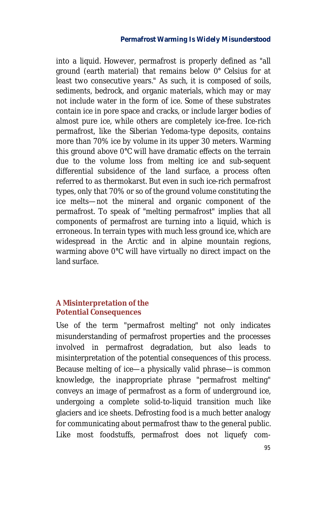into a liquid. However, permafrost is properly defined as "all ground (earth material) that remains below 0° Celsius for at least two consecutive years." As such, it is composed of soils, sediments, bedrock, and organic materials, which may or may not include water in the form of ice. Some of these substrates contain ice in pore space and cracks, or include larger bodies of almost pure ice, while others are completely ice-free. Ice-rich permafrost, like the Siberian Yedoma-type deposits, contains more than 70% ice by volume in its upper 30 meters. Warming this ground above 0°C will have dramatic effects on the terrain due to the volume loss from melting ice and sub-sequent differential subsidence of the land surface, a process often referred to as thermokarst. But even in such ice-rich permafrost types, only that 70% or so of the ground volume constituting the ice melts—not the mineral and organic component of the permafrost. To speak of "melting permafrost" implies that all components of permafrost are turning into a liquid, which is erroneous. In terrain types with much less ground ice, which are widespread in the Arctic and in alpine mountain regions, warming above 0°C will have virtually no direct impact on the land surface.

#### **A Misinterpretation of the Potential Consequences**

Use of the term "permafrost melting" not only indicates misunderstanding of permafrost properties and the processes involved in permafrost degradation, but also leads to misinterpretation of the potential consequences of this process. Because melting of ice—a physically valid phrase—is common knowledge, the inappropriate phrase "permafrost melting" conveys an image of permafrost as a form of underground ice, undergoing a complete solid-to-liquid transition much like glaciers and ice sheets. Defrosting food is a much better analogy for communicating about permafrost thaw to the general public. Like most foodstuffs, permafrost does not liquefy com-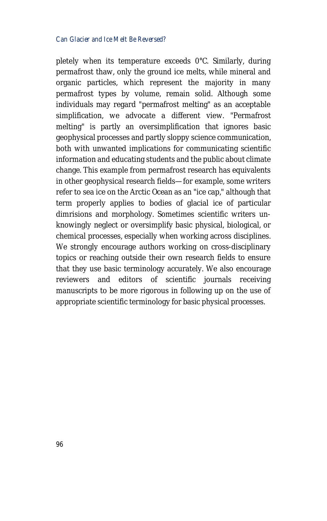pletely when its temperature exceeds 0°C. Similarly, during permafrost thaw, only the ground ice melts, while mineral and organic particles, which represent the majority in many permafrost types by volume, remain solid. Although some individuals may regard "permafrost melting" as an acceptable simplification, we advocate a different view. "Permafrost melting" is partly an oversimplification that ignores basic geophysical processes and partly sloppy science communication, both with unwanted implications for communicating scientific information and educating students and the public about climate change. This example from permafrost research has equivalents in other geophysical research fields—for example, some writers refer to sea ice on the Arctic Ocean as an "ice cap," although that term properly applies to bodies of glacial ice of particular dimrisions and morphology. Sometimes scientific writers unknowingly neglect or oversimplify basic physical, biological, or chemical processes, especially when working across disciplines. We strongly encourage authors working on cross-disciplinary topics or reaching outside their own research fields to ensure that they use basic terminology accurately. We also encourage reviewers and editors of scientific journals receiving manuscripts to be more rigorous in following up on the use of appropriate scientific terminology for basic physical processes.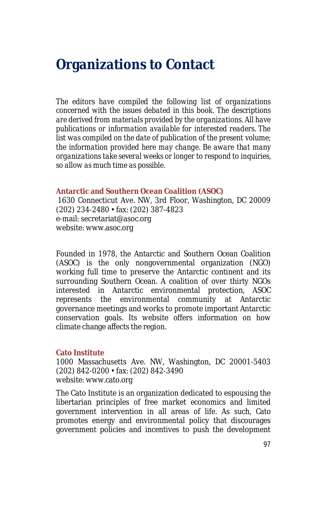# **Organizations to Contact**

*The editors have compiled the following list of organizations concerned with the issues debated in this book. The descriptions are derived from materials provided by the organizations. All have publications or information available for interested readers. The list was compiled on the date of publication of the present volume; the information provided here may change. Be aware that many organizations take several weeks or longer to respond to inquiries, so allow as much time as possible.* 

#### **Antarctic and Southern Ocean Coalition (ASOC)**

1630 Connecticut Ave. NW, 3rd Floor, Washington, DC 20009 (202) 234-2480 • fax: (202) 387-4823 e-mail: secretariat@asoc.org website: www.asoc.org

Founded in 1978, the Antarctic and Southern Ocean Coalition (ASOC) is the only nongovernmental organization (NGO) working full time to preserve the Antarctic continent and its surrounding Southern Ocean. A coalition of over thirty NGOs interested in Antarctic environmental protection, ASOC represents the environmental community at Antarctic governance meetings and works to promote important Antarctic conservation goals. Its website offers information on how climate change affects the region.

#### **Cato Institute**

1000 Massachusetts Ave. NW, Washington, DC 20001-5403 (202) 842-0200 • fax: (202) 842-3490 website: www.cato.org

The Cato Institute is an organization dedicated to espousing the libertarian principles of free market economics and limited government intervention in all areas of life. As such, Cato promotes energy and environmental policy that discourages government policies and incentives to push the development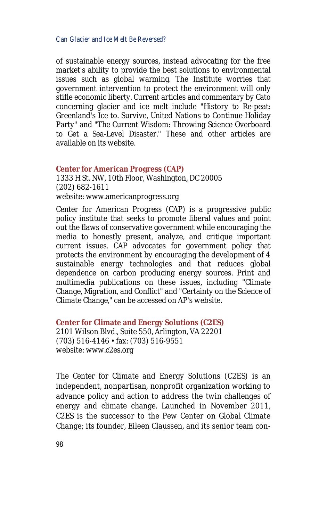of sustainable energy sources, instead advocating for the free market's ability to provide the best solutions to environmental issues such as global warming. The Institute worries that government intervention to protect the environment will only stifle economic liberty. Current articles and commentary by Cato concerning glacier and ice melt include "History to Re-peat: Greenland's Ice to. Survive, United Nations to Continue Holiday Party" and "The Current Wisdom: Throwing Science Overboard to Get a Sea-Level Disaster." These and other articles are available on its website.

#### **Center for American Progress (CAP)**

1333 H St. NW, 10th Floor, Washington, DC 20005 (202) 682-1611 website: www.americanprogress.org

Center for American Progress (CAP) is a progressive public policy institute that seeks to promote liberal values and point out the flaws of conservative government while encouraging the media to honestly present, analyze, and critique important current issues. CAP advocates for government policy that protects the environment by encouraging the development of 4 sustainable energy technologies and that reduces global dependence on carbon producing energy sources. Print and multimedia publications on these issues, including "Climate Change, Migration, and Conflict" and "Certainty on the Science of Climate Change," can be accessed on AP's website.

**Center for Climate and Energy Solutions (C2ES)** 

2101 Wilson Blvd., Suite 550, Arlington, VA 22201 (703) 516-4146 • fax: (703) 516-9551 website: www.c2es.org

The Center for Climate and Energy Solutions (C2ES) is an independent, nonpartisan, nonprofit organization working to advance policy and action to address the twin challenges of energy and climate change. Launched in November 2011, C2ES is the successor to the Pew Center on Global Climate Change; its founder, Eileen Claussen, and its senior team con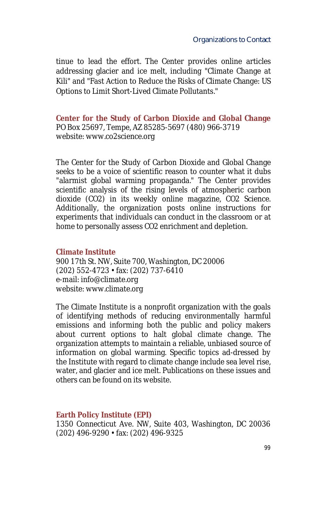tinue to lead the effort. The Center provides online articles addressing glacier and ice melt, including "Climate Change at Kili" and "Fast Action to Reduce the Risks of Climate Change: US Options to Limit Short-Lived Climate Pollutants."

**Center for the Study of Carbon Dioxide and Global Change** PO Box 25697, Tempe, AZ 85285-5697 (480) 966-3719 website: www.co2science.org

The Center for the Study of Carbon Dioxide and Global Change seeks to be a voice of scientific reason to counter what it dubs "alarmist global warming propaganda." The Center provides scientific analysis of the rising levels of atmospheric carbon dioxide (CO2) in its weekly online magazine, CO2 Science. Additionally, the organization posts online instructions for experiments that individuals can conduct in the classroom or at home to personally assess CO2 enrichment and depletion.

#### **Climate Institute**

900 17th St. NW, Suite 700, Washington, DC 20006 (202) 552-4723 • fax: (202) 737-6410 e-mail: info@climate.org website: www.climate.org

The Climate Institute is a nonprofit organization with the goals of identifying methods of reducing environmentally harmful emissions and informing both the public and policy makers about current options to halt global climate change. The organization attempts to maintain a reliable, unbiased source of information on global warming. Specific topics ad-dressed by the Institute with regard to climate change include sea level rise, water, and glacier and ice melt. Publications on these issues and others can be found on its website.

#### **Earth Policy Institute (EPI)**

1350 Connecticut Ave. NW, Suite 403, Washington, DC 20036 (202) 496-9290 • fax: (202) 496-9325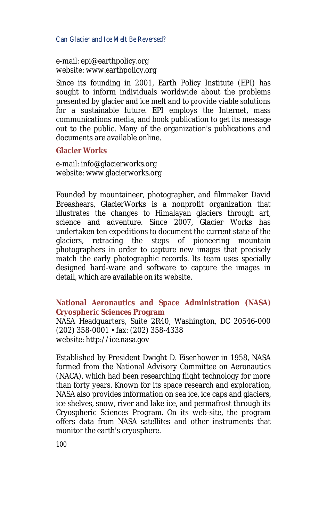e-mail: epi@earthpolicy.org website: www.earthpolicy.org

Since its founding in 2001, Earth Policy Institute (EPI) has sought to inform individuals worldwide about the problems presented by glacier and ice melt and to provide viable solutions for a sustainable future. EPI employs the Internet, mass communications media, and book publication to get its message out to the public. Many of the organization's publications and documents are available online.

#### **Glacier Works**

e-mail: info@glacierworks.org website: www.glacierworks.org

Founded by mountaineer, photographer, and filmmaker David Breashears, GlacierWorks is a nonprofit organization that illustrates the changes to Himalayan glaciers through art, science and adventure. Since 2007, Glacier Works has undertaken ten expeditions to document the current state of the glaciers, retracing the steps of pioneering mountain photographers in order to capture new images that precisely match the early photographic records. Its team uses specially designed hard-ware and software to capture the images in detail, which are available on its website.

#### **National Aeronautics and Space Administration (NASA) Cryospheric Sciences Program**

NASA Headquarters, Suite 2R40, Washington, DC 20546-000 (202) 358-0001 • fax: (202) 358-4338 website: http://ice.nasa.gov

Established by President Dwight D. Eisenhower in 1958, NASA formed from the National Advisory Committee on Aeronautics (NACA), which had been researching flight technology for more than forty years. Known for its space research and exploration, NASA also provides information on sea ice, ice caps and glaciers, ice shelves, snow, river and lake ice, and permafrost through its Cryospheric Sciences Program. On its web-site, the program offers data from NASA satellites and other instruments that monitor the earth's cryosphere.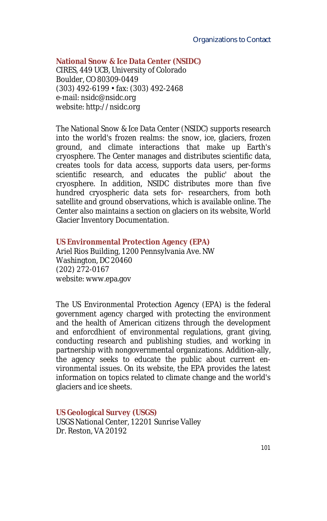#### Organizations to Contact

**National Snow & Ice Data Center (NSIDC)** CIRES, 449 UCB, University of Colorado Boulder, CO 80309-0449 (303) 492-6199 • fax: (303) 492-2468 e-mail: nsidc@nsidc.org website: http://nsidc.org

The National Snow & Ice Data Center (NSIDC) supports research into the world's frozen realms: the snow, ice, glaciers, frozen ground, and climate interactions that make up Earth's cryosphere. The Center manages and distributes scientific data, creates tools for data access, supports data users, per-forms scientific research, and educates the public' about the cryosphere. In addition, NSIDC distributes more than five hundred cryospheric data sets for- researchers, from both satellite and ground observations, which is available online. The Center also maintains a section on glaciers on its website, World Glacier Inventory Documentation.

**US Environmental Protection Agency (EPA)**  Ariel Rios Building, 1200 Pennsylvania Ave. NW Washington, DC 20460 (202) 272-0167 website: www.epa.gov

The US Environmental Protection Agency (EPA) is the federal government agency charged with protecting the environment and the health of American citizens through the development and enforcdhient of environmental regulations, grant giving, conducting research and publishing studies, and working in partnership with nongovernmental organizations. Addition-ally, the agency seeks to educate the public about current environmental issues. On its website, the EPA provides the latest information on topics related to climate change and the world's glaciers and ice sheets.

**US Geological Survey (USGS)** USGS National Center, 12201 Sunrise Valley Dr. Reston, VA 20192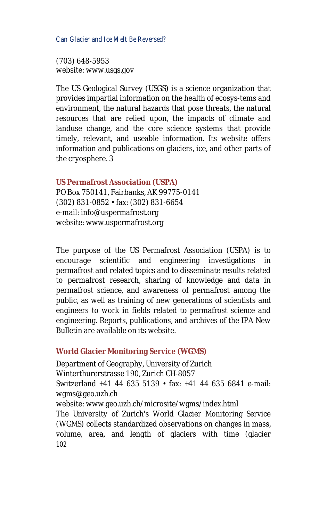(703) 648-5953 website: www.usgs.gov

The US Geological Survey (USGS) is a science organization that provides impartial information on the health of ecosys-tems and environment, the natural hazards that pose threats, the natural resources that are relied upon, the impacts of climate and landuse change, and the core science systems that provide timely, relevant, and useable information. Its website offers information and publications on glaciers, ice, and other parts of the cryosphere. 3

#### **US Permafrost Association (USPA)**

PO Box 750141, Fairbanks, AK 99775-0141 (302) 831-0852 • fax: (302) 831-6654 e-mail: info@uspermafrost.org website: www.uspermafrost.org

The purpose of the US Permafrost Association (USPA) is to encourage scientific and engineering investigations in permafrost and related topics and to disseminate results related to permafrost research, sharing of knowledge and data in permafrost science, and awareness of permafrost among the public, as well as training of new generations of scientists and engineers to work in fields related to permafrost science and engineering. Reports, publications, and archives of the IPA New Bulletin are available on its website.

#### **World Glacier Monitoring Service (WGMS)**

102 Department of Geography, University of Zurich Winterthurerstrasse 190, Zurich CH-8057 Switzerland +41 44 635 5139 • fax: +41 44 635 6841 e-mail: wgms@geo.uzh.ch website: www.geo.uzh.ch/microsite/wgms/index.html The University of Zurich's World Glacier Monitoring Service (WGMS) collects standardized observations on changes in mass, volume, area, and length of glaciers with time (glacier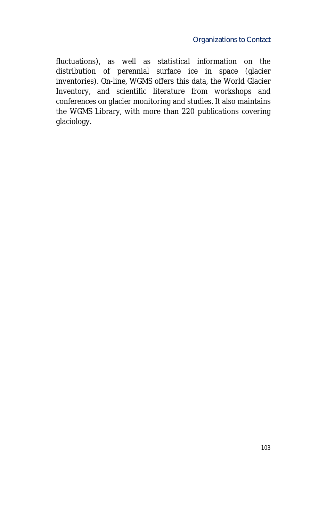fluctuations), as well as statistical information on the distribution of perennial surface ice in space (glacier inventories). On-line, WGMS offers this data, the World Glacier Inventory, and scientific literature from workshops and conferences on glacier monitoring and studies. It also maintains the WGMS Library, with more than 220 publications covering glaciology.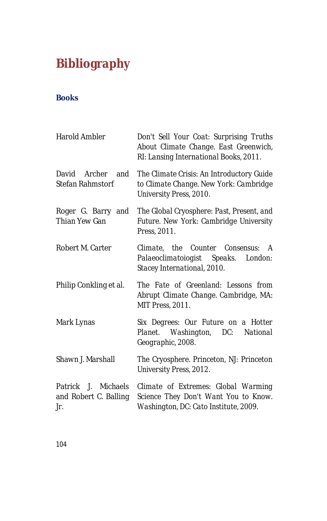# **Bibliography**

## **Books**

| <b>Harold Ambler</b>                                | Don't Sell Your Coat: Surprising Truths<br>About Climate Change. East Greenwich,<br>RI: Lansing International Books, 2011. |
|-----------------------------------------------------|----------------------------------------------------------------------------------------------------------------------------|
| David<br>Archer<br>and<br>Stefan Rahmstorf          | The Climate Crisis: An Introductory Guide<br>to Climate Change. New York: Cambridge<br>University Press, 2010.             |
| Roger G. Barry and<br>Thian Yew Gan                 | The Global Cryosphere: Past, Present, and<br>Future. New York: Cambridge University<br>Press, 2011.                        |
| Robert M. Carter                                    | Climate, the Counter Consensus:<br>A<br>Palaeoclimatoiogist Speaks. London:<br>Stacey International, 2010.                 |
| Philip Conkling et al.                              | The Fate of Greenland: Lessons from<br>Abrupt Climate Change. Cambridge, MA:<br>MIT Press, 2011.                           |
| Mark Lynas                                          | Six Degrees: Our Future on a Hotter<br>Planet.<br>Washington, DC:<br>National<br>Geographic, 2008.                         |
| Shawn J. Marshall                                   | The Cryosphere. Princeton, NJ: Princeton<br>University Press, 2012.                                                        |
| Patrick J. Michaels<br>and Robert C. Balling<br>Jr. | Climate of Extremes: Global Warming<br>Science They Don't Want You to Know.<br>Washington, DC: Cato Institute, 2009.       |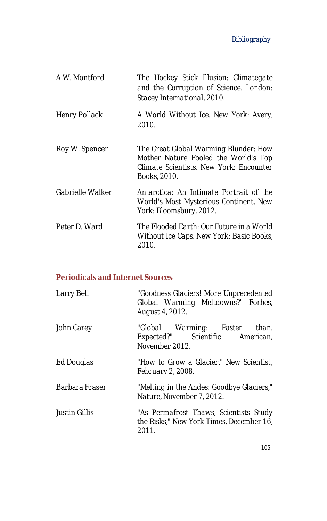| A.W. Montford    | The Hockey Stick Illusion: Climategate<br>and the Corruption of Science. London:<br>Stacey International, 2010.                                 |
|------------------|-------------------------------------------------------------------------------------------------------------------------------------------------|
| Henry Pollack    | A World Without Ice. New York: Avery,<br>2010.                                                                                                  |
| Roy W. Spencer   | The Great Global Warming Blunder: How<br>Mother Nature Fooled the World's Top<br>Climate Scientists, New York: Encounter<br><i>Books. 2010.</i> |
| Gabrielle Walker | Antarctica: An Intimate Portrait of the<br>World's Most Mysterious Continent. New<br>York: Bloomsbury, 2012.                                    |
| Peter D. Ward    | The Flooded Earth: Our Future in a World<br>Without Ice Caps. New York: Basic Books,<br>2010.                                                   |

## **Periodicals and Internet Sources**

| Larry Bell     | "Goodness Glaciers! More Unprecedented<br>Global Warming Meltdowns?" Forbes,<br>August 4, 2012. |
|----------------|-------------------------------------------------------------------------------------------------|
| John Carey     | "Global Warming: Faster than.<br>Expected?" Scientific American,<br>November 2012.              |
| Ed Douglas     | "How to Grow a Glacier," New Scientist,<br>February 2, 2008.                                    |
| Barbara Fraser | "Melting in the Andes: Goodbye Glaciers,"<br>Nature, November 7, 2012.                          |
| Justin Gillis  | "As Permafrost Thaws, Scientists Study<br>the Risks," New York Times, December 16,<br>2011.     |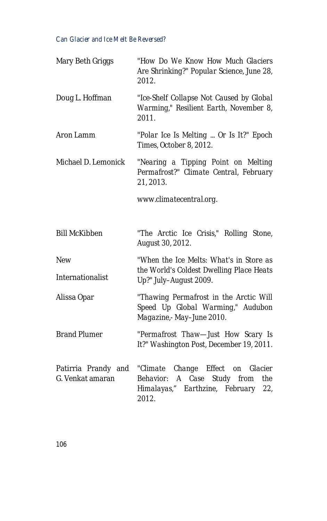| Mary Beth Griggs                        | "How Do We Know How Much Glaciers<br>Are Shrinking?" Popular Science, June 28,<br>2012.                                       |
|-----------------------------------------|-------------------------------------------------------------------------------------------------------------------------------|
| Doug L. Hoffman                         | "Ice-Shelf Collapse Not Caused by Global<br>Warming," Resilient Earth, November 8,<br>2011.                                   |
| Aron Lamm                               | "Polar Ice Is Melting  Or Is It?" Epoch<br>Times, October 8, 2012.                                                            |
| Michael D. Lemonick                     | "Nearing a Tipping Point on Melting<br>Permafrost?" Climate Central, February<br>21, 2013.                                    |
|                                         | www.climatecentral.org.                                                                                                       |
| <b>Bill McKibben</b>                    | "The Arctic Ice Crisis," Rolling Stone,<br>August 30, 2012.                                                                   |
| <b>New</b>                              | "When the Ice Melts: What's in Store as                                                                                       |
| Internationalist                        | the World's Coldest Dwelling Place Heats<br>Up?" July-August 2009.                                                            |
| Alissa Opar                             | "Thawing Permafrost in the Arctic Will<br>Speed Up Global Warming," Audubon<br>Magazine,- May-June 2010.                      |
| <b>Brand Plumer</b>                     | "Permafrost Thaw-Just How Scary Is<br>It?" Washington Post, December 19, 2011.                                                |
| Patirria Prandy and<br>G. Venkat amaran | "Climate Change Effect on<br>Glacier<br>Behavior: A Case Study from<br>the<br>Himalayas," Earthzine, February<br>22,<br>2012. |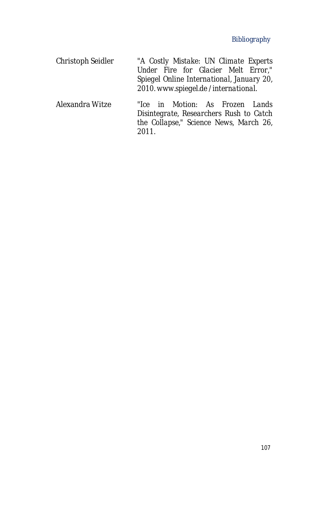Christoph Seidler *"A Costly Mistake: UN Climate Experts Under Fire for Glacier Melt Error," Spiegel Online International, January 20, 2010. www.spiegel.de /international.* 

Alexandra Witze *"Ice in Motion: As Frozen Lands Disintegrate, Researchers Rush to Catch the Collapse," Science News, March 26, 2011.*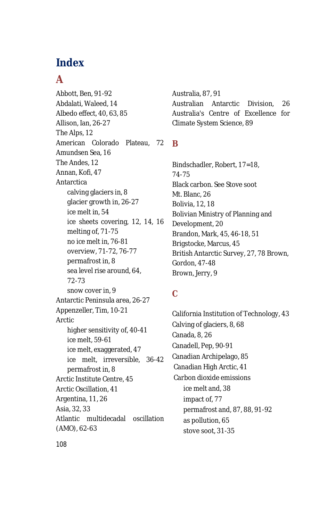## **Index**

## **A**

Abbott, Ben, 91-92 Abdalati, Waleed, 14 Albedo effect, 40, 63, 85 Allison, Ian, 26-27 The Alps, 12 American Colorado Plateau, 72 Amundsen Sea, 16 The Andes, 12 Annan, Kofi, 47 **Antarctica** calving glaciers in, 8 glacier growth in, 26-27 ice melt in, 54 ice sheets covering, 12, 14, 16 melting of, 71-75 no ice melt in, 76-81 overview, 71-72, 76-77 permafrost in, 8 sea level rise around, 64, 72-73 snow cover in, 9 Antarctic Peninsula area, 26-27 Appenzeller, Tim, 10-21 Arctic higher sensitivity of, 40-41 ice melt, 59-61 ice melt, exaggerated, 47 ice melt, irreversible, 36-42 permafrost in, 8 Arctic Institute Centre, 45 Arctic Oscillation, 41 Argentina, 11, 26 Asia, 32, 33 Atlantic multidecadal oscillation (AMO), 62-63

Australia, 87, 91 Australian Antarctic Division, 26 Australia's Centre of Excellence for Climate System Science, 89

#### **B**

Bindschadler, Robert, 17=18, 74-75 Black carbon. See Stove soot Mt. Blanc, 26 Bolivia, 12, 18 Bolivian Ministry of Planning and Development, 20 Brandon, Mark, 45, 46-18, 51 Brigstocke, Marcus, 45 British Antarctic Survey, 27, 78 Brown, Gordon, 47-48 Brown, Jerry, 9

## **C**

California Institution of Technology, 43 Calving of glaciers, 8, 68 Canada, 8, 26 Canadell, Pep, 90-91 Canadian Archipelago, 85 Canadian High Arctic, 41 Carbon dioxide emissions ice melt and, 38 impact of, 77 permafrost and, 87, 88, 91-92 as pollution, 65 stove soot, 31-35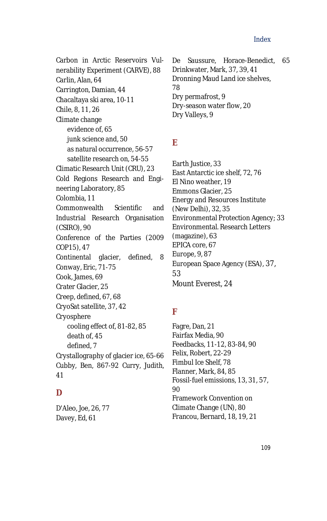#### Index

Carbon in Arctic Reservoirs Vulnerability Experiment (CARVE), 88 Carlin, Alan, 64 Carrington, Damian, 44 Chacaltaya ski area, 10-11 Chile, 8, 11, 26 Climate change evidence of, 65 junk science and, 50 as natural occurrence, 56-57 satellite research on, 54-55 Climatic Research Unit (CRU), 23 Cold Regions Research and Engineering Laboratory, 85 Colombia, 11 Commonwealth Scientific and Industrial Research Organisation (CSIRO), 90 Conference of the Parties (2009 COP15), 47 Continental glacier, defined, 8 Conway, Eric, 71-75 Cook, James, 69 Crater Glacier, 25 Creep, defined, 67, 68 CryoSat satellite, 37, 42 Cryosphere cooling effect of, 81-82, 85 death of, 45 defined, 7 Crystallography of glacier ice, 65-66 Cubby, Ben, 867-92 Curry, Judith, 41

### **D**

D'Aleo, Joe, 26, 77 Davey, Ed, 61

De Saussure, Horace-Benedict, 65 Drinkwater, Mark, 37, 39, 41 Dronning Maud Land ice shelves, 78 Dry permafrost, 9 Dry-season water flow, 20 Dry Valleys, 9

# **E**

Earth Justice, 33 East Antarctic ice shelf, 72, 76 El Nino weather, 19 Emmons Glacier, 25 Energy and Resources Institute (New Delhi), 32, 35 Environmental Protection Agency; 33 Environmental. Research Letters (magazine), 63 EPICA core, 67 Europe, 9, 87 European Space Agency (ESA), 37, 53 Mount Everest, 24

# **F**

Fagre, Dan, 21 Fairfax Media, 90 Feedbacks, 11-12, 83-84, 90 Felix, Robert, 22-29 Fimbul Ice Shelf, 78 Flanner, Mark, 84, 85 Fossil-fuel emissions, 13, 31, 57, 90 Framework Convention on Climate Change (UN), 80 Francou, Bernard, 18, 19, 21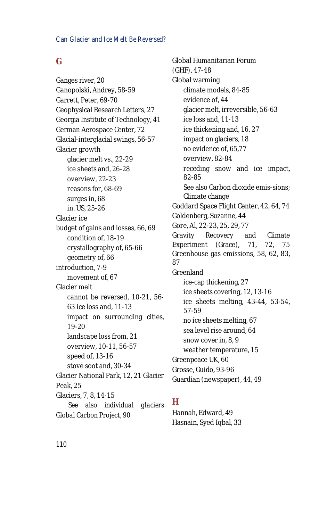#### *Can Glacier and Ice Melt Be Reversed?*

### **G**

Ganges river, 20 Ganopolski, Andrey, 58-59 Garrett, Peter, 69-70 Geophysical Research Letters, 27 Georgia Institute of Technology, 41 German Aerospace Center, 72 Glacial-interglacial swings, 56-57 Glacier growth glacier melt vs., 22-29 ice sheets and, 26-28 overview, 22-23 reasons for, 68-69 surges in, 68 in. US, 25-26 Glacier ice budget of gains and losses, 66, 69 condition of, 18-19 crystallography of, 65-66 geometry of, 66 introduction, 7-9 movement of, 67 Glacier melt cannot be reversed, 10-21, 56- 63 ice loss and, 11-13 impact on surrounding cities, 19-20 landscape loss from, 21 overview, 10-11, 56-57 speed of, 13-16 stove soot and, 30-34 Glacier National Park, 12, 21 Glacier Peak, 25 Glaciers, 7, 8, 14-15  *See also individual glaciers Global Carbon Project, 90* 

Global Humanitarian Forum (GHF), 47-48 Global warming climate models, 84-85 evidence of, 44 glacier melt, irreversible, 56-63 ice loss and, 11-13 ice thickening and, 16, 27 impact on glaciers, 18 no evidence of, 65,77 overview, 82-84 receding snow and ice impact, 82-85 See also Carbon dioxide emis-sions; Climate change Goddard Space Flight Center, 42, 64, 74 Goldenberg, Suzanne, 44 Gore, Al, 22-23, 25, 29, 77 Gravity Recovery and Climate Experiment (Grace), 71, 72, 75 Greenhouse gas emissions, 58, 62, 83, 87 Greenland ice-cap thickening, 27 ice sheets covering, 12, 13-16 ice sheets melting, 43-44, 53-54, 57-59 no ice sheets melting, 67 sea level rise around, 64 snow cover in, 8, 9 weather temperature, 15 Greenpeace UK, 60 Grosse, Guido, 93-96 Guardian (newspaper), 44, 49

#### **H**

Hannah, Edward, 49 Hasnain, Syed Iqbal, 33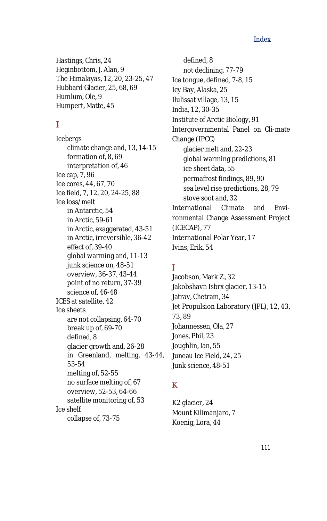#### Index

Hastings, Chris, 24 Heginbottom, J. Alan, 9 The Himalayas, 12, 20, 23-25, 47 Hubbard Glacier, 25, 68, 69 Humlum, Ole, 9 Humpert, Matte, 45

### **I**

Icebergs climate change and, 13, 14-15 formation of, 8, 69 interpretation of, 46 Ice cap, 7, 96 Ice cores, 44, 67, 70 Ice field, 7, 12, 20, 24-25, 88 Ice loss/melt in Antarctic, 54 in Arctic, 59-61 in Arctic, exaggerated, 43-51 in Arctic, irreversible, 36-42 effect of, 39-40 global warming and, 11-13 junk science on, 48-51 overview, 36-37, 43-44 point of no return, 37-39 science of, 46-48 ICES at satellite, 42 Ice sheets are not collapsing, 64-70 break up of, 69-70 defined, 8 glacier growth and, 26-28 in Greenland, melting, 43-44, 53-54 melting of, 52-55 no surface melting of, 67 overview, 52-53, 64-66 satellite monitoring of, 53 Ice shelf collapse of, 73-75

defined, 8 not declining, 77-79 Ice tongue, defined, 7-8, 15 Icy Bay, Alaska, 25 Ilulissat village, 13, 15 India, 12, 30-35 Institute of Arctic Biology, 91 Intergovernmental Panel on Cli-mate Change (IPCC) glacier melt and, 22-23 global warming predictions, 81 ice sheet data, 55 permafrost findings, 89, 90 sea level rise predictions, 28, 79 stove soot and, 32 International Climate and Environmental Change Assessment Project (ICECAP), 77 International Polar Year, 17 Ivins, Erik, 54

### **J**

Jacobson, Mark Z., 32 Jakobshavn Isbrx glacier, 13-15 Jatrav, Chetram, 34 Jet Propulsion Laboratory (JPL), 12, 43, 73, 89 Johannessen, Ola, 27 Jones, Phil, 23 Joughlin, Ian, 55 Juneau Ice Field, 24, 25 Junk science, 48-51

### **K**

K2 glacier, 24 Mount Kilimanjaro, 7 Koenig, Lora, 44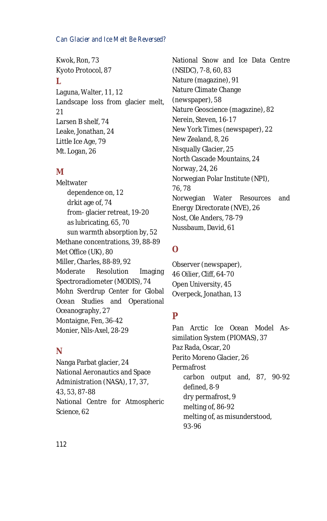#### *Can Glacier and Ice Melt Be Reversed?*

Kwok, Ron, 73 Kyoto Protocol, 87 **L**  Laguna, Walter, 11, 12 Landscape loss from glacier melt, 21 Larsen B shelf, 74 Leake, Jonathan, 24 Little Ice Age, 79 Mt. Logan, 26

### **M**

Meltwater dependence on, 12 drkit age of, 74 from- glacier retreat, 19-20 as lubricating, 65, 70 sun warmth absorption by, 52 Methane concentrations, 39, 88-89 Met Office (UK), 80 Miller, Charles, 88-89, 92 Moderate Resolution Imaging Spectroradiometer (MODIS), 74 Mohn Sverdrup Center for Global Ocean Studies and Operational Oceanography, 27 Montaigne, Fen, 36-42 Monier, Nils-Axel, 28-29

## **N**

Nanga Parbat glacier, 24 National Aeronautics and Space Administration (NASA), 17, 37, 43, 53, 87-88 National Centre for Atmospheric Science, 62

National Snow and Ice Data Centre (NSIDC), 7-8, 60, 83 Nature (magazine), 91 Nature Climate Change (newspaper), 58 Nature Geoscience (magazine), 82 Nerein, Steven, 16-17 New York Times (newspaper), 22 New Zealand, 8, 26 Nisqually Glacier, 25 North Cascade Mountains, 24 Norway, 24, 26 Norwegian Polar Institute (NPI), 76, 78 Norwegian Water Resources and Energy Directorate (NVE), 26 Nost, Ole Anders, 78-79 Nussbaum, David, 61

# **O**

Observer (newspaper), 46 Oilier, Cliff, 64-70 Open University, 45 Overpeck, Jonathan, 13

# **P**

Pan Arctic Ice Ocean Model Assimilation System (PIOMAS), 37 Paz Rada, Oscar, 20 Perito Moreno Glacier, 26 Permafrost carbon output and, 87, 90-92 defined, 8-9 dry permafrost, 9 melting of, 86-92 melting of, as misunderstood, 93-96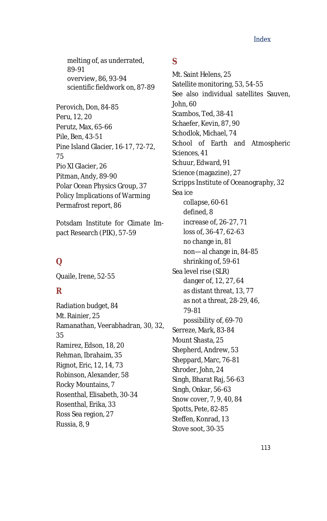Index

melting of, as underrated, 89-91 overview, 86, 93-94 scientific fieldwork on, 87-89

Perovich, Don, 84-85 Peru, 12, 20 Perutz, Max, 65-66 Pile, Ben, 43-51 Pine Island Glacier, 16-17, 72-72, 75 Pio XI Glacier, 26 Pitman, Andy, 89-90 Polar Ocean Physics Group, 37 Policy Implications of Warming Permafrost report, 86

Potsdam Institute for Climate Impact Research (PIK), 57-59

# **Q**

Quaile, Irene, 52-55

# **R**

Radiation budget, 84 Mt. Rainier, 25 Ramanathan, Veerabhadran, 30, 32, 35 Ramirez, Edson, 18, 20 Rehman, Ibrahaim, 35 Rignot, Eric, 12, 14, 73 Robinson, Alexander, 58 Rocky Mountains, 7 Rosenthal, Elisabeth, 30-34 Rosenthal, Erika, 33 Ross Sea region, 27 Russia, 8, 9

## **S**

Mt. Saint Helens, 25 Satellite monitoring, 53, 54-55 See also individual satellites Sauven, John, 60 Scambos, Ted, 38-41 Schaefer, Kevin, 87, 90 Schodlok, Michael, 74 School of Earth and Atmospheric Sciences, 41 Schuur, Edward, 91 Science (magazine), 27 Scripps Institute of Oceanography, 32 Sea ice collapse, 60-61 defined, 8 increase of, 26-27, 71 loss of, 36-47, 62-63 no change in, 81 non—al change in, 84-85 shrinking of, 59-61 Sea level rise (SLR) danger of, 12, 27, 64 as distant threat, 13, 77 as not a threat, 28-29, 46, 79-81 possibility of, 69-70 Serreze, Mark, 83-84 Mount Shasta, 25 Shepherd, Andrew, 53 Sheppard, Marc, 76-81 Shroder, John, 24 Singh, Bharat Raj, 56-63 Singh, Onkar, 56-63 Snow cover, 7, 9, 40, 84 Spotts, Pete, 82-85 Steffen, Konrad, 13 Stove soot, 30-35